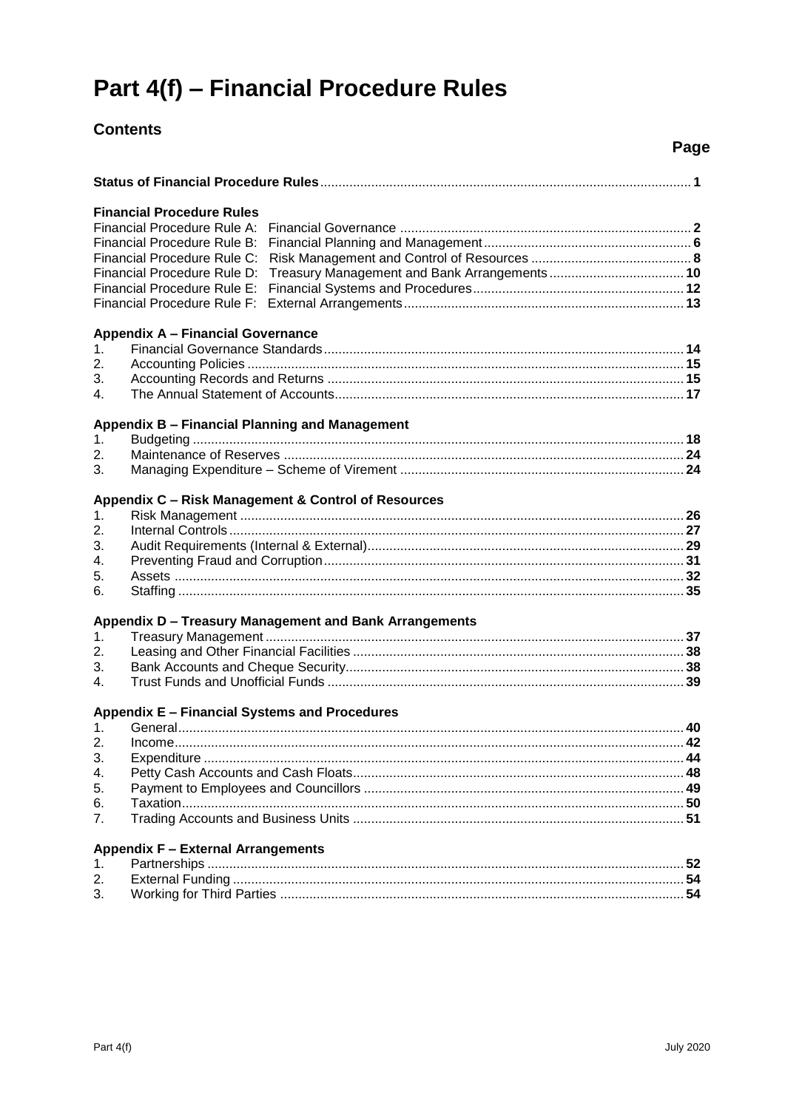# Part 4(f) - Financial Procedure Rules

# **Contents**

|                             |                                                |                                                        | Page |
|-----------------------------|------------------------------------------------|--------------------------------------------------------|------|
|                             |                                                |                                                        |      |
|                             | <b>Financial Procedure Rules</b>               |                                                        |      |
|                             | Financial Procedure Rule A:                    |                                                        |      |
|                             | Financial Procedure Rule B:                    |                                                        |      |
|                             | Financial Procedure Rule C:                    |                                                        |      |
|                             | Financial Procedure Rule D:                    |                                                        |      |
| Financial Procedure Rule E: |                                                |                                                        |      |
|                             | Financial Procedure Rule F:                    |                                                        |      |
|                             | <b>Appendix A - Financial Governance</b>       |                                                        |      |
| 1 <sub>1</sub>              |                                                |                                                        |      |
| 2.                          |                                                |                                                        |      |
| 3.                          |                                                |                                                        |      |
| 4.                          |                                                |                                                        |      |
|                             | Appendix B - Financial Planning and Management |                                                        |      |
| 1.                          |                                                |                                                        |      |
| 2.                          |                                                |                                                        |      |
| 3.                          |                                                |                                                        |      |
|                             |                                                |                                                        |      |
|                             |                                                | Appendix C - Risk Management & Control of Resources    |      |
| 1.                          |                                                |                                                        |      |
| 2.                          |                                                |                                                        |      |
| 3.                          |                                                |                                                        |      |
| 4.                          |                                                |                                                        |      |
| 5.<br>6.                    |                                                |                                                        |      |
|                             |                                                |                                                        |      |
|                             |                                                | Appendix D - Treasury Management and Bank Arrangements |      |
| 1.                          |                                                |                                                        |      |
| 2.                          |                                                |                                                        |      |
| 3.<br>4.                    |                                                |                                                        |      |
|                             |                                                |                                                        |      |
|                             | Appendix E - Financial Systems and Procedures  |                                                        |      |
|                             | 1 General                                      |                                                        | 40   |
| $\overline{2}$ .            |                                                |                                                        |      |
| 3.                          |                                                |                                                        |      |
| 4.                          |                                                |                                                        |      |
| 5.                          |                                                |                                                        |      |
| 6.                          |                                                |                                                        |      |
| 7.                          |                                                |                                                        |      |
|                             | <b>Appendix F - External Arrangements</b>      |                                                        |      |
| 1.                          |                                                |                                                        |      |
| 2.                          |                                                |                                                        |      |
| 3.                          |                                                |                                                        | 54   |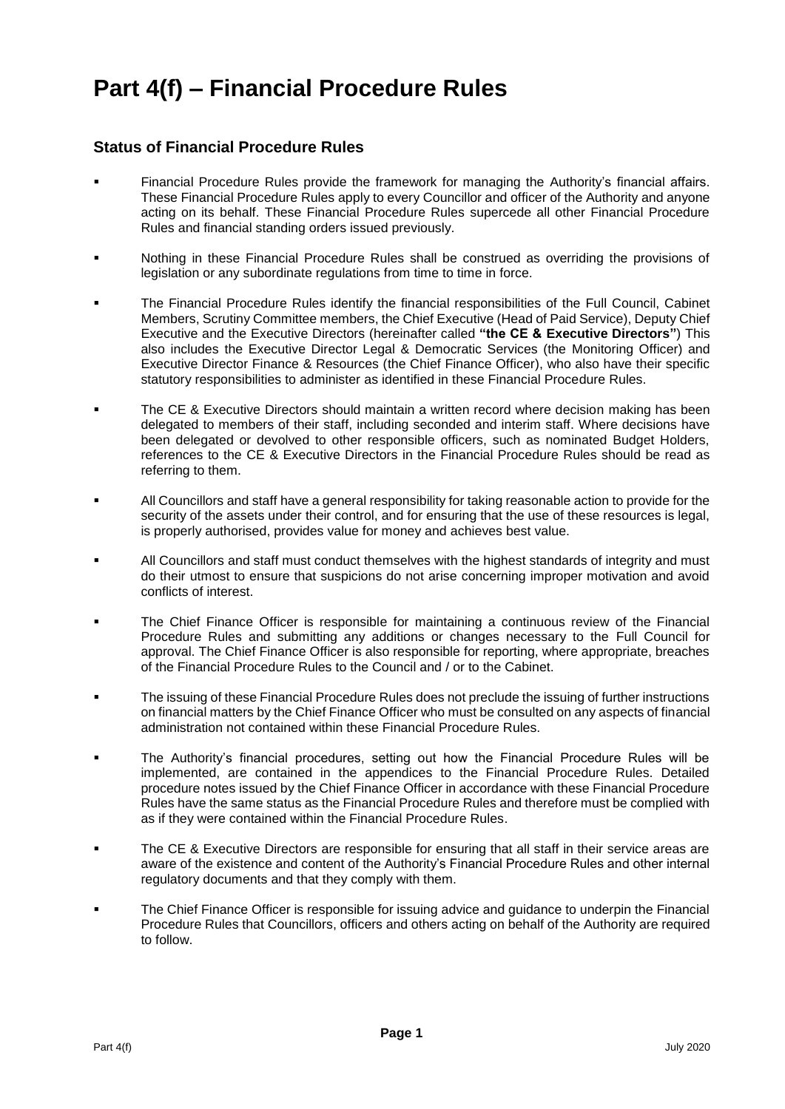# **Part 4(f) – Financial Procedure Rules**

# **Status of Financial Procedure Rules**

- Financial Procedure Rules provide the framework for managing the Authority's financial affairs. These Financial Procedure Rules apply to every Councillor and officer of the Authority and anyone acting on its behalf. These Financial Procedure Rules supercede all other Financial Procedure Rules and financial standing orders issued previously.
- Nothing in these Financial Procedure Rules shall be construed as overriding the provisions of legislation or any subordinate regulations from time to time in force.
- The Financial Procedure Rules identify the financial responsibilities of the Full Council, Cabinet Members, Scrutiny Committee members, the Chief Executive (Head of Paid Service), Deputy Chief Executive and the Executive Directors (hereinafter called **"the CE & Executive Directors"**) This also includes the Executive Director Legal & Democratic Services (the Monitoring Officer) and Executive Director Finance & Resources (the Chief Finance Officer), who also have their specific statutory responsibilities to administer as identified in these Financial Procedure Rules.
- **The CE & Executive Directors should maintain a written record where decision making has been** delegated to members of their staff, including seconded and interim staff. Where decisions have been delegated or devolved to other responsible officers, such as nominated Budget Holders, references to the CE & Executive Directors in the Financial Procedure Rules should be read as referring to them.
- All Councillors and staff have a general responsibility for taking reasonable action to provide for the security of the assets under their control, and for ensuring that the use of these resources is legal, is properly authorised, provides value for money and achieves best value.
- All Councillors and staff must conduct themselves with the highest standards of integrity and must do their utmost to ensure that suspicions do not arise concerning improper motivation and avoid conflicts of interest.
- The Chief Finance Officer is responsible for maintaining a continuous review of the Financial Procedure Rules and submitting any additions or changes necessary to the Full Council for approval. The Chief Finance Officer is also responsible for reporting, where appropriate, breaches of the Financial Procedure Rules to the Council and / or to the Cabinet.
- The issuing of these Financial Procedure Rules does not preclude the issuing of further instructions on financial matters by the Chief Finance Officer who must be consulted on any aspects of financial administration not contained within these Financial Procedure Rules.
- The Authority's financial procedures, setting out how the Financial Procedure Rules will be implemented, are contained in the appendices to the Financial Procedure Rules. Detailed procedure notes issued by the Chief Finance Officer in accordance with these Financial Procedure Rules have the same status as the Financial Procedure Rules and therefore must be complied with as if they were contained within the Financial Procedure Rules.
- **The CE & Executive Directors are responsible for ensuring that all staff in their service areas are** aware of the existence and content of the Authority's Financial Procedure Rules and other internal regulatory documents and that they comply with them.
- The Chief Finance Officer is responsible for issuing advice and guidance to underpin the Financial Procedure Rules that Councillors, officers and others acting on behalf of the Authority are required to follow.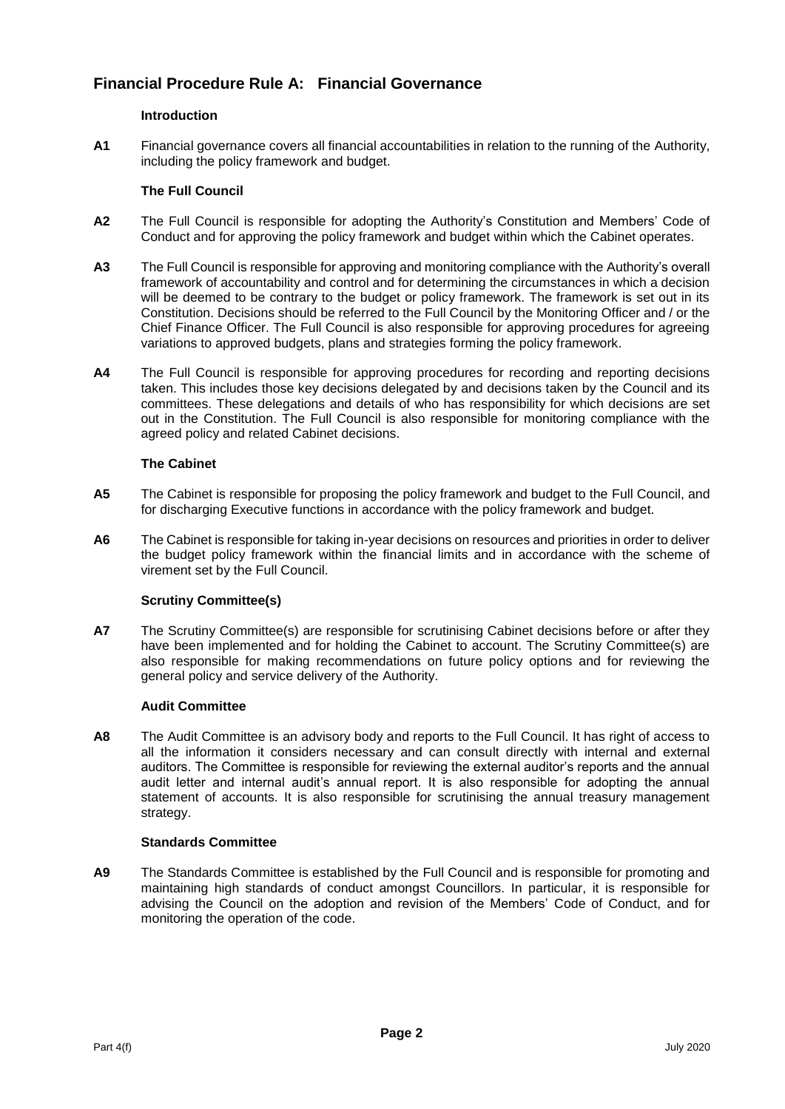# **Financial Procedure Rule A: Financial Governance**

# **Introduction**

**A1** Financial governance covers all financial accountabilities in relation to the running of the Authority, including the policy framework and budget.

# **The Full Council**

- **A2** The Full Council is responsible for adopting the Authority's Constitution and Members' Code of Conduct and for approving the policy framework and budget within which the Cabinet operates.
- **A3** The Full Council is responsible for approving and monitoring compliance with the Authority's overall framework of accountability and control and for determining the circumstances in which a decision will be deemed to be contrary to the budget or policy framework. The framework is set out in its Constitution. Decisions should be referred to the Full Council by the Monitoring Officer and / or the Chief Finance Officer. The Full Council is also responsible for approving procedures for agreeing variations to approved budgets, plans and strategies forming the policy framework.
- **A4** The Full Council is responsible for approving procedures for recording and reporting decisions taken. This includes those key decisions delegated by and decisions taken by the Council and its committees. These delegations and details of who has responsibility for which decisions are set out in the Constitution. The Full Council is also responsible for monitoring compliance with the agreed policy and related Cabinet decisions.

# **The Cabinet**

- **A5** The Cabinet is responsible for proposing the policy framework and budget to the Full Council, and for discharging Executive functions in accordance with the policy framework and budget.
- **A6** The Cabinet is responsible for taking in-year decisions on resources and priorities in order to deliver the budget policy framework within the financial limits and in accordance with the scheme of virement set by the Full Council.

# **Scrutiny Committee(s)**

**A7** The Scrutiny Committee(s) are responsible for scrutinising Cabinet decisions before or after they have been implemented and for holding the Cabinet to account. The Scrutiny Committee(s) are also responsible for making recommendations on future policy options and for reviewing the general policy and service delivery of the Authority.

# **Audit Committee**

**A8** The Audit Committee is an advisory body and reports to the Full Council. It has right of access to all the information it considers necessary and can consult directly with internal and external auditors. The Committee is responsible for reviewing the external auditor's reports and the annual audit letter and internal audit's annual report. It is also responsible for adopting the annual statement of accounts. It is also responsible for scrutinising the annual treasury management strategy.

# **Standards Committee**

**A9** The Standards Committee is established by the Full Council and is responsible for promoting and maintaining high standards of conduct amongst Councillors. In particular, it is responsible for advising the Council on the adoption and revision of the Members' Code of Conduct, and for monitoring the operation of the code.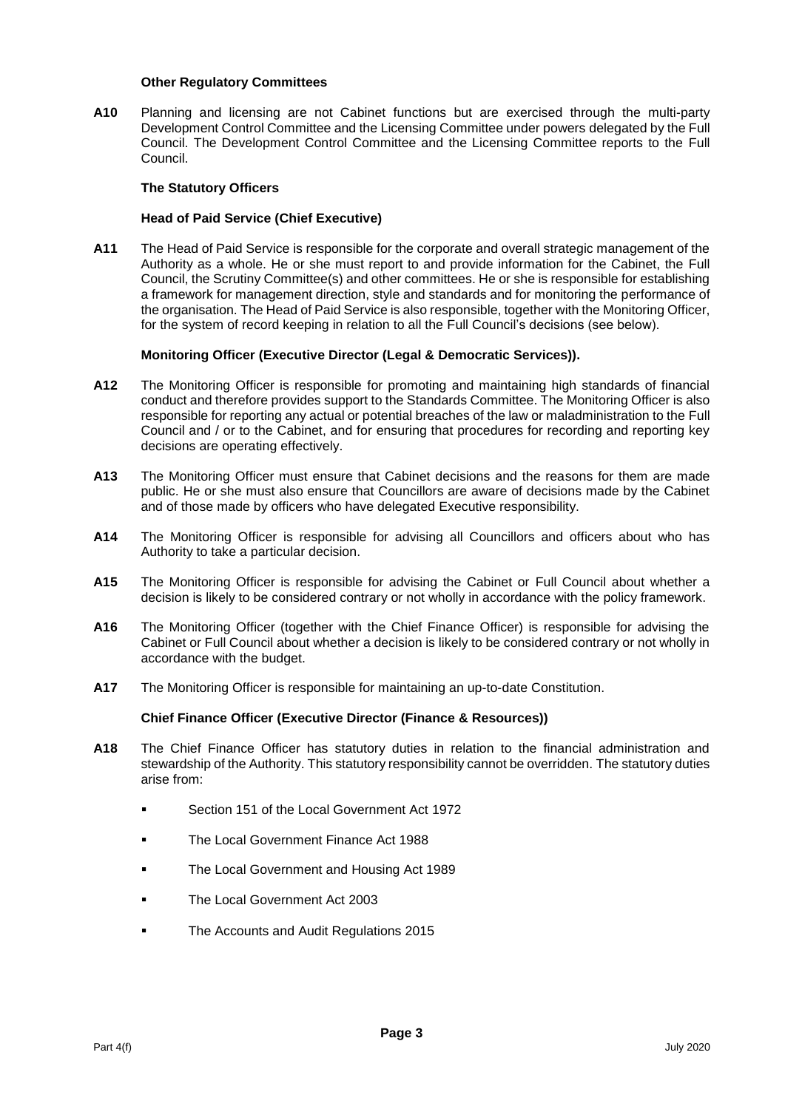#### **Other Regulatory Committees**

**A10** Planning and licensing are not Cabinet functions but are exercised through the multi-party Development Control Committee and the Licensing Committee under powers delegated by the Full Council. The Development Control Committee and the Licensing Committee reports to the Full Council.

# **The Statutory Officers**

# **Head of Paid Service (Chief Executive)**

**A11** The Head of Paid Service is responsible for the corporate and overall strategic management of the Authority as a whole. He or she must report to and provide information for the Cabinet, the Full Council, the Scrutiny Committee(s) and other committees. He or she is responsible for establishing a framework for management direction, style and standards and for monitoring the performance of the organisation. The Head of Paid Service is also responsible, together with the Monitoring Officer, for the system of record keeping in relation to all the Full Council's decisions (see below).

# **Monitoring Officer (Executive Director (Legal & Democratic Services)).**

- **A12** The Monitoring Officer is responsible for promoting and maintaining high standards of financial conduct and therefore provides support to the Standards Committee. The Monitoring Officer is also responsible for reporting any actual or potential breaches of the law or maladministration to the Full Council and / or to the Cabinet, and for ensuring that procedures for recording and reporting key decisions are operating effectively.
- **A13** The Monitoring Officer must ensure that Cabinet decisions and the reasons for them are made public. He or she must also ensure that Councillors are aware of decisions made by the Cabinet and of those made by officers who have delegated Executive responsibility.
- **A14** The Monitoring Officer is responsible for advising all Councillors and officers about who has Authority to take a particular decision.
- **A15** The Monitoring Officer is responsible for advising the Cabinet or Full Council about whether a decision is likely to be considered contrary or not wholly in accordance with the policy framework.
- **A16** The Monitoring Officer (together with the Chief Finance Officer) is responsible for advising the Cabinet or Full Council about whether a decision is likely to be considered contrary or not wholly in accordance with the budget.
- **A17** The Monitoring Officer is responsible for maintaining an up-to-date Constitution.

# **Chief Finance Officer (Executive Director (Finance & Resources))**

- **A18** The Chief Finance Officer has statutory duties in relation to the financial administration and stewardship of the Authority. This statutory responsibility cannot be overridden. The statutory duties arise from:
	- **Section 151 of the Local Government Act 1972**
	- The Local Government Finance Act 1988
	- The Local Government and Housing Act 1989
	- The Local Government Act 2003
	- The Accounts and Audit Regulations 2015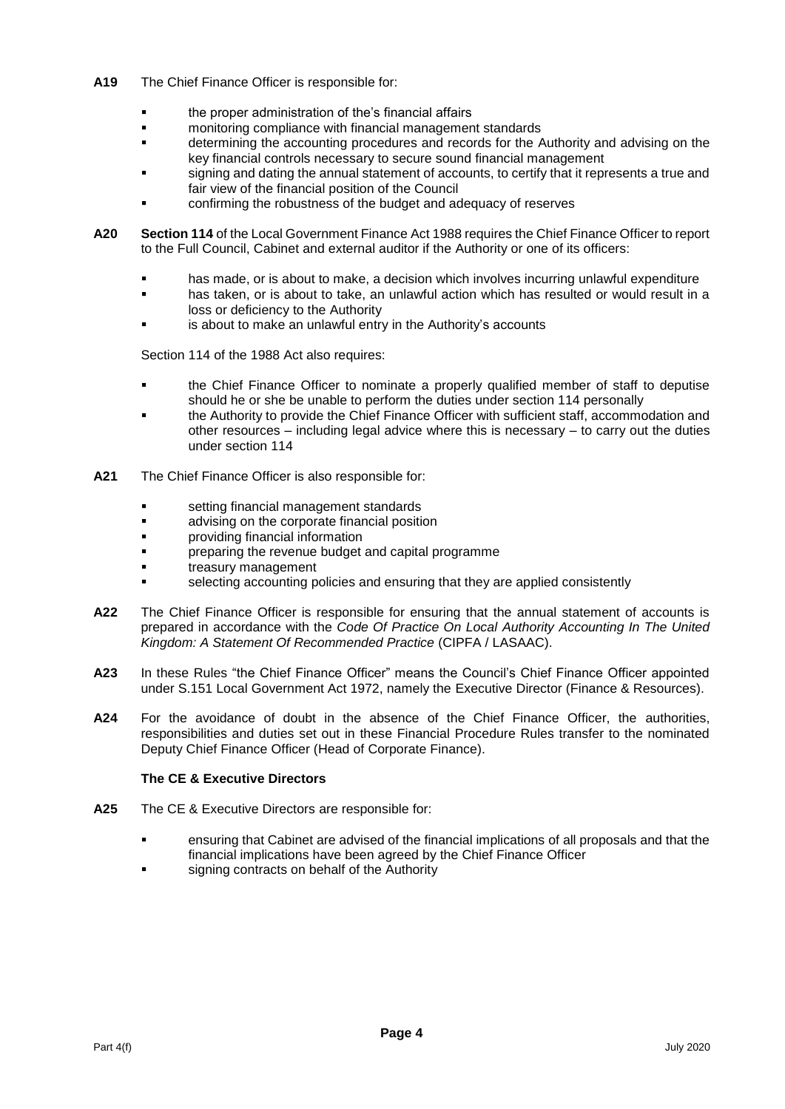- **A19** The Chief Finance Officer is responsible for:
	- **the proper administration of the's financial affairs**<br>**Example the property of the property of the property of the property of the property of the property of the pro**
	- monitoring compliance with financial management standards
	- determining the accounting procedures and records for the Authority and advising on the key financial controls necessary to secure sound financial management
	- signing and dating the annual statement of accounts, to certify that it represents a true and fair view of the financial position of the Council
	- confirming the robustness of the budget and adequacy of reserves
- **A20 Section 114** of the Local Government Finance Act 1988 requires the Chief Finance Officer to report to the Full Council, Cabinet and external auditor if the Authority or one of its officers:
	- **has made, or is about to make, a decision which involves incurring unlawful expenditure**
	- has taken, or is about to take, an unlawful action which has resulted or would result in a loss or deficiency to the Authority
	- is about to make an unlawful entry in the Authority's accounts

Section 114 of the 1988 Act also requires:

- the Chief Finance Officer to nominate a properly qualified member of staff to deputise should he or she be unable to perform the duties under section 114 personally
- the Authority to provide the Chief Finance Officer with sufficient staff, accommodation and other resources – including legal advice where this is necessary – to carry out the duties under section 114
- **A21** The Chief Finance Officer is also responsible for:
	- **setting financial management standards**
	- **advising on the corporate financial position**
	- providing financial information
	- preparing the revenue budget and capital programme
	- treasury management
	- selecting accounting policies and ensuring that they are applied consistently
- **A22** The Chief Finance Officer is responsible for ensuring that the annual statement of accounts is prepared in accordance with the *Code Of Practice On Local Authority Accounting In The United Kingdom: A Statement Of Recommended Practice* (CIPFA / LASAAC).
- **A23** In these Rules "the Chief Finance Officer" means the Council's Chief Finance Officer appointed under S.151 Local Government Act 1972, namely the Executive Director (Finance & Resources).
- **A24** For the avoidance of doubt in the absence of the Chief Finance Officer, the authorities, responsibilities and duties set out in these Financial Procedure Rules transfer to the nominated Deputy Chief Finance Officer (Head of Corporate Finance).

# **The CE & Executive Directors**

- **A25** The CE & Executive Directors are responsible for:
	- ensuring that Cabinet are advised of the financial implications of all proposals and that the financial implications have been agreed by the Chief Finance Officer
	- signing contracts on behalf of the Authority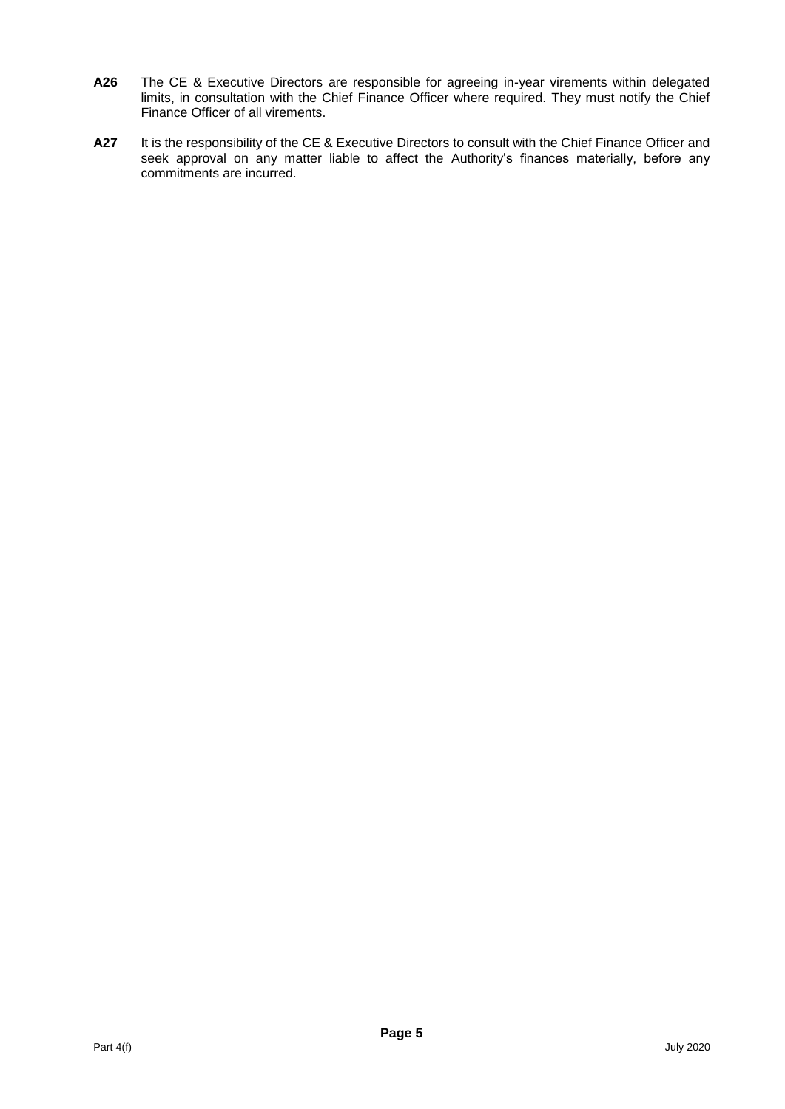- **A26** The CE & Executive Directors are responsible for agreeing in-year virements within delegated limits, in consultation with the Chief Finance Officer where required. They must notify the Chief Finance Officer of all virements.
- **A27** It is the responsibility of the CE & Executive Directors to consult with the Chief Finance Officer and seek approval on any matter liable to affect the Authority's finances materially, before any commitments are incurred.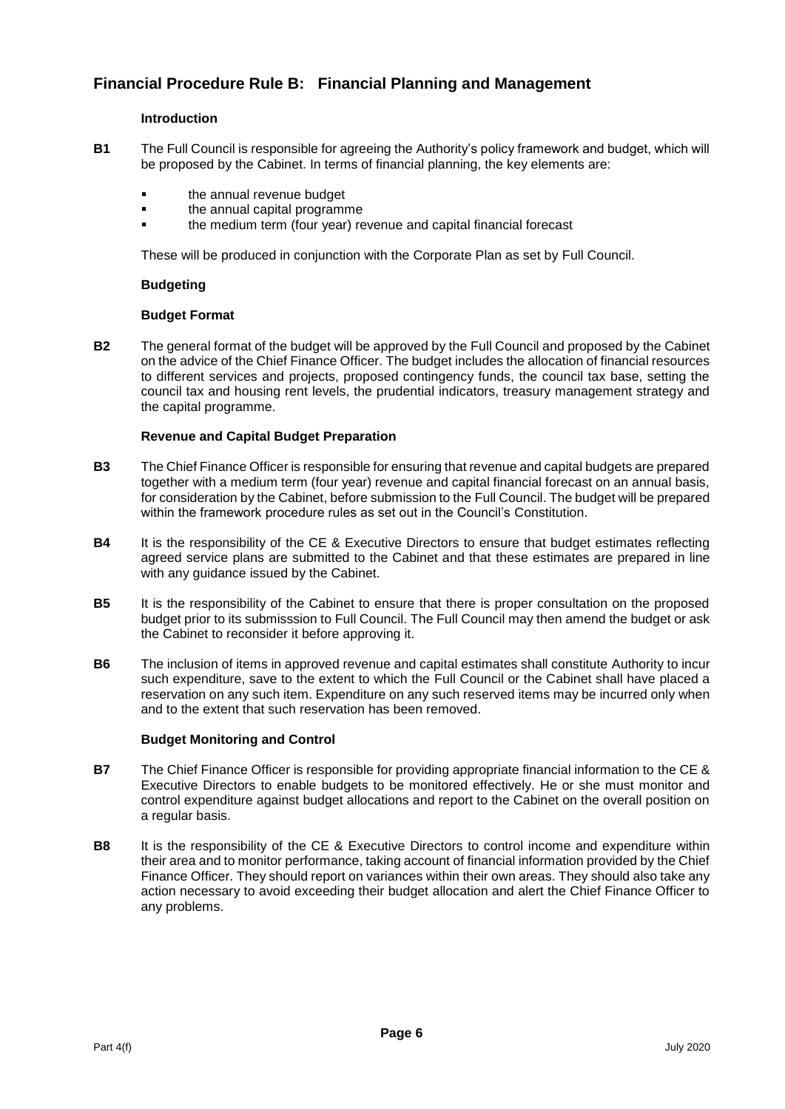# **Financial Procedure Rule B: Financial Planning and Management**

#### **Introduction**

- **B1** The Full Council is responsible for agreeing the Authority's policy framework and budget, which will be proposed by the Cabinet. In terms of financial planning, the key elements are:
	- the annual revenue budget
	- the annual capital programme
	- the medium term (four year) revenue and capital financial forecast

These will be produced in conjunction with the Corporate Plan as set by Full Council.

#### **Budgeting**

#### **Budget Format**

**B2** The general format of the budget will be approved by the Full Council and proposed by the Cabinet on the advice of the Chief Finance Officer. The budget includes the allocation of financial resources to different services and projects, proposed contingency funds, the council tax base, setting the council tax and housing rent levels, the prudential indicators, treasury management strategy and the capital programme.

#### **Revenue and Capital Budget Preparation**

- **B3** The Chief Finance Officer is responsible for ensuring that revenue and capital budgets are prepared together with a medium term (four year) revenue and capital financial forecast on an annual basis, for consideration by the Cabinet, before submission to the Full Council. The budget will be prepared within the framework procedure rules as set out in the Council's Constitution.
- **B4** It is the responsibility of the CE & Executive Directors to ensure that budget estimates reflecting agreed service plans are submitted to the Cabinet and that these estimates are prepared in line with any guidance issued by the Cabinet.
- **B5** It is the responsibility of the Cabinet to ensure that there is proper consultation on the proposed budget prior to its submisssion to Full Council. The Full Council may then amend the budget or ask the Cabinet to reconsider it before approving it.
- **B6** The inclusion of items in approved revenue and capital estimates shall constitute Authority to incur such expenditure, save to the extent to which the Full Council or the Cabinet shall have placed a reservation on any such item. Expenditure on any such reserved items may be incurred only when and to the extent that such reservation has been removed.

#### **Budget Monitoring and Control**

- **B7** The Chief Finance Officer is responsible for providing appropriate financial information to the CE & Executive Directors to enable budgets to be monitored effectively. He or she must monitor and control expenditure against budget allocations and report to the Cabinet on the overall position on a regular basis.
- **B8** It is the responsibility of the CE & Executive Directors to control income and expenditure within their area and to monitor performance, taking account of financial information provided by the Chief Finance Officer. They should report on variances within their own areas. They should also take any action necessary to avoid exceeding their budget allocation and alert the Chief Finance Officer to any problems.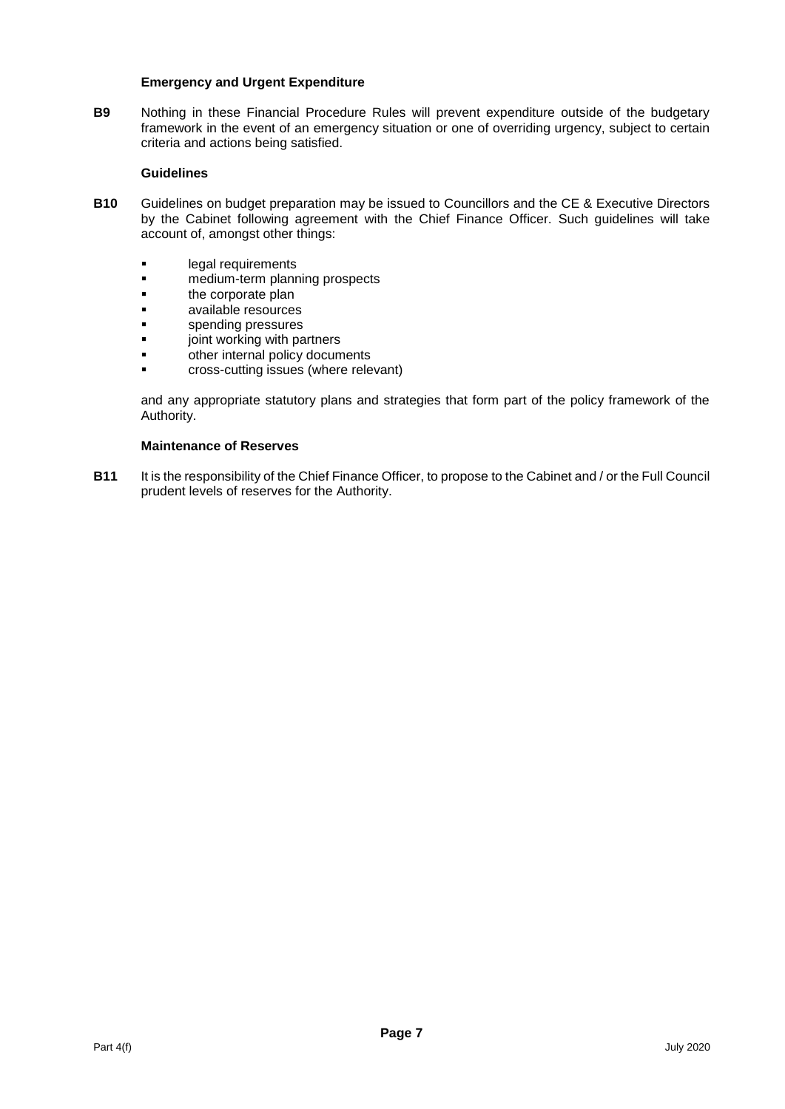#### **Emergency and Urgent Expenditure**

**B9** Nothing in these Financial Procedure Rules will prevent expenditure outside of the budgetary framework in the event of an emergency situation or one of overriding urgency, subject to certain criteria and actions being satisfied.

#### **Guidelines**

- **B10** Guidelines on budget preparation may be issued to Councillors and the CE & Executive Directors by the Cabinet following agreement with the Chief Finance Officer. Such guidelines will take account of, amongst other things:
	- **Example 1** legal requirements
	- medium-term planning prospects
	- **the corporate plan**
	- **available resources**
	- **spending pressures**
	- **The Sounding is provided**<br> **Example:** The property of the property documnent and the property documnent and the property documnent and the state of the state of the state of the state of the state of the state of the stat
	- other internal policy documents
	- **Example 2** cross-cutting issues (where relevant)

and any appropriate statutory plans and strategies that form part of the policy framework of the Authority.

#### **Maintenance of Reserves**

**B11** It is the responsibility of the Chief Finance Officer, to propose to the Cabinet and / or the Full Council prudent levels of reserves for the Authority.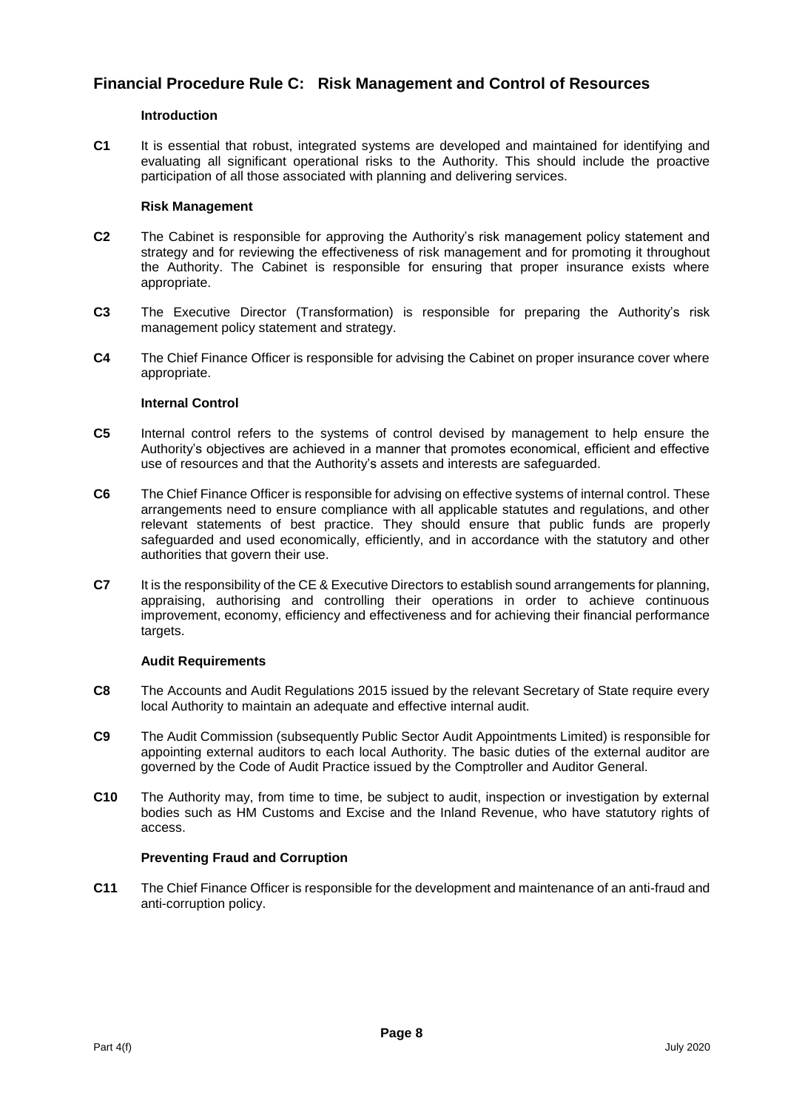# **Financial Procedure Rule C: Risk Management and Control of Resources**

#### **Introduction**

**C1** It is essential that robust, integrated systems are developed and maintained for identifying and evaluating all significant operational risks to the Authority. This should include the proactive participation of all those associated with planning and delivering services.

#### **Risk Management**

- **C2** The Cabinet is responsible for approving the Authority's risk management policy statement and strategy and for reviewing the effectiveness of risk management and for promoting it throughout the Authority. The Cabinet is responsible for ensuring that proper insurance exists where appropriate.
- **C3** The Executive Director (Transformation) is responsible for preparing the Authority's risk management policy statement and strategy.
- **C4** The Chief Finance Officer is responsible for advising the Cabinet on proper insurance cover where appropriate.

#### **Internal Control**

- **C5** Internal control refers to the systems of control devised by management to help ensure the Authority's objectives are achieved in a manner that promotes economical, efficient and effective use of resources and that the Authority's assets and interests are safeguarded.
- **C6** The Chief Finance Officer is responsible for advising on effective systems of internal control. These arrangements need to ensure compliance with all applicable statutes and regulations, and other relevant statements of best practice. They should ensure that public funds are properly safeguarded and used economically, efficiently, and in accordance with the statutory and other authorities that govern their use.
- **C7** It is the responsibility of the CE & Executive Directors to establish sound arrangements for planning, appraising, authorising and controlling their operations in order to achieve continuous improvement, economy, efficiency and effectiveness and for achieving their financial performance targets.

#### **Audit Requirements**

- **C8** The Accounts and Audit Regulations 2015 issued by the relevant Secretary of State require every local Authority to maintain an adequate and effective internal audit.
- **C9** The Audit Commission (subsequently Public Sector Audit Appointments Limited) is responsible for appointing external auditors to each local Authority. The basic duties of the external auditor are governed by the Code of Audit Practice issued by the Comptroller and Auditor General.
- **C10** The Authority may, from time to time, be subject to audit, inspection or investigation by external bodies such as HM Customs and Excise and the Inland Revenue, who have statutory rights of access.

# **Preventing Fraud and Corruption**

**C11** The Chief Finance Officer is responsible for the development and maintenance of an anti-fraud and anti-corruption policy.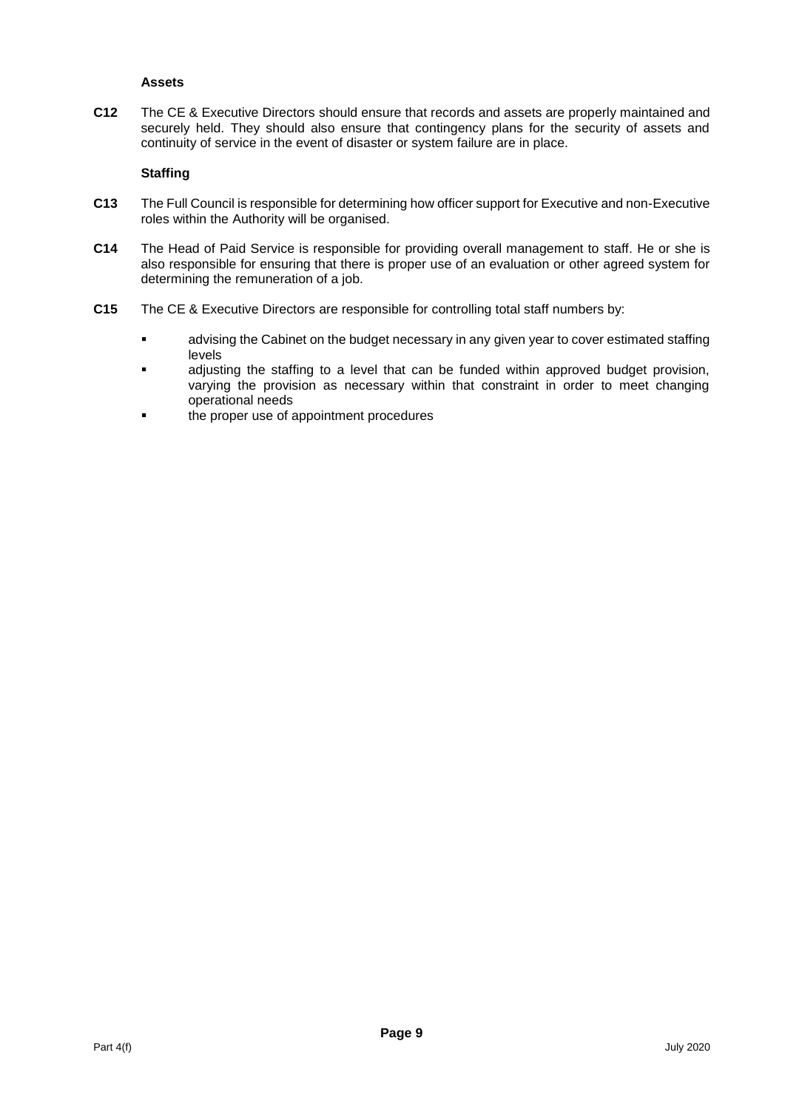# **Assets**

**C12** The CE & Executive Directors should ensure that records and assets are properly maintained and securely held. They should also ensure that contingency plans for the security of assets and continuity of service in the event of disaster or system failure are in place.

#### **Staffing**

- **C13** The Full Council is responsible for determining how officer support for Executive and non-Executive roles within the Authority will be organised.
- **C14** The Head of Paid Service is responsible for providing overall management to staff. He or she is also responsible for ensuring that there is proper use of an evaluation or other agreed system for determining the remuneration of a job.
- **C15** The CE & Executive Directors are responsible for controlling total staff numbers by:
	- advising the Cabinet on the budget necessary in any given year to cover estimated staffing levels
	- adjusting the staffing to a level that can be funded within approved budget provision, varying the provision as necessary within that constraint in order to meet changing operational needs
	- the proper use of appointment procedures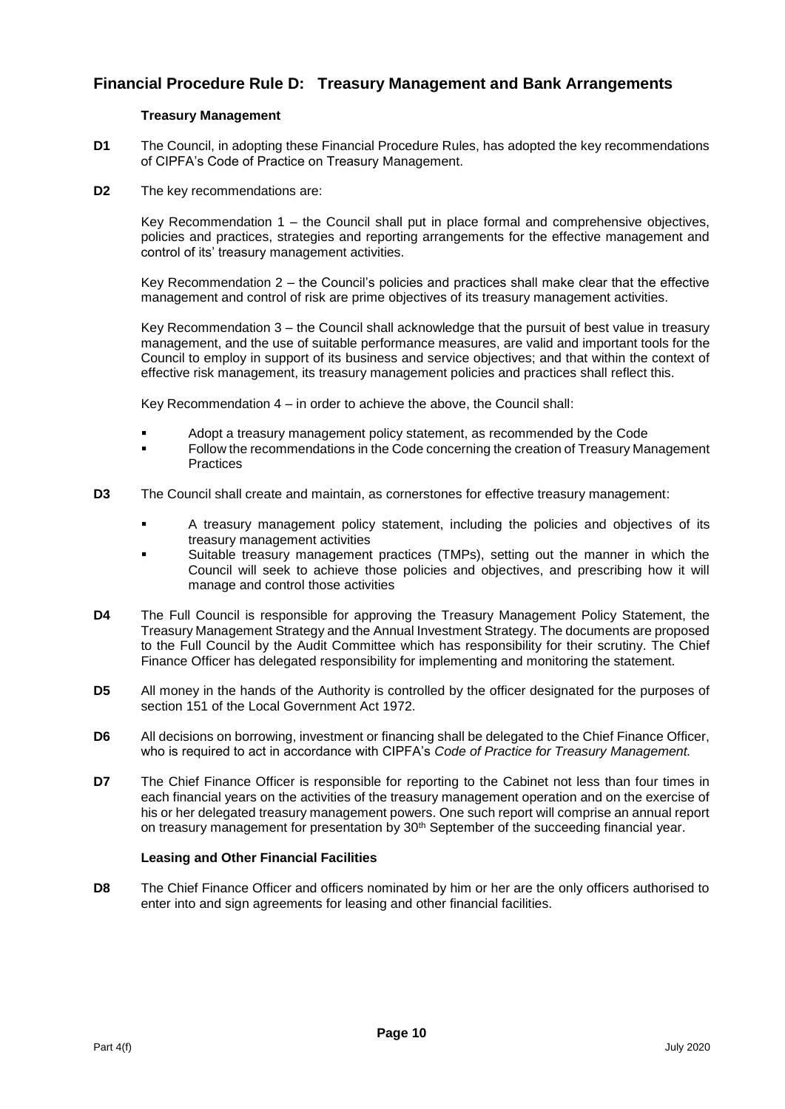# **Financial Procedure Rule D: Treasury Management and Bank Arrangements**

#### **Treasury Management**

- **D1** The Council, in adopting these Financial Procedure Rules, has adopted the key recommendations of CIPFA's Code of Practice on Treasury Management.
- **D2** The key recommendations are:

Key Recommendation 1 – the Council shall put in place formal and comprehensive objectives, policies and practices, strategies and reporting arrangements for the effective management and control of its' treasury management activities.

Key Recommendation 2 – the Council's policies and practices shall make clear that the effective management and control of risk are prime objectives of its treasury management activities.

Key Recommendation 3 – the Council shall acknowledge that the pursuit of best value in treasury management, and the use of suitable performance measures, are valid and important tools for the Council to employ in support of its business and service objectives; and that within the context of effective risk management, its treasury management policies and practices shall reflect this.

Key Recommendation 4 – in order to achieve the above, the Council shall:

- Adopt a treasury management policy statement, as recommended by the Code
- Follow the recommendations in the Code concerning the creation of Treasury Management **Practices**
- **D3** The Council shall create and maintain, as cornerstones for effective treasury management:
	- A treasury management policy statement, including the policies and objectives of its treasury management activities
	- Suitable treasury management practices (TMPs), setting out the manner in which the Council will seek to achieve those policies and objectives, and prescribing how it will manage and control those activities
- **D4** The Full Council is responsible for approving the Treasury Management Policy Statement, the Treasury Management Strategy and the Annual Investment Strategy. The documents are proposed to the Full Council by the Audit Committee which has responsibility for their scrutiny. The Chief Finance Officer has delegated responsibility for implementing and monitoring the statement.
- **D5** All money in the hands of the Authority is controlled by the officer designated for the purposes of section 151 of the Local Government Act 1972.
- **D6** All decisions on borrowing, investment or financing shall be delegated to the Chief Finance Officer, who is required to act in accordance with CIPFA's *Code of Practice for Treasury Management.*
- **D7** The Chief Finance Officer is responsible for reporting to the Cabinet not less than four times in each financial years on the activities of the treasury management operation and on the exercise of his or her delegated treasury management powers. One such report will comprise an annual report on treasury management for presentation by 30<sup>th</sup> September of the succeeding financial year.

# **Leasing and Other Financial Facilities**

**D8** The Chief Finance Officer and officers nominated by him or her are the only officers authorised to enter into and sign agreements for leasing and other financial facilities.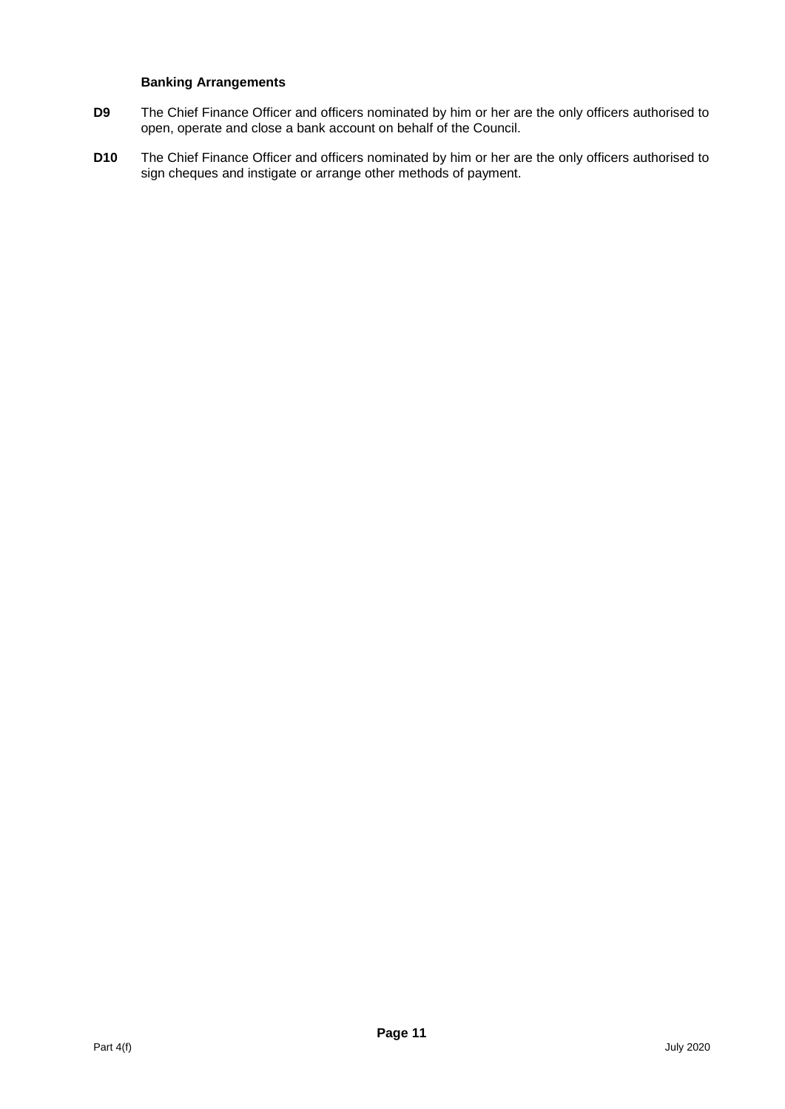#### **Banking Arrangements**

- **D9** The Chief Finance Officer and officers nominated by him or her are the only officers authorised to open, operate and close a bank account on behalf of the Council.
- **D10** The Chief Finance Officer and officers nominated by him or her are the only officers authorised to sign cheques and instigate or arrange other methods of payment.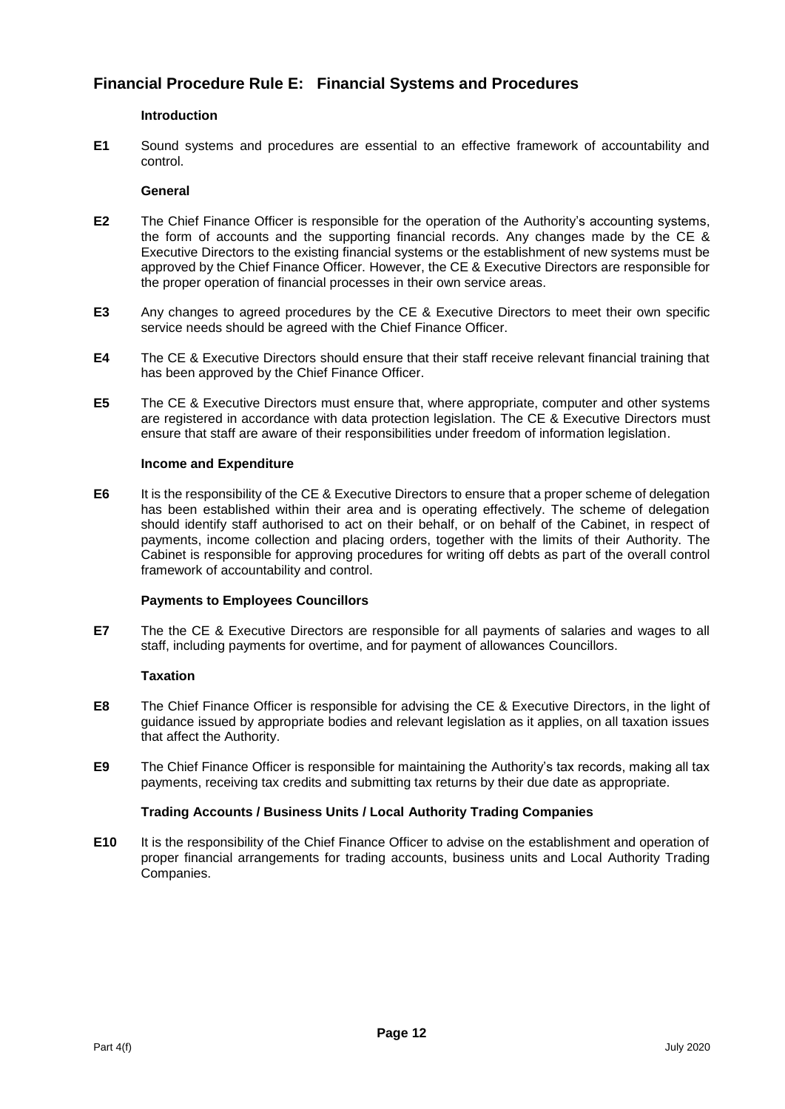# **Financial Procedure Rule E: Financial Systems and Procedures**

# **Introduction**

**E1** Sound systems and procedures are essential to an effective framework of accountability and control.

# **General**

- **E2** The Chief Finance Officer is responsible for the operation of the Authority's accounting systems, the form of accounts and the supporting financial records. Any changes made by the CE & Executive Directors to the existing financial systems or the establishment of new systems must be approved by the Chief Finance Officer. However, the CE & Executive Directors are responsible for the proper operation of financial processes in their own service areas.
- **E3** Any changes to agreed procedures by the CE & Executive Directors to meet their own specific service needs should be agreed with the Chief Finance Officer.
- **E4** The CE & Executive Directors should ensure that their staff receive relevant financial training that has been approved by the Chief Finance Officer.
- **E5** The CE & Executive Directors must ensure that, where appropriate, computer and other systems are registered in accordance with data protection legislation. The CE & Executive Directors must ensure that staff are aware of their responsibilities under freedom of information legislation.

#### **Income and Expenditure**

**E6** It is the responsibility of the CE & Executive Directors to ensure that a proper scheme of delegation has been established within their area and is operating effectively. The scheme of delegation should identify staff authorised to act on their behalf, or on behalf of the Cabinet, in respect of payments, income collection and placing orders, together with the limits of their Authority. The Cabinet is responsible for approving procedures for writing off debts as part of the overall control framework of accountability and control.

# **Payments to Employees Councillors**

**E7** The the CE & Executive Directors are responsible for all payments of salaries and wages to all staff, including payments for overtime, and for payment of allowances Councillors.

# **Taxation**

- **E8** The Chief Finance Officer is responsible for advising the CE & Executive Directors, in the light of guidance issued by appropriate bodies and relevant legislation as it applies, on all taxation issues that affect the Authority.
- **E9** The Chief Finance Officer is responsible for maintaining the Authority's tax records, making all tax payments, receiving tax credits and submitting tax returns by their due date as appropriate.

# **Trading Accounts / Business Units / Local Authority Trading Companies**

**E10** It is the responsibility of the Chief Finance Officer to advise on the establishment and operation of proper financial arrangements for trading accounts, business units and Local Authority Trading Companies.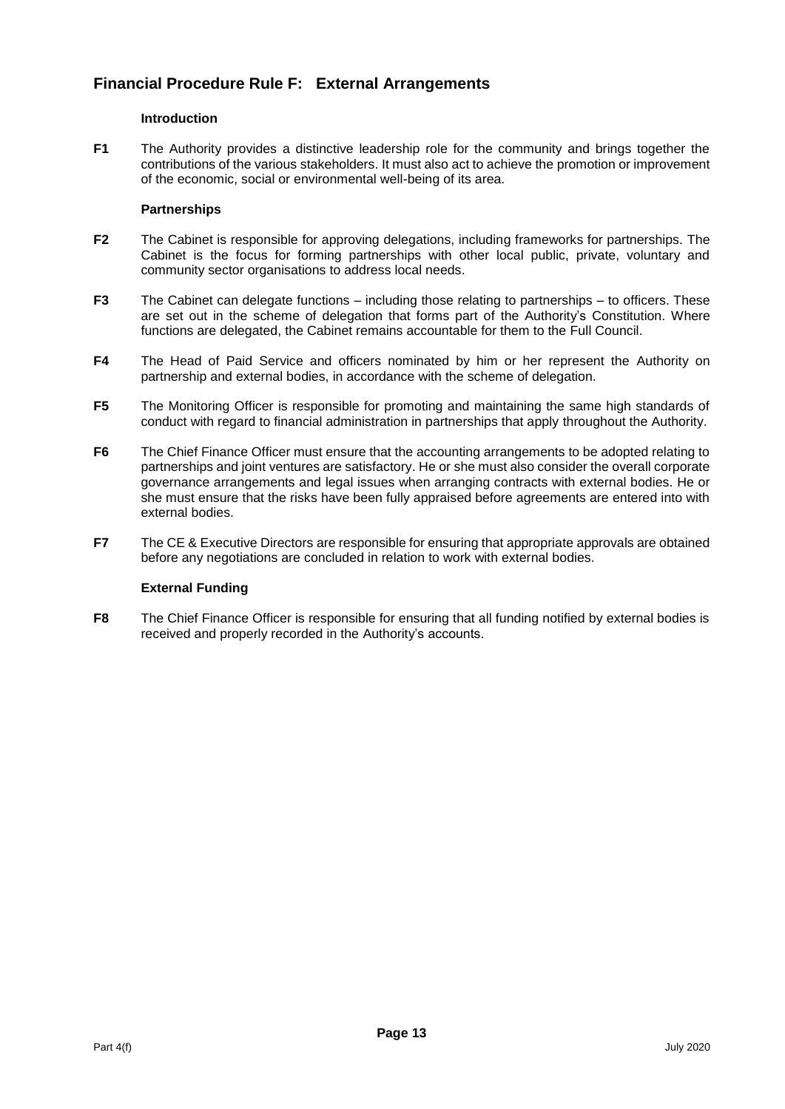# **Financial Procedure Rule F: External Arrangements**

#### **Introduction**

**F1** The Authority provides a distinctive leadership role for the community and brings together the contributions of the various stakeholders. It must also act to achieve the promotion or improvement of the economic, social or environmental well-being of its area.

#### **Partnerships**

- **F2** The Cabinet is responsible for approving delegations, including frameworks for partnerships. The Cabinet is the focus for forming partnerships with other local public, private, voluntary and community sector organisations to address local needs.
- **F3** The Cabinet can delegate functions including those relating to partnerships to officers. These are set out in the scheme of delegation that forms part of the Authority's Constitution. Where functions are delegated, the Cabinet remains accountable for them to the Full Council.
- **F4** The Head of Paid Service and officers nominated by him or her represent the Authority on partnership and external bodies, in accordance with the scheme of delegation.
- **F5** The Monitoring Officer is responsible for promoting and maintaining the same high standards of conduct with regard to financial administration in partnerships that apply throughout the Authority.
- **F6** The Chief Finance Officer must ensure that the accounting arrangements to be adopted relating to partnerships and joint ventures are satisfactory. He or she must also consider the overall corporate governance arrangements and legal issues when arranging contracts with external bodies. He or she must ensure that the risks have been fully appraised before agreements are entered into with external bodies.
- **F7** The CE & Executive Directors are responsible for ensuring that appropriate approvals are obtained before any negotiations are concluded in relation to work with external bodies.

# **External Funding**

**F8** The Chief Finance Officer is responsible for ensuring that all funding notified by external bodies is received and properly recorded in the Authority's accounts.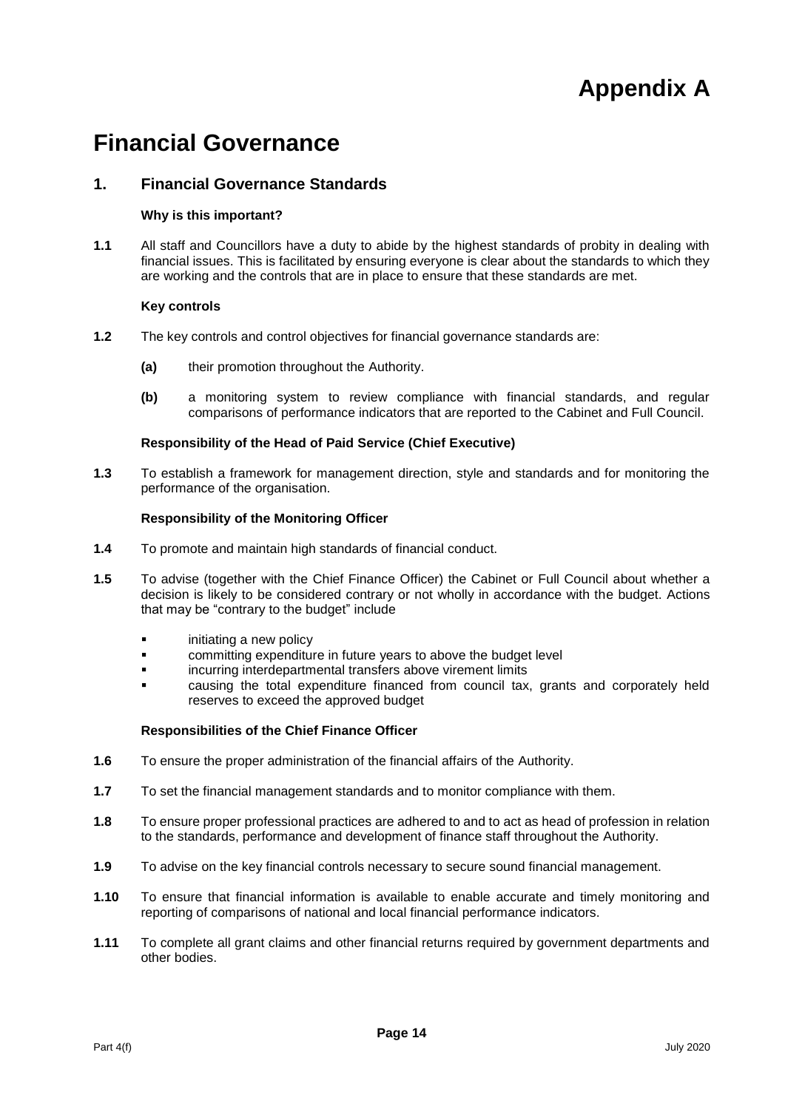# **Appendix A**

# **Financial Governance**

# **1. Financial Governance Standards**

#### **Why is this important?**

**1.1** All staff and Councillors have a duty to abide by the highest standards of probity in dealing with financial issues. This is facilitated by ensuring everyone is clear about the standards to which they are working and the controls that are in place to ensure that these standards are met.

#### **Key controls**

- **1.2** The key controls and control objectives for financial governance standards are:
	- **(a)** their promotion throughout the Authority.
	- **(b)** a monitoring system to review compliance with financial standards, and regular comparisons of performance indicators that are reported to the Cabinet and Full Council.

#### **Responsibility of the Head of Paid Service (Chief Executive)**

**1.3** To establish a framework for management direction, style and standards and for monitoring the performance of the organisation.

#### **Responsibility of the Monitoring Officer**

- **1.4** To promote and maintain high standards of financial conduct.
- **1.5** To advise (together with the Chief Finance Officer) the Cabinet or Full Council about whether a decision is likely to be considered contrary or not wholly in accordance with the budget. Actions that may be "contrary to the budget" include
	- initiating a new policy
	- committing expenditure in future years to above the budget level
	- incurring interdepartmental transfers above virement limits
	- causing the total expenditure financed from council tax, grants and corporately held reserves to exceed the approved budget

- **1.6** To ensure the proper administration of the financial affairs of the Authority.
- **1.7** To set the financial management standards and to monitor compliance with them.
- **1.8** To ensure proper professional practices are adhered to and to act as head of profession in relation to the standards, performance and development of finance staff throughout the Authority.
- **1.9** To advise on the key financial controls necessary to secure sound financial management.
- **1.10** To ensure that financial information is available to enable accurate and timely monitoring and reporting of comparisons of national and local financial performance indicators.
- **1.11** To complete all grant claims and other financial returns required by government departments and other bodies.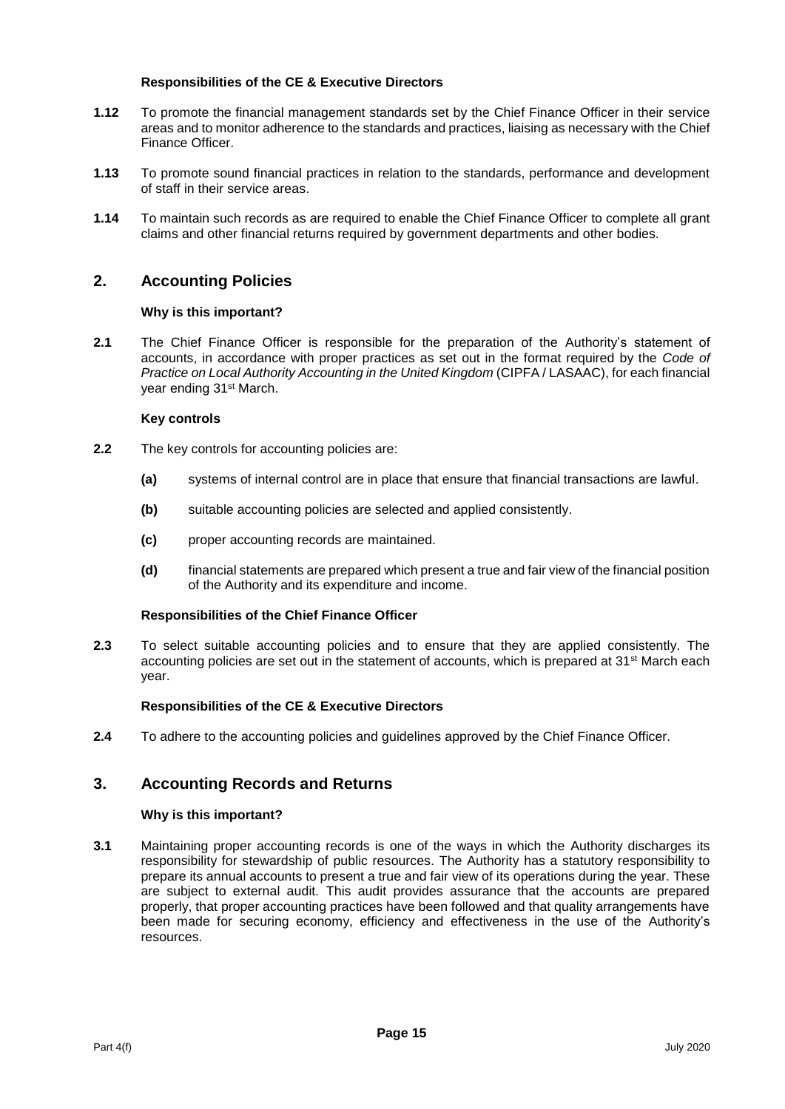# **Responsibilities of the CE & Executive Directors**

- **1.12** To promote the financial management standards set by the Chief Finance Officer in their service areas and to monitor adherence to the standards and practices, liaising as necessary with the Chief Finance Officer.
- **1.13** To promote sound financial practices in relation to the standards, performance and development of staff in their service areas.
- **1.14** To maintain such records as are required to enable the Chief Finance Officer to complete all grant claims and other financial returns required by government departments and other bodies.

# **2. Accounting Policies**

#### **Why is this important?**

**2.1** The Chief Finance Officer is responsible for the preparation of the Authority's statement of accounts, in accordance with proper practices as set out in the format required by the *Code of Practice on Local Authority Accounting in the United Kingdom* (CIPFA / LASAAC), for each financial year ending 31st March.

#### **Key controls**

- **2.2** The key controls for accounting policies are:
	- **(a)** systems of internal control are in place that ensure that financial transactions are lawful.
	- **(b)** suitable accounting policies are selected and applied consistently.
	- **(c)** proper accounting records are maintained.
	- **(d)** financial statements are prepared which present a true and fair view of the financial position of the Authority and its expenditure and income.

#### **Responsibilities of the Chief Finance Officer**

**2.3** To select suitable accounting policies and to ensure that they are applied consistently. The accounting policies are set out in the statement of accounts, which is prepared at 31<sup>st</sup> March each year.

#### **Responsibilities of the CE & Executive Directors**

**2.4** To adhere to the accounting policies and guidelines approved by the Chief Finance Officer.

# **3. Accounting Records and Returns**

#### **Why is this important?**

**3.1** Maintaining proper accounting records is one of the ways in which the Authority discharges its responsibility for stewardship of public resources. The Authority has a statutory responsibility to prepare its annual accounts to present a true and fair view of its operations during the year. These are subject to external audit. This audit provides assurance that the accounts are prepared properly, that proper accounting practices have been followed and that quality arrangements have been made for securing economy, efficiency and effectiveness in the use of the Authority's resources.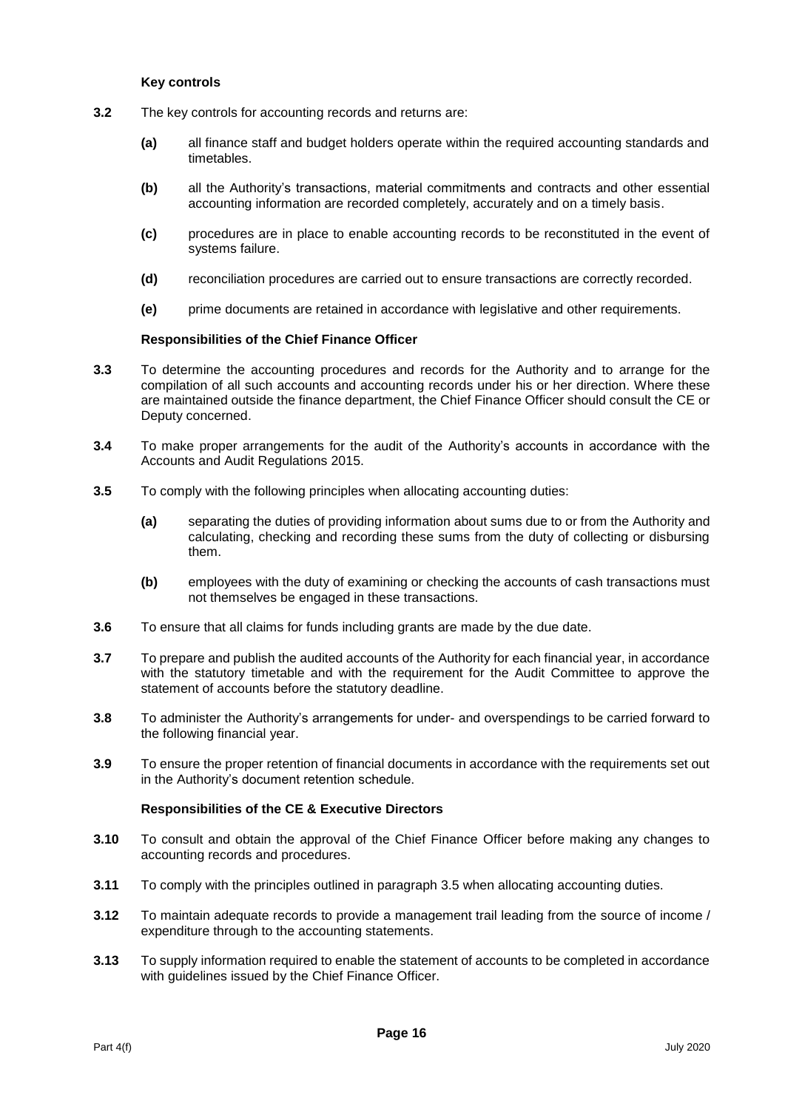#### **Key controls**

- **3.2** The key controls for accounting records and returns are:
	- **(a)** all finance staff and budget holders operate within the required accounting standards and timetables.
	- **(b)** all the Authority's transactions, material commitments and contracts and other essential accounting information are recorded completely, accurately and on a timely basis.
	- **(c)** procedures are in place to enable accounting records to be reconstituted in the event of systems failure.
	- **(d)** reconciliation procedures are carried out to ensure transactions are correctly recorded.
	- **(e)** prime documents are retained in accordance with legislative and other requirements.

#### **Responsibilities of the Chief Finance Officer**

- **3.3** To determine the accounting procedures and records for the Authority and to arrange for the compilation of all such accounts and accounting records under his or her direction. Where these are maintained outside the finance department, the Chief Finance Officer should consult the CE or Deputy concerned.
- **3.4** To make proper arrangements for the audit of the Authority's accounts in accordance with the Accounts and Audit Regulations 2015.
- **3.5** To comply with the following principles when allocating accounting duties:
	- **(a)** separating the duties of providing information about sums due to or from the Authority and calculating, checking and recording these sums from the duty of collecting or disbursing them.
	- **(b)** employees with the duty of examining or checking the accounts of cash transactions must not themselves be engaged in these transactions.
- **3.6** To ensure that all claims for funds including grants are made by the due date.
- **3.7** To prepare and publish the audited accounts of the Authority for each financial year, in accordance with the statutory timetable and with the requirement for the Audit Committee to approve the statement of accounts before the statutory deadline.
- **3.8** To administer the Authority's arrangements for under- and overspendings to be carried forward to the following financial year.
- **3.9** To ensure the proper retention of financial documents in accordance with the requirements set out in the Authority's document retention schedule.

- **3.10** To consult and obtain the approval of the Chief Finance Officer before making any changes to accounting records and procedures.
- **3.11** To comply with the principles outlined in paragraph 3.5 when allocating accounting duties.
- **3.12** To maintain adequate records to provide a management trail leading from the source of income / expenditure through to the accounting statements.
- **3.13** To supply information required to enable the statement of accounts to be completed in accordance with quidelines issued by the Chief Finance Officer.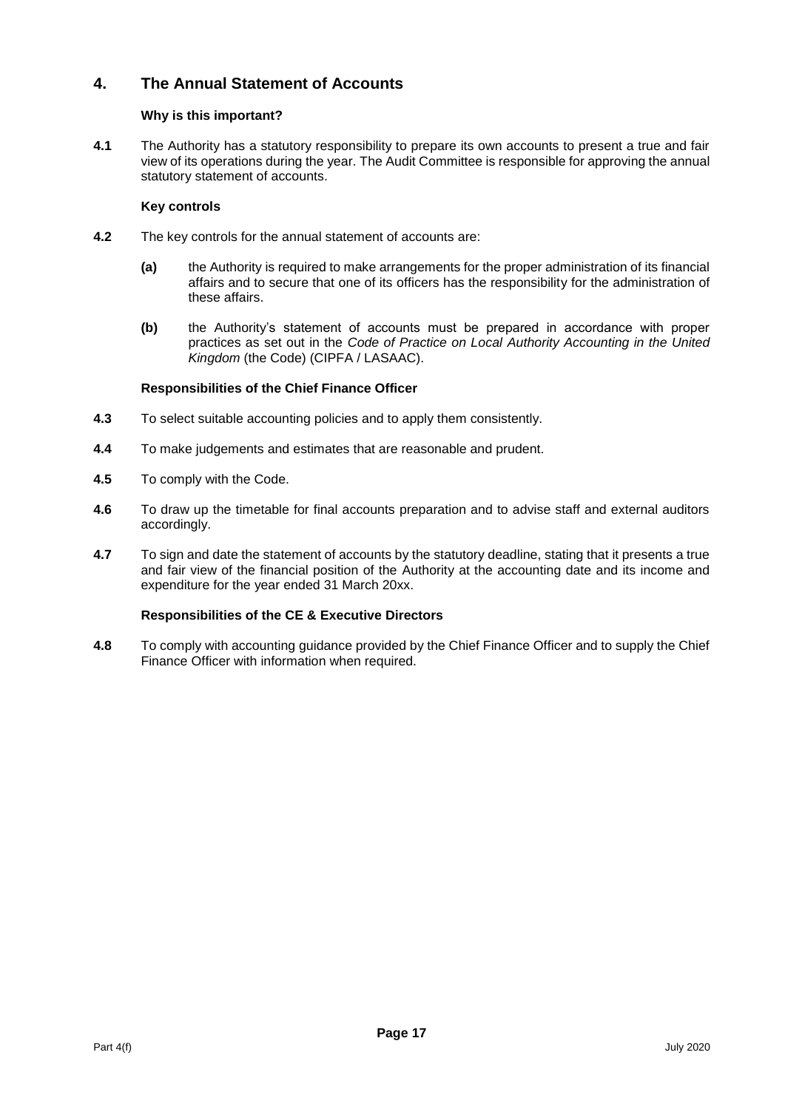# **4. The Annual Statement of Accounts**

# **Why is this important?**

**4.1** The Authority has a statutory responsibility to prepare its own accounts to present a true and fair view of its operations during the year. The Audit Committee is responsible for approving the annual statutory statement of accounts.

# **Key controls**

- **4.2** The key controls for the annual statement of accounts are:
	- **(a)** the Authority is required to make arrangements for the proper administration of its financial affairs and to secure that one of its officers has the responsibility for the administration of these affairs.
	- **(b)** the Authority's statement of accounts must be prepared in accordance with proper practices as set out in the *Code of Practice on Local Authority Accounting in the United Kingdom* (the Code) (CIPFA / LASAAC).

# **Responsibilities of the Chief Finance Officer**

- **4.3** To select suitable accounting policies and to apply them consistently.
- **4.4** To make judgements and estimates that are reasonable and prudent.
- **4.5** To comply with the Code.
- **4.6** To draw up the timetable for final accounts preparation and to advise staff and external auditors accordingly.
- **4.7** To sign and date the statement of accounts by the statutory deadline, stating that it presents a true and fair view of the financial position of the Authority at the accounting date and its income and expenditure for the year ended 31 March 20xx.

# **Responsibilities of the CE & Executive Directors**

**4.8** To comply with accounting guidance provided by the Chief Finance Officer and to supply the Chief Finance Officer with information when required.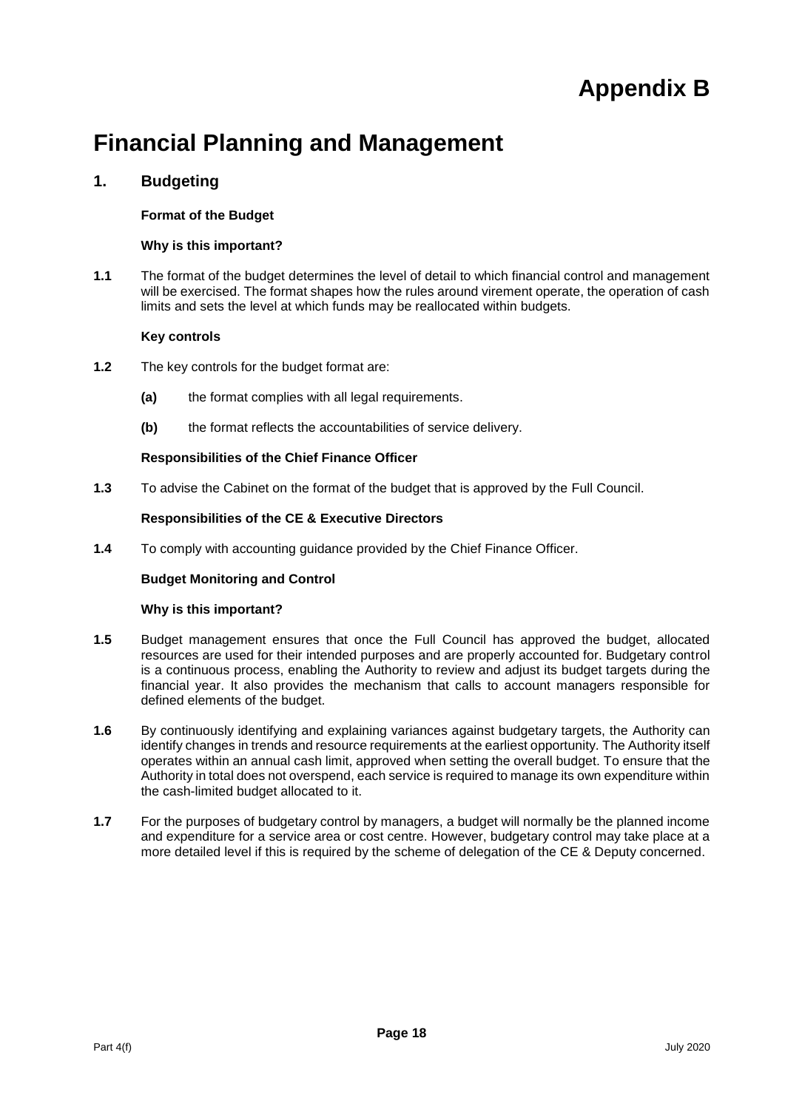# **Appendix B**

# **Financial Planning and Management**

# **1. Budgeting**

# **Format of the Budget**

# **Why is this important?**

**1.1** The format of the budget determines the level of detail to which financial control and management will be exercised. The format shapes how the rules around virement operate, the operation of cash limits and sets the level at which funds may be reallocated within budgets.

# **Key controls**

- **1.2** The key controls for the budget format are:
	- **(a)** the format complies with all legal requirements.
	- **(b)** the format reflects the accountabilities of service delivery.

# **Responsibilities of the Chief Finance Officer**

**1.3** To advise the Cabinet on the format of the budget that is approved by the Full Council.

# **Responsibilities of the CE & Executive Directors**

**1.4** To comply with accounting guidance provided by the Chief Finance Officer.

# **Budget Monitoring and Control**

# **Why is this important?**

- **1.5** Budget management ensures that once the Full Council has approved the budget, allocated resources are used for their intended purposes and are properly accounted for. Budgetary control is a continuous process, enabling the Authority to review and adjust its budget targets during the financial year. It also provides the mechanism that calls to account managers responsible for defined elements of the budget.
- **1.6** By continuously identifying and explaining variances against budgetary targets, the Authority can identify changes in trends and resource requirements at the earliest opportunity. The Authority itself operates within an annual cash limit, approved when setting the overall budget. To ensure that the Authority in total does not overspend, each service is required to manage its own expenditure within the cash-limited budget allocated to it.
- **1.7** For the purposes of budgetary control by managers, a budget will normally be the planned income and expenditure for a service area or cost centre. However, budgetary control may take place at a more detailed level if this is required by the scheme of delegation of the CE & Deputy concerned.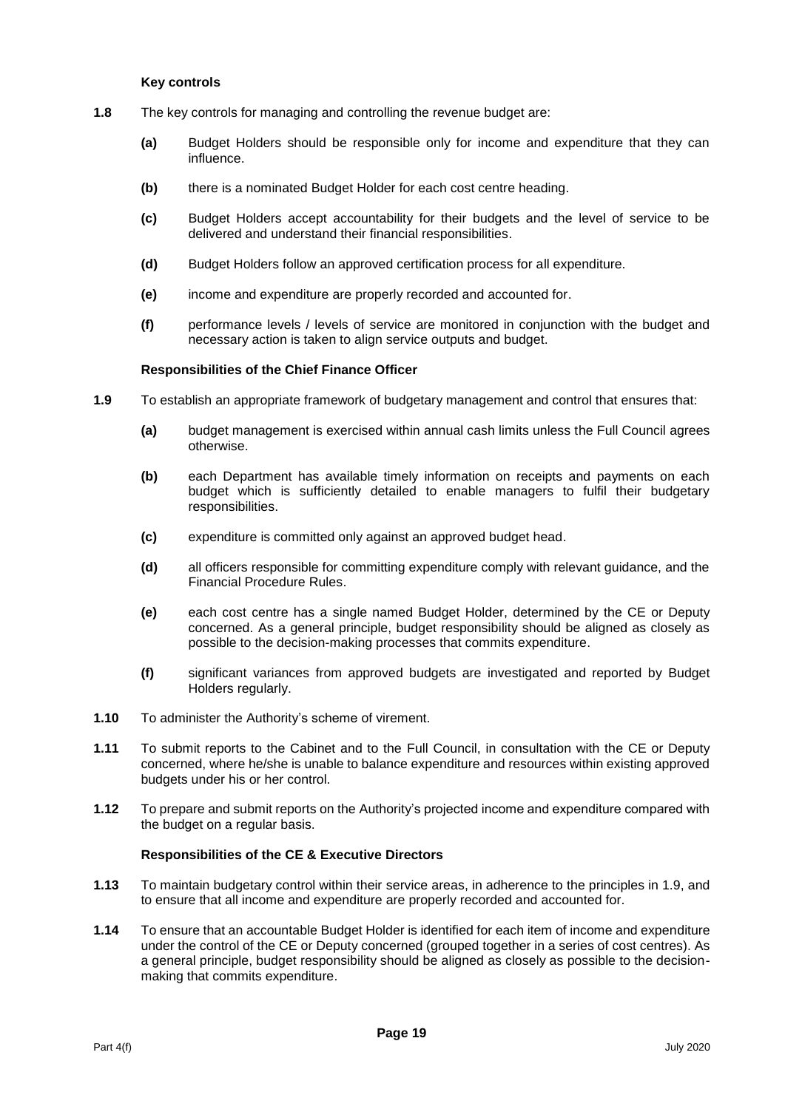#### **Key controls**

- **1.8** The key controls for managing and controlling the revenue budget are:
	- **(a)** Budget Holders should be responsible only for income and expenditure that they can influence.
	- **(b)** there is a nominated Budget Holder for each cost centre heading.
	- **(c)** Budget Holders accept accountability for their budgets and the level of service to be delivered and understand their financial responsibilities.
	- **(d)** Budget Holders follow an approved certification process for all expenditure.
	- **(e)** income and expenditure are properly recorded and accounted for.
	- **(f)** performance levels / levels of service are monitored in conjunction with the budget and necessary action is taken to align service outputs and budget.

#### **Responsibilities of the Chief Finance Officer**

- **1.9** To establish an appropriate framework of budgetary management and control that ensures that:
	- **(a)** budget management is exercised within annual cash limits unless the Full Council agrees otherwise.
	- **(b)** each Department has available timely information on receipts and payments on each budget which is sufficiently detailed to enable managers to fulfil their budgetary responsibilities.
	- **(c)** expenditure is committed only against an approved budget head.
	- **(d)** all officers responsible for committing expenditure comply with relevant guidance, and the Financial Procedure Rules.
	- **(e)** each cost centre has a single named Budget Holder, determined by the CE or Deputy concerned. As a general principle, budget responsibility should be aligned as closely as possible to the decision-making processes that commits expenditure.
	- **(f)** significant variances from approved budgets are investigated and reported by Budget Holders regularly.
- **1.10** To administer the Authority's scheme of virement.
- **1.11** To submit reports to the Cabinet and to the Full Council, in consultation with the CE or Deputy concerned, where he/she is unable to balance expenditure and resources within existing approved budgets under his or her control.
- **1.12** To prepare and submit reports on the Authority's projected income and expenditure compared with the budget on a regular basis.

- **1.13** To maintain budgetary control within their service areas, in adherence to the principles in 1.9, and to ensure that all income and expenditure are properly recorded and accounted for.
- **1.14** To ensure that an accountable Budget Holder is identified for each item of income and expenditure under the control of the CE or Deputy concerned (grouped together in a series of cost centres). As a general principle, budget responsibility should be aligned as closely as possible to the decisionmaking that commits expenditure.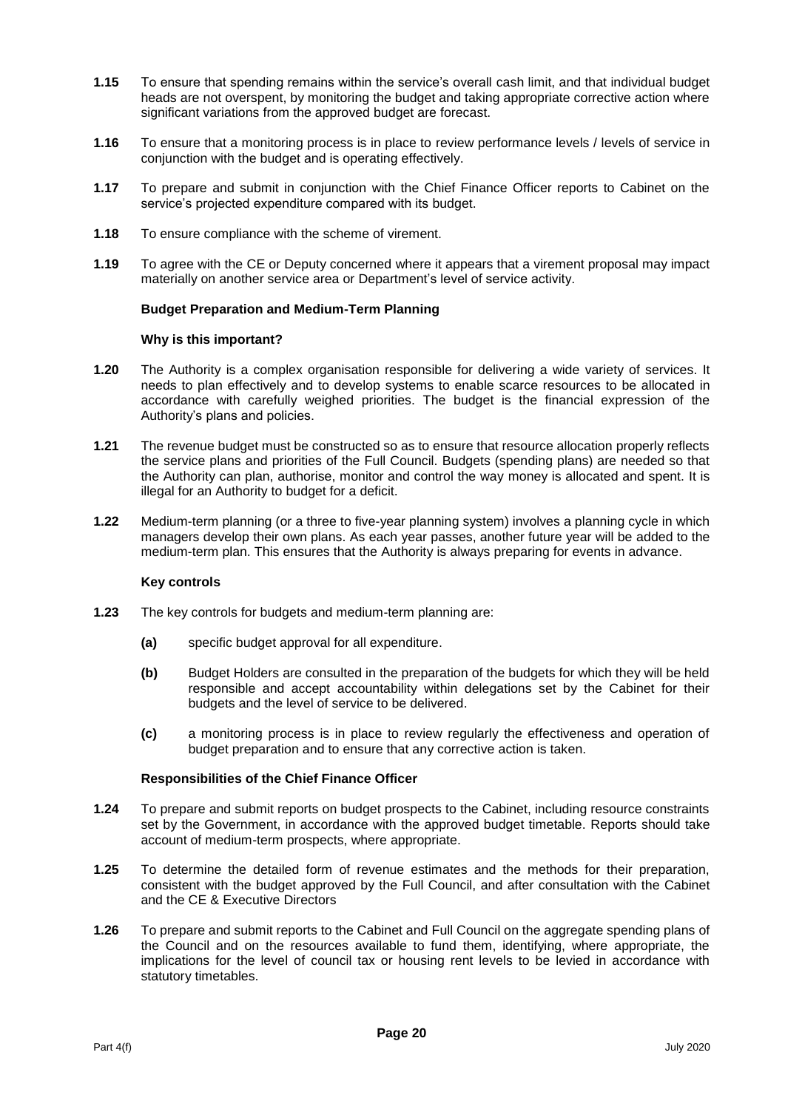- **1.15** To ensure that spending remains within the service's overall cash limit, and that individual budget heads are not overspent, by monitoring the budget and taking appropriate corrective action where significant variations from the approved budget are forecast.
- **1.16** To ensure that a monitoring process is in place to review performance levels / levels of service in conjunction with the budget and is operating effectively.
- **1.17** To prepare and submit in conjunction with the Chief Finance Officer reports to Cabinet on the service's projected expenditure compared with its budget.
- **1.18** To ensure compliance with the scheme of virement.
- **1.19** To agree with the CE or Deputy concerned where it appears that a virement proposal may impact materially on another service area or Department's level of service activity.

#### **Budget Preparation and Medium-Term Planning**

#### **Why is this important?**

- **1.20** The Authority is a complex organisation responsible for delivering a wide variety of services. It needs to plan effectively and to develop systems to enable scarce resources to be allocated in accordance with carefully weighed priorities. The budget is the financial expression of the Authority's plans and policies.
- **1.21** The revenue budget must be constructed so as to ensure that resource allocation properly reflects the service plans and priorities of the Full Council. Budgets (spending plans) are needed so that the Authority can plan, authorise, monitor and control the way money is allocated and spent. It is illegal for an Authority to budget for a deficit.
- **1.22** Medium-term planning (or a three to five-year planning system) involves a planning cycle in which managers develop their own plans. As each year passes, another future year will be added to the medium-term plan. This ensures that the Authority is always preparing for events in advance.

#### **Key controls**

- **1.23** The key controls for budgets and medium-term planning are:
	- **(a)** specific budget approval for all expenditure.
	- **(b)** Budget Holders are consulted in the preparation of the budgets for which they will be held responsible and accept accountability within delegations set by the Cabinet for their budgets and the level of service to be delivered.
	- **(c)** a monitoring process is in place to review regularly the effectiveness and operation of budget preparation and to ensure that any corrective action is taken.

- **1.24** To prepare and submit reports on budget prospects to the Cabinet, including resource constraints set by the Government, in accordance with the approved budget timetable. Reports should take account of medium-term prospects, where appropriate.
- **1.25** To determine the detailed form of revenue estimates and the methods for their preparation, consistent with the budget approved by the Full Council, and after consultation with the Cabinet and the CE & Executive Directors
- **1.26** To prepare and submit reports to the Cabinet and Full Council on the aggregate spending plans of the Council and on the resources available to fund them, identifying, where appropriate, the implications for the level of council tax or housing rent levels to be levied in accordance with statutory timetables.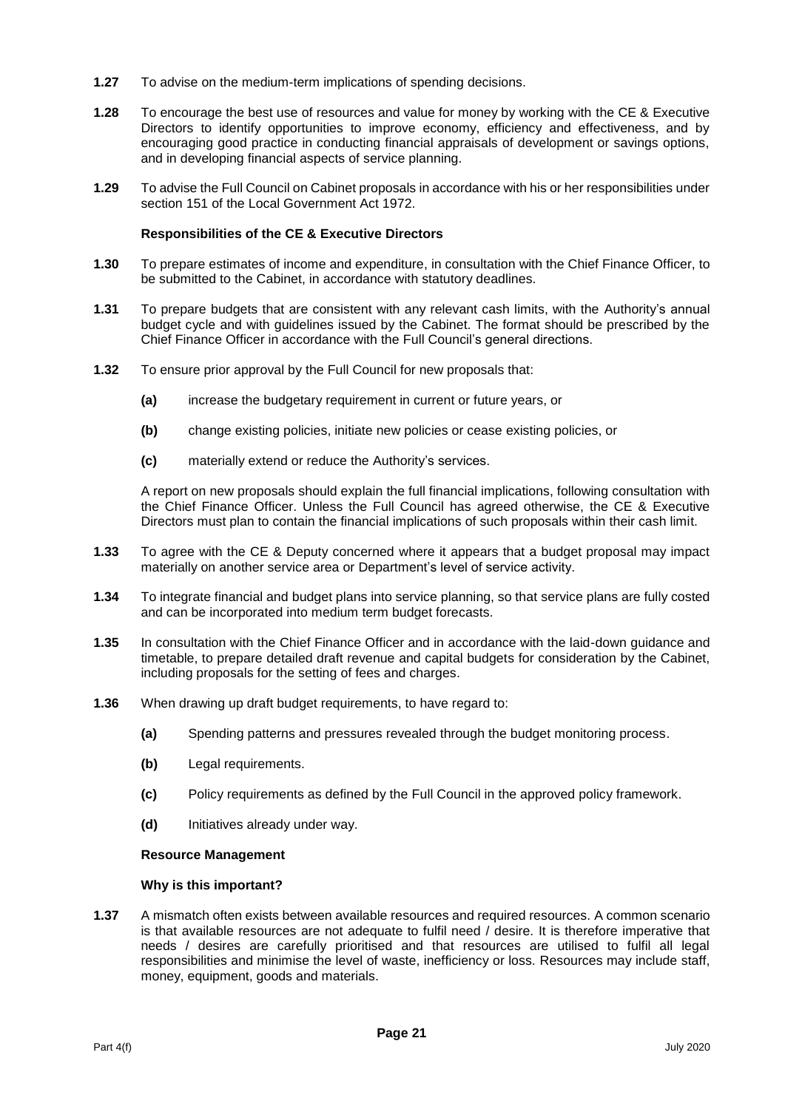- **1.27** To advise on the medium-term implications of spending decisions.
- **1.28** To encourage the best use of resources and value for money by working with the CE & Executive Directors to identify opportunities to improve economy, efficiency and effectiveness, and by encouraging good practice in conducting financial appraisals of development or savings options, and in developing financial aspects of service planning.
- **1.29** To advise the Full Council on Cabinet proposals in accordance with his or her responsibilities under section 151 of the Local Government Act 1972.

#### **Responsibilities of the CE & Executive Directors**

- **1.30** To prepare estimates of income and expenditure, in consultation with the Chief Finance Officer, to be submitted to the Cabinet, in accordance with statutory deadlines.
- **1.31** To prepare budgets that are consistent with any relevant cash limits, with the Authority's annual budget cycle and with guidelines issued by the Cabinet. The format should be prescribed by the Chief Finance Officer in accordance with the Full Council's general directions.
- **1.32** To ensure prior approval by the Full Council for new proposals that:
	- **(a)** increase the budgetary requirement in current or future years, or
	- **(b)** change existing policies, initiate new policies or cease existing policies, or
	- **(c)** materially extend or reduce the Authority's services.

A report on new proposals should explain the full financial implications, following consultation with the Chief Finance Officer. Unless the Full Council has agreed otherwise, the CE & Executive Directors must plan to contain the financial implications of such proposals within their cash limit.

- **1.33** To agree with the CE & Deputy concerned where it appears that a budget proposal may impact materially on another service area or Department's level of service activity.
- **1.34** To integrate financial and budget plans into service planning, so that service plans are fully costed and can be incorporated into medium term budget forecasts.
- **1.35** In consultation with the Chief Finance Officer and in accordance with the laid-down guidance and timetable, to prepare detailed draft revenue and capital budgets for consideration by the Cabinet, including proposals for the setting of fees and charges.
- **1.36** When drawing up draft budget requirements, to have regard to:
	- **(a)** Spending patterns and pressures revealed through the budget monitoring process.
	- **(b)** Legal requirements.
	- **(c)** Policy requirements as defined by the Full Council in the approved policy framework.
	- **(d)** Initiatives already under way.

#### **Resource Management**

#### **Why is this important?**

**1.37** A mismatch often exists between available resources and required resources. A common scenario is that available resources are not adequate to fulfil need / desire. It is therefore imperative that needs / desires are carefully prioritised and that resources are utilised to fulfil all legal responsibilities and minimise the level of waste, inefficiency or loss. Resources may include staff, money, equipment, goods and materials.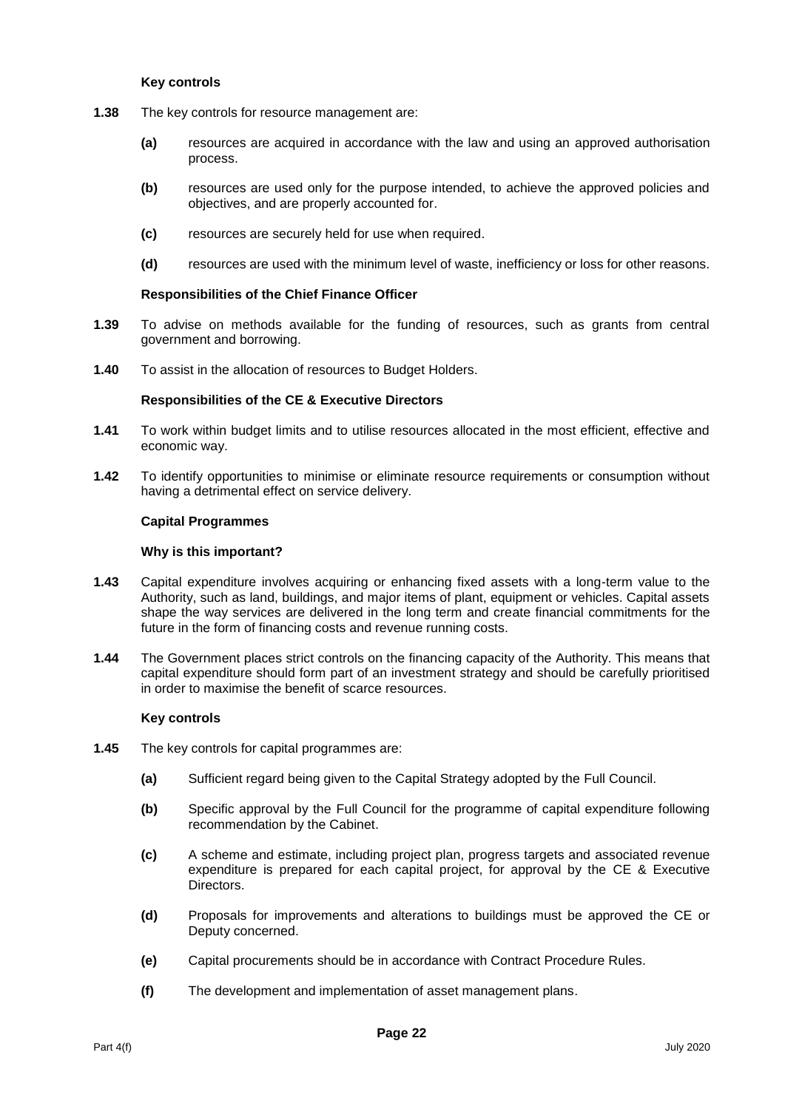#### **Key controls**

- **1.38** The key controls for resource management are:
	- **(a)** resources are acquired in accordance with the law and using an approved authorisation process.
	- **(b)** resources are used only for the purpose intended, to achieve the approved policies and objectives, and are properly accounted for.
	- **(c)** resources are securely held for use when required.
	- **(d)** resources are used with the minimum level of waste, inefficiency or loss for other reasons.

#### **Responsibilities of the Chief Finance Officer**

- **1.39** To advise on methods available for the funding of resources, such as grants from central government and borrowing.
- **1.40** To assist in the allocation of resources to Budget Holders.

#### **Responsibilities of the CE & Executive Directors**

- **1.41** To work within budget limits and to utilise resources allocated in the most efficient, effective and economic way.
- **1.42** To identify opportunities to minimise or eliminate resource requirements or consumption without having a detrimental effect on service delivery.

#### **Capital Programmes**

#### **Why is this important?**

- **1.43** Capital expenditure involves acquiring or enhancing fixed assets with a long-term value to the Authority, such as land, buildings, and major items of plant, equipment or vehicles. Capital assets shape the way services are delivered in the long term and create financial commitments for the future in the form of financing costs and revenue running costs.
- **1.44** The Government places strict controls on the financing capacity of the Authority. This means that capital expenditure should form part of an investment strategy and should be carefully prioritised in order to maximise the benefit of scarce resources.

#### **Key controls**

- **1.45** The key controls for capital programmes are:
	- **(a)** Sufficient regard being given to the Capital Strategy adopted by the Full Council.
	- **(b)** Specific approval by the Full Council for the programme of capital expenditure following recommendation by the Cabinet.
	- **(c)** A scheme and estimate, including project plan, progress targets and associated revenue expenditure is prepared for each capital project, for approval by the CE & Executive Directors.
	- **(d)** Proposals for improvements and alterations to buildings must be approved the CE or Deputy concerned.
	- **(e)** Capital procurements should be in accordance with Contract Procedure Rules.
	- **(f)** The development and implementation of asset management plans.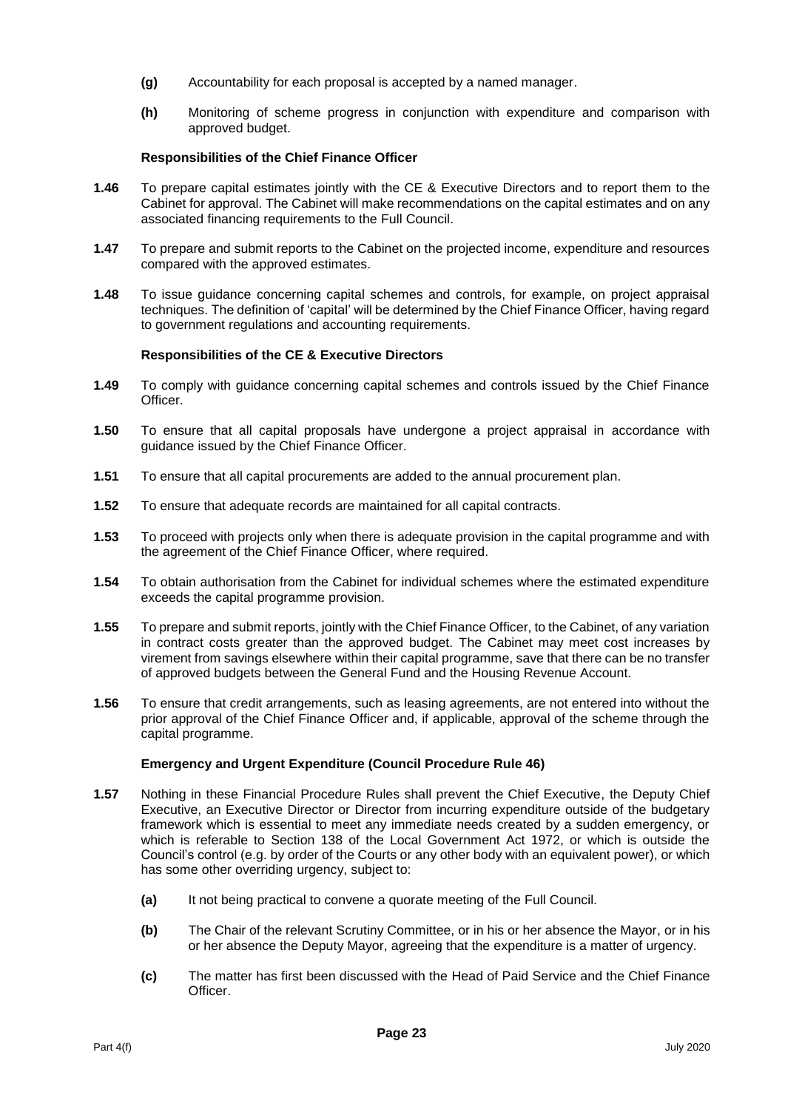- **(g)** Accountability for each proposal is accepted by a named manager.
- **(h)** Monitoring of scheme progress in conjunction with expenditure and comparison with approved budget.

#### **Responsibilities of the Chief Finance Officer**

- **1.46** To prepare capital estimates jointly with the CE & Executive Directors and to report them to the Cabinet for approval. The Cabinet will make recommendations on the capital estimates and on any associated financing requirements to the Full Council.
- **1.47** To prepare and submit reports to the Cabinet on the projected income, expenditure and resources compared with the approved estimates.
- **1.48** To issue guidance concerning capital schemes and controls, for example, on project appraisal techniques. The definition of 'capital' will be determined by the Chief Finance Officer, having regard to government regulations and accounting requirements.

#### **Responsibilities of the CE & Executive Directors**

- **1.49** To comply with guidance concerning capital schemes and controls issued by the Chief Finance Officer.
- **1.50** To ensure that all capital proposals have undergone a project appraisal in accordance with guidance issued by the Chief Finance Officer.
- **1.51** To ensure that all capital procurements are added to the annual procurement plan.
- **1.52** To ensure that adequate records are maintained for all capital contracts.
- **1.53** To proceed with projects only when there is adequate provision in the capital programme and with the agreement of the Chief Finance Officer, where required.
- **1.54** To obtain authorisation from the Cabinet for individual schemes where the estimated expenditure exceeds the capital programme provision.
- **1.55** To prepare and submit reports, jointly with the Chief Finance Officer, to the Cabinet, of any variation in contract costs greater than the approved budget. The Cabinet may meet cost increases by virement from savings elsewhere within their capital programme, save that there can be no transfer of approved budgets between the General Fund and the Housing Revenue Account.
- **1.56** To ensure that credit arrangements, such as leasing agreements, are not entered into without the prior approval of the Chief Finance Officer and, if applicable, approval of the scheme through the capital programme.

#### **Emergency and Urgent Expenditure (Council Procedure Rule 46)**

- **1.57** Nothing in these Financial Procedure Rules shall prevent the Chief Executive, the Deputy Chief Executive, an Executive Director or Director from incurring expenditure outside of the budgetary framework which is essential to meet any immediate needs created by a sudden emergency, or which is referable to Section 138 of the Local Government Act 1972, or which is outside the Council's control (e.g. by order of the Courts or any other body with an equivalent power), or which has some other overriding urgency, subject to:
	- **(a)** It not being practical to convene a quorate meeting of the Full Council.
	- **(b)** The Chair of the relevant Scrutiny Committee, or in his or her absence the Mayor, or in his or her absence the Deputy Mayor, agreeing that the expenditure is a matter of urgency.
	- **(c)** The matter has first been discussed with the Head of Paid Service and the Chief Finance **Officer**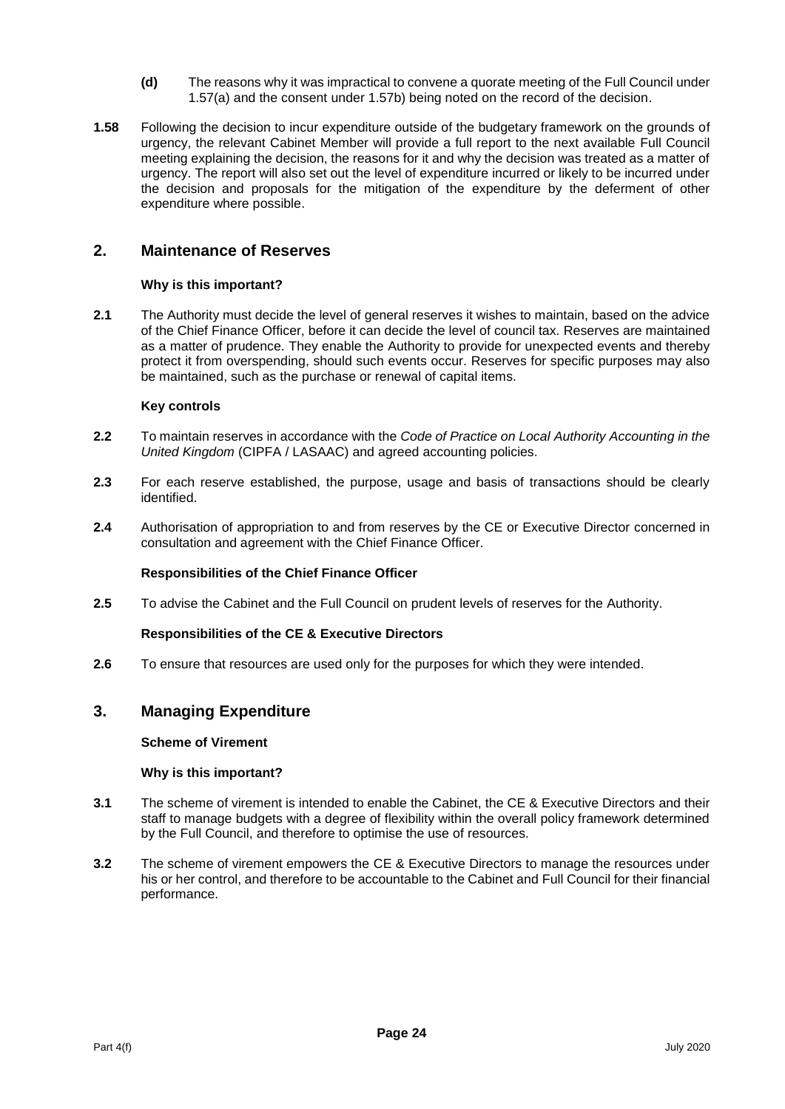- **(d)** The reasons why it was impractical to convene a quorate meeting of the Full Council under 1.57(a) and the consent under 1.57b) being noted on the record of the decision.
- **1.58** Following the decision to incur expenditure outside of the budgetary framework on the grounds of urgency, the relevant Cabinet Member will provide a full report to the next available Full Council meeting explaining the decision, the reasons for it and why the decision was treated as a matter of urgency. The report will also set out the level of expenditure incurred or likely to be incurred under the decision and proposals for the mitigation of the expenditure by the deferment of other expenditure where possible.

# **2. Maintenance of Reserves**

# **Why is this important?**

**2.1** The Authority must decide the level of general reserves it wishes to maintain, based on the advice of the Chief Finance Officer, before it can decide the level of council tax. Reserves are maintained as a matter of prudence. They enable the Authority to provide for unexpected events and thereby protect it from overspending, should such events occur. Reserves for specific purposes may also be maintained, such as the purchase or renewal of capital items.

# **Key controls**

- **2.2** To maintain reserves in accordance with the *Code of Practice on Local Authority Accounting in the United Kingdom* (CIPFA / LASAAC) and agreed accounting policies.
- **2.3** For each reserve established, the purpose, usage and basis of transactions should be clearly identified.
- **2.4** Authorisation of appropriation to and from reserves by the CE or Executive Director concerned in consultation and agreement with the Chief Finance Officer.

# **Responsibilities of the Chief Finance Officer**

**2.5** To advise the Cabinet and the Full Council on prudent levels of reserves for the Authority.

# **Responsibilities of the CE & Executive Directors**

**2.6** To ensure that resources are used only for the purposes for which they were intended.

# **3. Managing Expenditure**

# **Scheme of Virement**

# **Why is this important?**

- **3.1** The scheme of virement is intended to enable the Cabinet, the CE & Executive Directors and their staff to manage budgets with a degree of flexibility within the overall policy framework determined by the Full Council, and therefore to optimise the use of resources.
- **3.2** The scheme of virement empowers the CE & Executive Directors to manage the resources under his or her control, and therefore to be accountable to the Cabinet and Full Council for their financial performance.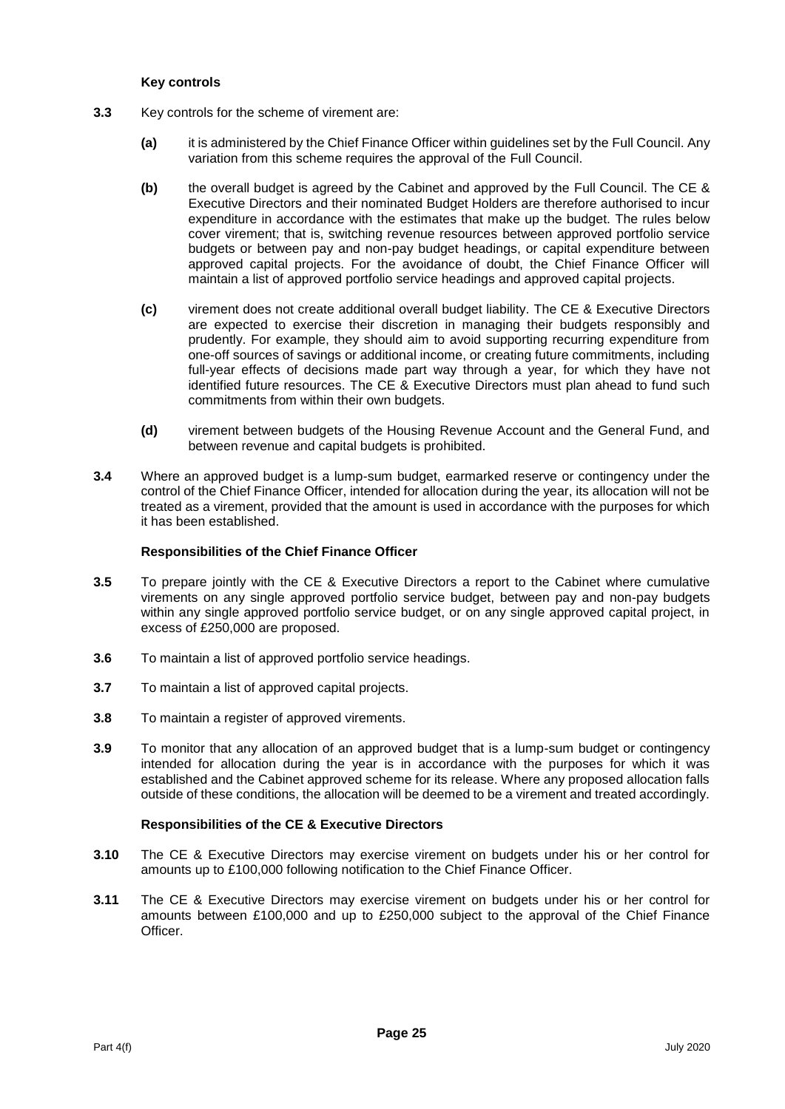#### **Key controls**

- **3.3** Key controls for the scheme of virement are:
	- **(a)** it is administered by the Chief Finance Officer within guidelines set by the Full Council. Any variation from this scheme requires the approval of the Full Council.
	- **(b)** the overall budget is agreed by the Cabinet and approved by the Full Council. The CE & Executive Directors and their nominated Budget Holders are therefore authorised to incur expenditure in accordance with the estimates that make up the budget. The rules below cover virement; that is, switching revenue resources between approved portfolio service budgets or between pay and non-pay budget headings, or capital expenditure between approved capital projects. For the avoidance of doubt, the Chief Finance Officer will maintain a list of approved portfolio service headings and approved capital projects.
	- **(c)** virement does not create additional overall budget liability. The CE & Executive Directors are expected to exercise their discretion in managing their budgets responsibly and prudently. For example, they should aim to avoid supporting recurring expenditure from one-off sources of savings or additional income, or creating future commitments, including full-year effects of decisions made part way through a year, for which they have not identified future resources. The CE & Executive Directors must plan ahead to fund such commitments from within their own budgets.
	- **(d)** virement between budgets of the Housing Revenue Account and the General Fund, and between revenue and capital budgets is prohibited.
- **3.4** Where an approved budget is a lump-sum budget, earmarked reserve or contingency under the control of the Chief Finance Officer, intended for allocation during the year, its allocation will not be treated as a virement, provided that the amount is used in accordance with the purposes for which it has been established.

# **Responsibilities of the Chief Finance Officer**

- **3.5** To prepare jointly with the CE & Executive Directors a report to the Cabinet where cumulative virements on any single approved portfolio service budget, between pay and non-pay budgets within any single approved portfolio service budget, or on any single approved capital project, in excess of £250,000 are proposed.
- **3.6** To maintain a list of approved portfolio service headings.
- **3.7** To maintain a list of approved capital projects.
- **3.8** To maintain a register of approved virements.
- **3.9** To monitor that any allocation of an approved budget that is a lump-sum budget or contingency intended for allocation during the year is in accordance with the purposes for which it was established and the Cabinet approved scheme for its release. Where any proposed allocation falls outside of these conditions, the allocation will be deemed to be a virement and treated accordingly.

- **3.10** The CE & Executive Directors may exercise virement on budgets under his or her control for amounts up to £100,000 following notification to the Chief Finance Officer.
- **3.11** The CE & Executive Directors may exercise virement on budgets under his or her control for amounts between £100,000 and up to £250,000 subject to the approval of the Chief Finance Officer.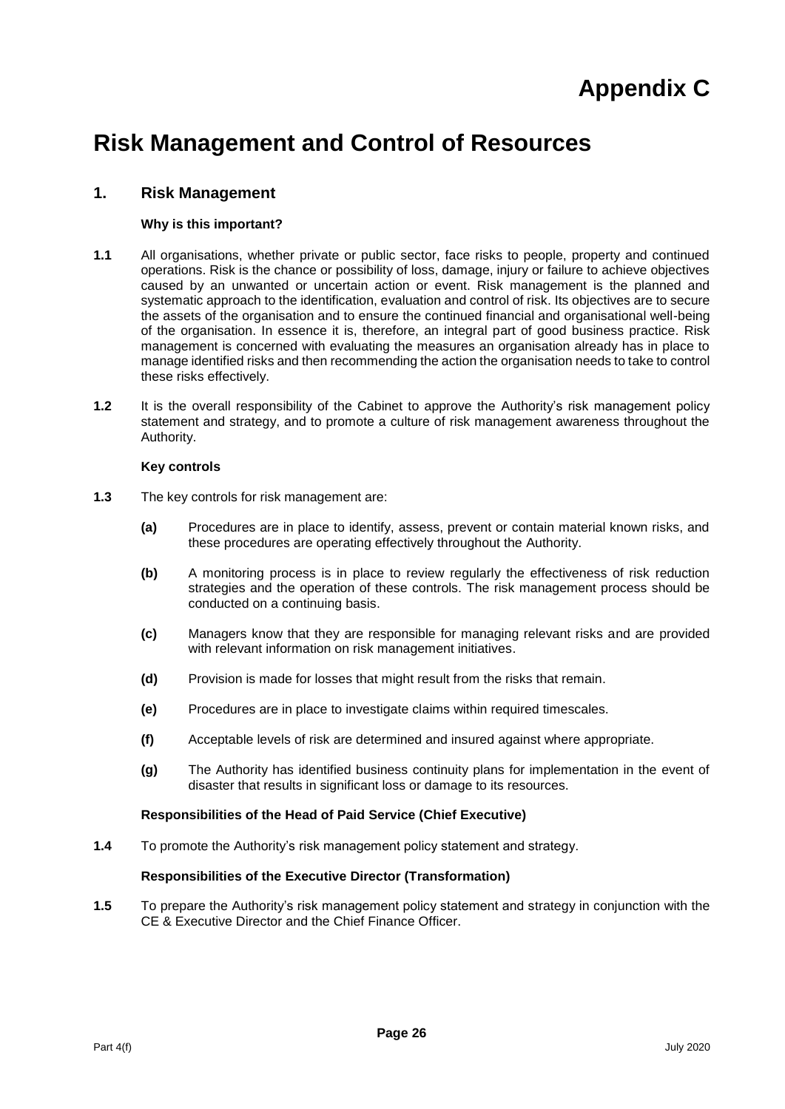# **Appendix C**

# **Risk Management and Control of Resources**

# **1. Risk Management**

# **Why is this important?**

- **1.1** All organisations, whether private or public sector, face risks to people, property and continued operations. Risk is the chance or possibility of loss, damage, injury or failure to achieve objectives caused by an unwanted or uncertain action or event. Risk management is the planned and systematic approach to the identification, evaluation and control of risk. Its objectives are to secure the assets of the organisation and to ensure the continued financial and organisational well-being of the organisation. In essence it is, therefore, an integral part of good business practice. Risk management is concerned with evaluating the measures an organisation already has in place to manage identified risks and then recommending the action the organisation needs to take to control these risks effectively.
- **1.2** It is the overall responsibility of the Cabinet to approve the Authority's risk management policy statement and strategy, and to promote a culture of risk management awareness throughout the Authority.

# **Key controls**

- **1.3** The key controls for risk management are:
	- **(a)** Procedures are in place to identify, assess, prevent or contain material known risks, and these procedures are operating effectively throughout the Authority.
	- **(b)** A monitoring process is in place to review regularly the effectiveness of risk reduction strategies and the operation of these controls. The risk management process should be conducted on a continuing basis.
	- **(c)** Managers know that they are responsible for managing relevant risks and are provided with relevant information on risk management initiatives.
	- **(d)** Provision is made for losses that might result from the risks that remain.
	- **(e)** Procedures are in place to investigate claims within required timescales.
	- **(f)** Acceptable levels of risk are determined and insured against where appropriate.
	- **(g)** The Authority has identified business continuity plans for implementation in the event of disaster that results in significant loss or damage to its resources.

#### **Responsibilities of the Head of Paid Service (Chief Executive)**

**1.4** To promote the Authority's risk management policy statement and strategy.

# **Responsibilities of the Executive Director (Transformation)**

**1.5** To prepare the Authority's risk management policy statement and strategy in conjunction with the CE & Executive Director and the Chief Finance Officer.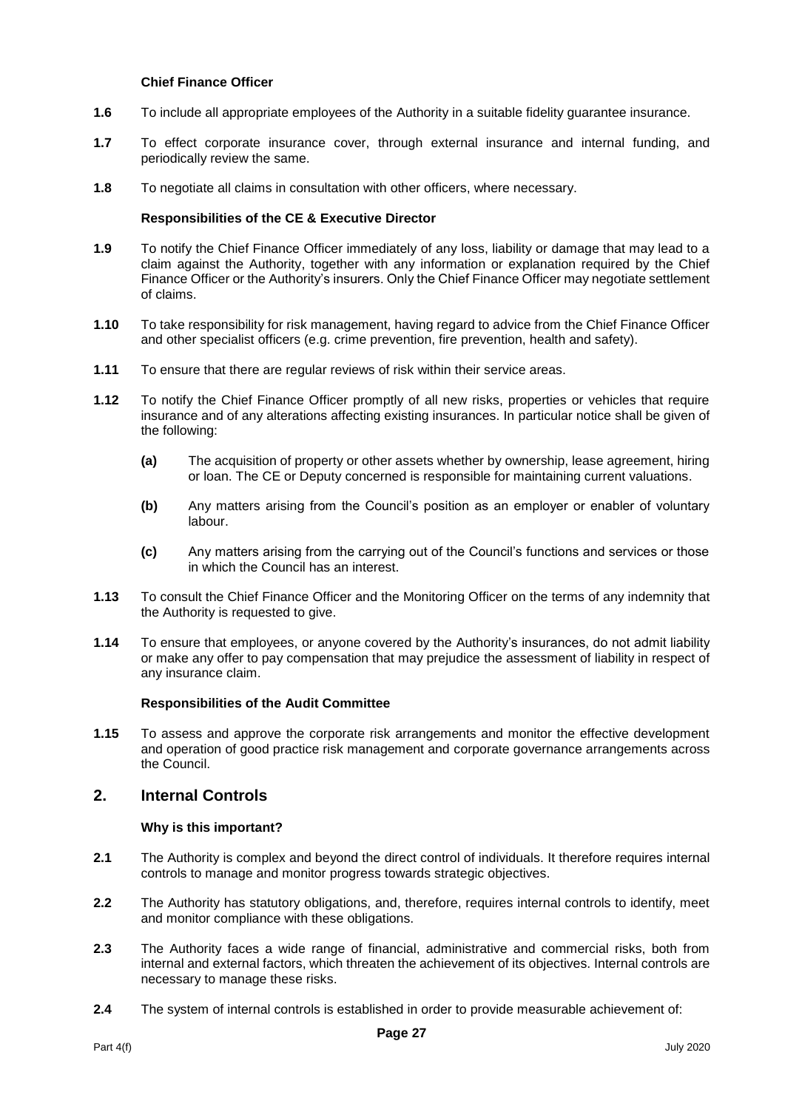#### **Chief Finance Officer**

- **1.6** To include all appropriate employees of the Authority in a suitable fidelity guarantee insurance.
- **1.7** To effect corporate insurance cover, through external insurance and internal funding, and periodically review the same.
- **1.8** To negotiate all claims in consultation with other officers, where necessary.

#### **Responsibilities of the CE & Executive Director**

- **1.9** To notify the Chief Finance Officer immediately of any loss, liability or damage that may lead to a claim against the Authority, together with any information or explanation required by the Chief Finance Officer or the Authority's insurers. Only the Chief Finance Officer may negotiate settlement of claims.
- **1.10** To take responsibility for risk management, having regard to advice from the Chief Finance Officer and other specialist officers (e.g. crime prevention, fire prevention, health and safety).
- **1.11** To ensure that there are regular reviews of risk within their service areas.
- **1.12** To notify the Chief Finance Officer promptly of all new risks, properties or vehicles that require insurance and of any alterations affecting existing insurances. In particular notice shall be given of the following:
	- **(a)** The acquisition of property or other assets whether by ownership, lease agreement, hiring or loan. The CE or Deputy concerned is responsible for maintaining current valuations.
	- **(b)** Any matters arising from the Council's position as an employer or enabler of voluntary labour.
	- **(c)** Any matters arising from the carrying out of the Council's functions and services or those in which the Council has an interest.
- **1.13** To consult the Chief Finance Officer and the Monitoring Officer on the terms of any indemnity that the Authority is requested to give.
- **1.14** To ensure that employees, or anyone covered by the Authority's insurances, do not admit liability or make any offer to pay compensation that may prejudice the assessment of liability in respect of any insurance claim.

#### **Responsibilities of the Audit Committee**

**1.15** To assess and approve the corporate risk arrangements and monitor the effective development and operation of good practice risk management and corporate governance arrangements across the Council.

# **2. Internal Controls**

#### **Why is this important?**

- **2.1** The Authority is complex and beyond the direct control of individuals. It therefore requires internal controls to manage and monitor progress towards strategic objectives.
- **2.2** The Authority has statutory obligations, and, therefore, requires internal controls to identify, meet and monitor compliance with these obligations.
- **2.3** The Authority faces a wide range of financial, administrative and commercial risks, both from internal and external factors, which threaten the achievement of its objectives. Internal controls are necessary to manage these risks.
- **2.4** The system of internal controls is established in order to provide measurable achievement of: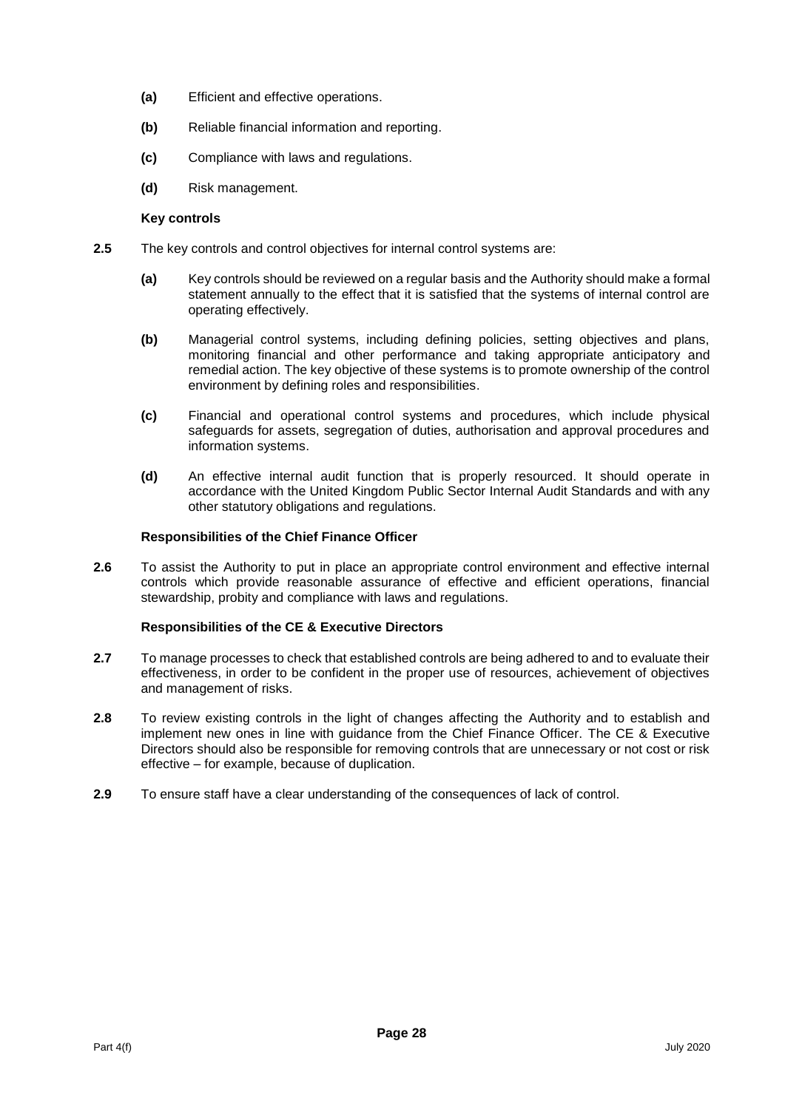- **(a)** Efficient and effective operations.
- **(b)** Reliable financial information and reporting.
- **(c)** Compliance with laws and regulations.
- **(d)** Risk management.

#### **Key controls**

- **2.5** The key controls and control objectives for internal control systems are:
	- **(a)** Key controls should be reviewed on a regular basis and the Authority should make a formal statement annually to the effect that it is satisfied that the systems of internal control are operating effectively.
	- **(b)** Managerial control systems, including defining policies, setting objectives and plans, monitoring financial and other performance and taking appropriate anticipatory and remedial action. The key objective of these systems is to promote ownership of the control environment by defining roles and responsibilities.
	- **(c)** Financial and operational control systems and procedures, which include physical safeguards for assets, segregation of duties, authorisation and approval procedures and information systems.
	- **(d)** An effective internal audit function that is properly resourced. It should operate in accordance with the United Kingdom Public Sector Internal Audit Standards and with any other statutory obligations and regulations.

# **Responsibilities of the Chief Finance Officer**

**2.6** To assist the Authority to put in place an appropriate control environment and effective internal controls which provide reasonable assurance of effective and efficient operations, financial stewardship, probity and compliance with laws and regulations.

- **2.7** To manage processes to check that established controls are being adhered to and to evaluate their effectiveness, in order to be confident in the proper use of resources, achievement of objectives and management of risks.
- **2.8** To review existing controls in the light of changes affecting the Authority and to establish and implement new ones in line with guidance from the Chief Finance Officer. The CE & Executive Directors should also be responsible for removing controls that are unnecessary or not cost or risk effective – for example, because of duplication.
- **2.9** To ensure staff have a clear understanding of the consequences of lack of control.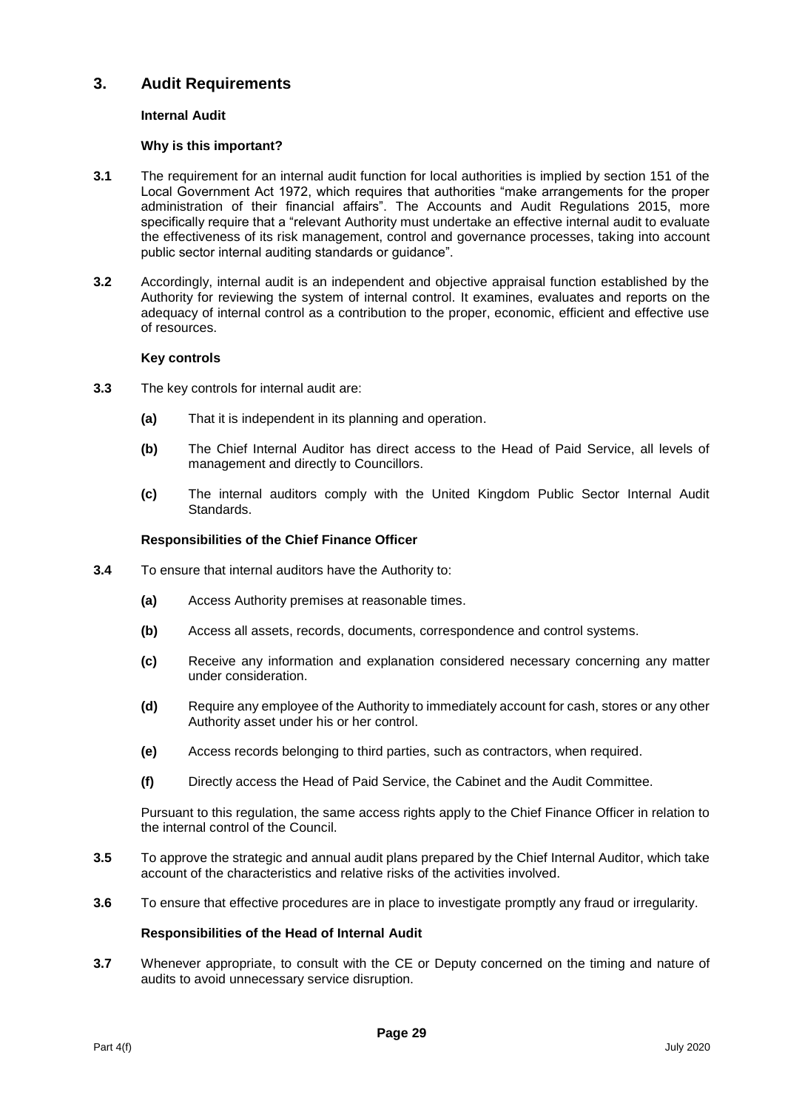# **3. Audit Requirements**

# **Internal Audit**

#### **Why is this important?**

- **3.1** The requirement for an internal audit function for local authorities is implied by section 151 of the Local Government Act 1972, which requires that authorities "make arrangements for the proper administration of their financial affairs". The Accounts and Audit Regulations 2015, more specifically require that a "relevant Authority must undertake an effective internal audit to evaluate the effectiveness of its risk management, control and governance processes, taking into account public sector internal auditing standards or guidance".
- **3.2** Accordingly, internal audit is an independent and objective appraisal function established by the Authority for reviewing the system of internal control. It examines, evaluates and reports on the adequacy of internal control as a contribution to the proper, economic, efficient and effective use of resources.

#### **Key controls**

- **3.3** The key controls for internal audit are:
	- **(a)** That it is independent in its planning and operation.
	- **(b)** The Chief Internal Auditor has direct access to the Head of Paid Service, all levels of management and directly to Councillors.
	- **(c)** The internal auditors comply with the United Kingdom Public Sector Internal Audit Standards.

#### **Responsibilities of the Chief Finance Officer**

- **3.4** To ensure that internal auditors have the Authority to:
	- **(a)** Access Authority premises at reasonable times.
	- **(b)** Access all assets, records, documents, correspondence and control systems.
	- **(c)** Receive any information and explanation considered necessary concerning any matter under consideration.
	- **(d)** Require any employee of the Authority to immediately account for cash, stores or any other Authority asset under his or her control.
	- **(e)** Access records belonging to third parties, such as contractors, when required.
	- **(f)** Directly access the Head of Paid Service, the Cabinet and the Audit Committee.

Pursuant to this regulation, the same access rights apply to the Chief Finance Officer in relation to the internal control of the Council.

- **3.5** To approve the strategic and annual audit plans prepared by the Chief Internal Auditor, which take account of the characteristics and relative risks of the activities involved.
- **3.6** To ensure that effective procedures are in place to investigate promptly any fraud or irregularity.

#### **Responsibilities of the Head of Internal Audit**

**3.7** Whenever appropriate, to consult with the CE or Deputy concerned on the timing and nature of audits to avoid unnecessary service disruption.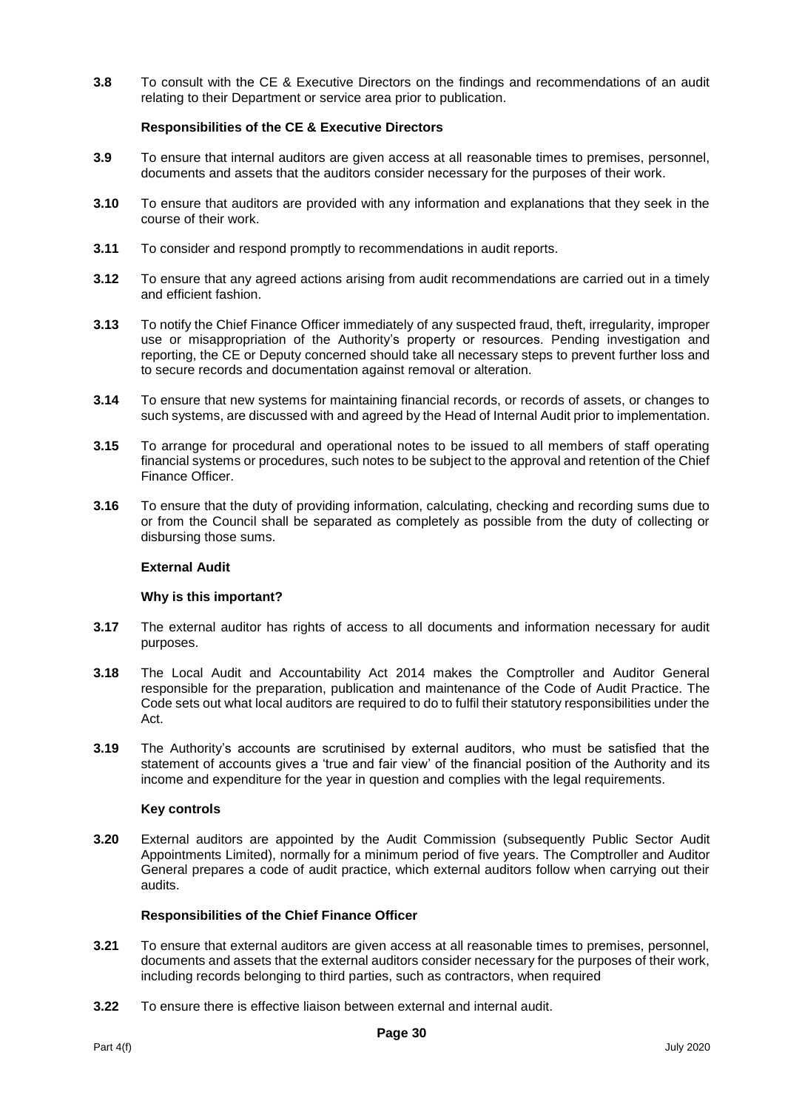**3.8** To consult with the CE & Executive Directors on the findings and recommendations of an audit relating to their Department or service area prior to publication.

# **Responsibilities of the CE & Executive Directors**

- **3.9** To ensure that internal auditors are given access at all reasonable times to premises, personnel, documents and assets that the auditors consider necessary for the purposes of their work.
- **3.10** To ensure that auditors are provided with any information and explanations that they seek in the course of their work.
- **3.11** To consider and respond promptly to recommendations in audit reports.
- **3.12** To ensure that any agreed actions arising from audit recommendations are carried out in a timely and efficient fashion.
- **3.13** To notify the Chief Finance Officer immediately of any suspected fraud, theft, irregularity, improper use or misappropriation of the Authority's property or resources. Pending investigation and reporting, the CE or Deputy concerned should take all necessary steps to prevent further loss and to secure records and documentation against removal or alteration.
- **3.14** To ensure that new systems for maintaining financial records, or records of assets, or changes to such systems, are discussed with and agreed by the Head of Internal Audit prior to implementation.
- **3.15** To arrange for procedural and operational notes to be issued to all members of staff operating financial systems or procedures, such notes to be subject to the approval and retention of the Chief Finance Officer.
- **3.16** To ensure that the duty of providing information, calculating, checking and recording sums due to or from the Council shall be separated as completely as possible from the duty of collecting or disbursing those sums.

# **External Audit**

#### **Why is this important?**

- **3.17** The external auditor has rights of access to all documents and information necessary for audit purposes.
- **3.18** The Local Audit and Accountability Act 2014 makes the Comptroller and Auditor General responsible for the preparation, publication and maintenance of the Code of Audit Practice. The Code sets out what local auditors are required to do to fulfil their statutory responsibilities under the Act.
- **3.19** The Authority's accounts are scrutinised by external auditors, who must be satisfied that the statement of accounts gives a 'true and fair view' of the financial position of the Authority and its income and expenditure for the year in question and complies with the legal requirements.

#### **Key controls**

**3.20** External auditors are appointed by the Audit Commission (subsequently Public Sector Audit Appointments Limited), normally for a minimum period of five years. The Comptroller and Auditor General prepares a code of audit practice, which external auditors follow when carrying out their audits.

- **3.21** To ensure that external auditors are given access at all reasonable times to premises, personnel, documents and assets that the external auditors consider necessary for the purposes of their work, including records belonging to third parties, such as contractors, when required
- **3.22** To ensure there is effective liaison between external and internal audit.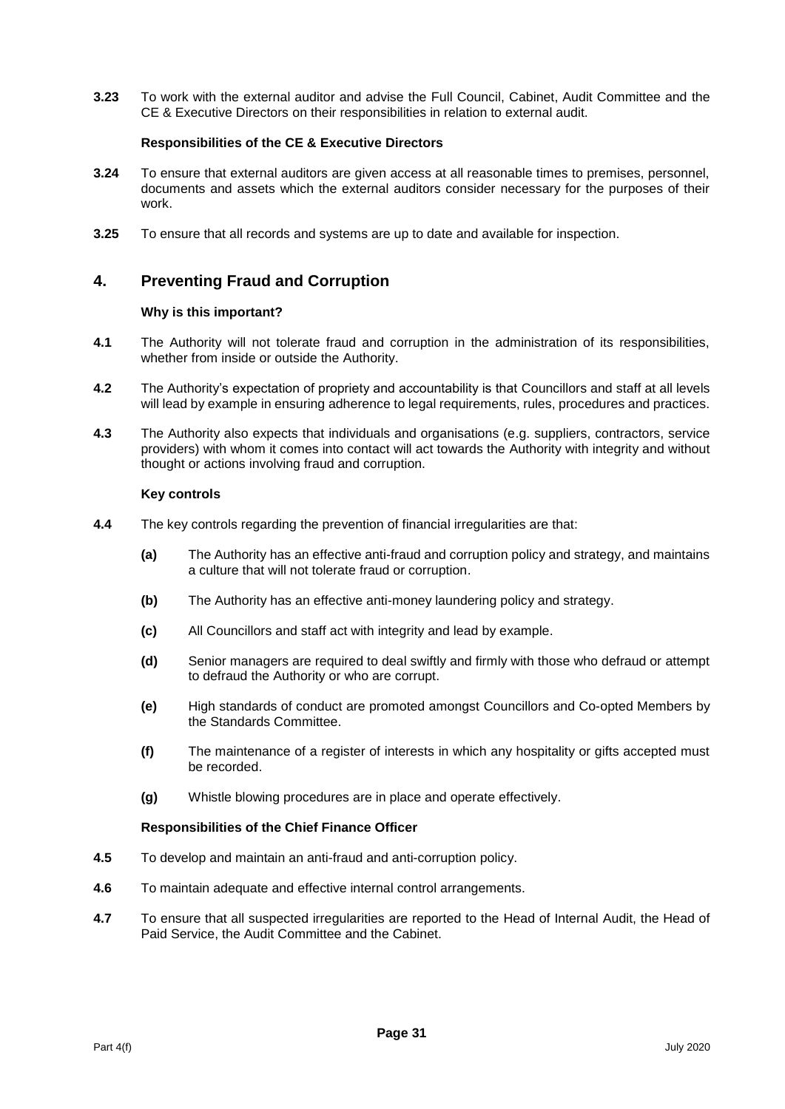**3.23** To work with the external auditor and advise the Full Council, Cabinet, Audit Committee and the CE & Executive Directors on their responsibilities in relation to external audit.

#### **Responsibilities of the CE & Executive Directors**

- **3.24** To ensure that external auditors are given access at all reasonable times to premises, personnel, documents and assets which the external auditors consider necessary for the purposes of their work.
- **3.25** To ensure that all records and systems are up to date and available for inspection.

# **4. Preventing Fraud and Corruption**

#### **Why is this important?**

- **4.1** The Authority will not tolerate fraud and corruption in the administration of its responsibilities, whether from inside or outside the Authority.
- **4.2** The Authority's expectation of propriety and accountability is that Councillors and staff at all levels will lead by example in ensuring adherence to legal requirements, rules, procedures and practices.
- **4.3** The Authority also expects that individuals and organisations (e.g. suppliers, contractors, service providers) with whom it comes into contact will act towards the Authority with integrity and without thought or actions involving fraud and corruption.

#### **Key controls**

- **4.4** The key controls regarding the prevention of financial irregularities are that:
	- **(a)** The Authority has an effective anti-fraud and corruption policy and strategy, and maintains a culture that will not tolerate fraud or corruption.
	- **(b)** The Authority has an effective anti-money laundering policy and strategy.
	- **(c)** All Councillors and staff act with integrity and lead by example.
	- **(d)** Senior managers are required to deal swiftly and firmly with those who defraud or attempt to defraud the Authority or who are corrupt.
	- **(e)** High standards of conduct are promoted amongst Councillors and Co-opted Members by the Standards Committee.
	- **(f)** The maintenance of a register of interests in which any hospitality or gifts accepted must be recorded.
	- **(g)** Whistle blowing procedures are in place and operate effectively.

- **4.5** To develop and maintain an anti-fraud and anti-corruption policy.
- **4.6** To maintain adequate and effective internal control arrangements.
- **4.7** To ensure that all suspected irregularities are reported to the Head of Internal Audit, the Head of Paid Service, the Audit Committee and the Cabinet.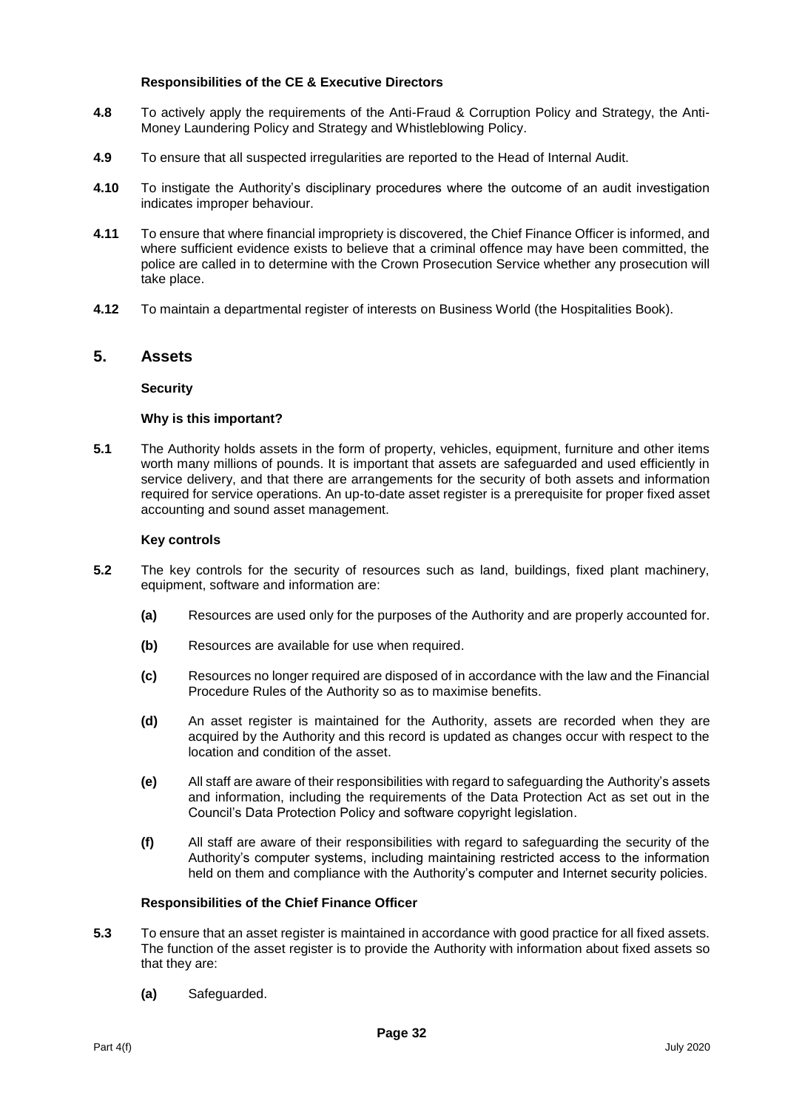#### **Responsibilities of the CE & Executive Directors**

- **4.8** To actively apply the requirements of the Anti-Fraud & Corruption Policy and Strategy, the Anti-Money Laundering Policy and Strategy and Whistleblowing Policy.
- **4.9** To ensure that all suspected irregularities are reported to the Head of Internal Audit.
- **4.10** To instigate the Authority's disciplinary procedures where the outcome of an audit investigation indicates improper behaviour.
- **4.11** To ensure that where financial impropriety is discovered, the Chief Finance Officer is informed, and where sufficient evidence exists to believe that a criminal offence may have been committed, the police are called in to determine with the Crown Prosecution Service whether any prosecution will take place.
- **4.12** To maintain a departmental register of interests on Business World (the Hospitalities Book).

# **5. Assets**

#### **Security**

#### **Why is this important?**

**5.1** The Authority holds assets in the form of property, vehicles, equipment, furniture and other items worth many millions of pounds. It is important that assets are safeguarded and used efficiently in service delivery, and that there are arrangements for the security of both assets and information required for service operations. An up-to-date asset register is a prerequisite for proper fixed asset accounting and sound asset management.

#### **Key controls**

- **5.2** The key controls for the security of resources such as land, buildings, fixed plant machinery, equipment, software and information are:
	- **(a)** Resources are used only for the purposes of the Authority and are properly accounted for.
	- **(b)** Resources are available for use when required.
	- **(c)** Resources no longer required are disposed of in accordance with the law and the Financial Procedure Rules of the Authority so as to maximise benefits.
	- **(d)** An asset register is maintained for the Authority, assets are recorded when they are acquired by the Authority and this record is updated as changes occur with respect to the location and condition of the asset.
	- **(e)** All staff are aware of their responsibilities with regard to safeguarding the Authority's assets and information, including the requirements of the Data Protection Act as set out in the Council's Data Protection Policy and software copyright legislation.
	- **(f)** All staff are aware of their responsibilities with regard to safeguarding the security of the Authority's computer systems, including maintaining restricted access to the information held on them and compliance with the Authority's computer and Internet security policies.

- **5.3** To ensure that an asset register is maintained in accordance with good practice for all fixed assets. The function of the asset register is to provide the Authority with information about fixed assets so that they are:
	- **(a)** Safeguarded.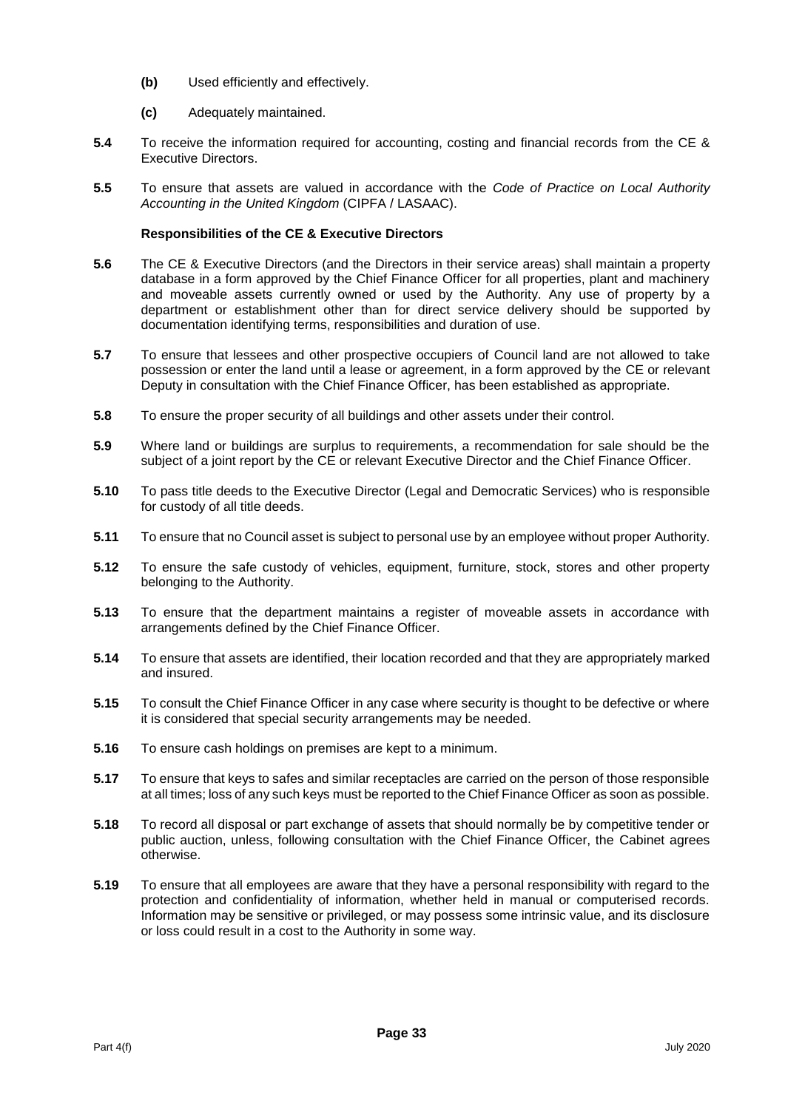- **(b)** Used efficiently and effectively.
- **(c)** Adequately maintained.
- **5.4** To receive the information required for accounting, costing and financial records from the CE & Executive Directors.
- **5.5** To ensure that assets are valued in accordance with the *Code of Practice on Local Authority Accounting in the United Kingdom* (CIPFA / LASAAC).

- **5.6** The CE & Executive Directors (and the Directors in their service areas) shall maintain a property database in a form approved by the Chief Finance Officer for all properties, plant and machinery and moveable assets currently owned or used by the Authority. Any use of property by a department or establishment other than for direct service delivery should be supported by documentation identifying terms, responsibilities and duration of use.
- **5.7** To ensure that lessees and other prospective occupiers of Council land are not allowed to take possession or enter the land until a lease or agreement, in a form approved by the CE or relevant Deputy in consultation with the Chief Finance Officer, has been established as appropriate.
- **5.8** To ensure the proper security of all buildings and other assets under their control.
- **5.9** Where land or buildings are surplus to requirements, a recommendation for sale should be the subject of a joint report by the CE or relevant Executive Director and the Chief Finance Officer.
- **5.10** To pass title deeds to the Executive Director (Legal and Democratic Services) who is responsible for custody of all title deeds.
- **5.11** To ensure that no Council asset is subject to personal use by an employee without proper Authority.
- **5.12** To ensure the safe custody of vehicles, equipment, furniture, stock, stores and other property belonging to the Authority.
- **5.13** To ensure that the department maintains a register of moveable assets in accordance with arrangements defined by the Chief Finance Officer.
- **5.14** To ensure that assets are identified, their location recorded and that they are appropriately marked and insured.
- **5.15** To consult the Chief Finance Officer in any case where security is thought to be defective or where it is considered that special security arrangements may be needed.
- **5.16** To ensure cash holdings on premises are kept to a minimum.
- **5.17** To ensure that keys to safes and similar receptacles are carried on the person of those responsible at all times; loss of any such keys must be reported to the Chief Finance Officer as soon as possible.
- **5.18** To record all disposal or part exchange of assets that should normally be by competitive tender or public auction, unless, following consultation with the Chief Finance Officer, the Cabinet agrees otherwise.
- **5.19** To ensure that all employees are aware that they have a personal responsibility with regard to the protection and confidentiality of information, whether held in manual or computerised records. Information may be sensitive or privileged, or may possess some intrinsic value, and its disclosure or loss could result in a cost to the Authority in some way.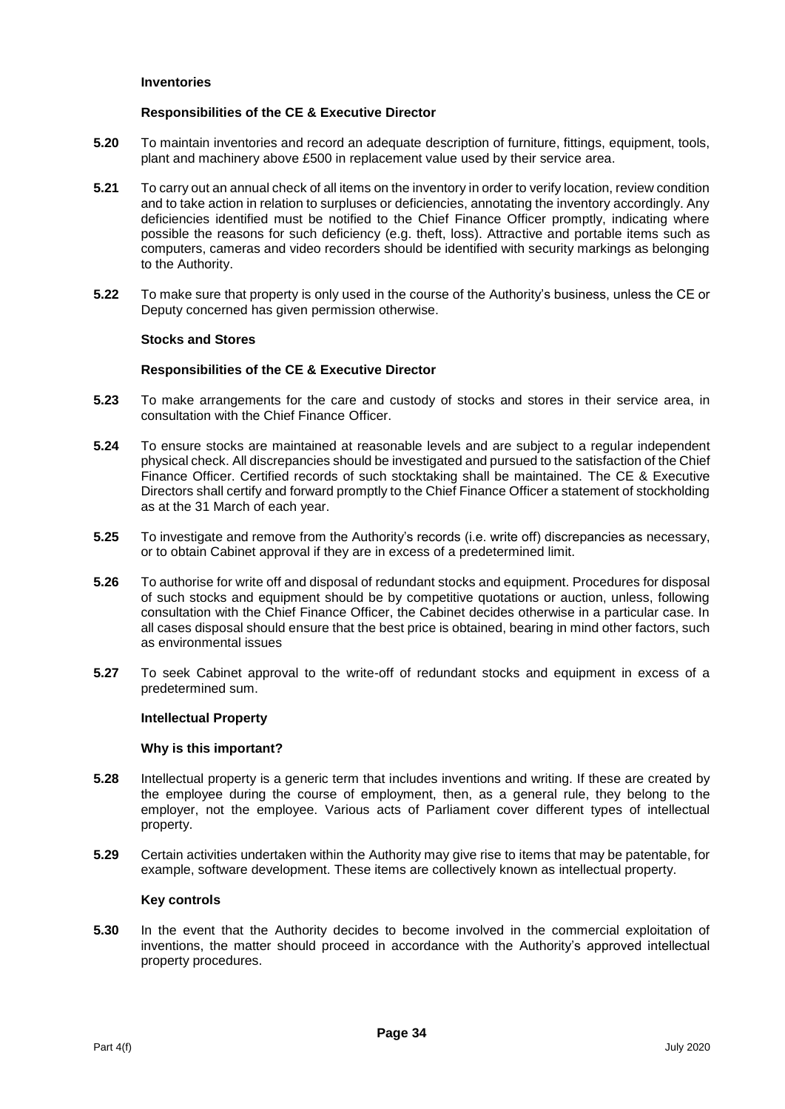#### **Inventories**

#### **Responsibilities of the CE & Executive Director**

- **5.20** To maintain inventories and record an adequate description of furniture, fittings, equipment, tools, plant and machinery above £500 in replacement value used by their service area.
- **5.21** To carry out an annual check of all items on the inventory in order to verify location, review condition and to take action in relation to surpluses or deficiencies, annotating the inventory accordingly. Any deficiencies identified must be notified to the Chief Finance Officer promptly, indicating where possible the reasons for such deficiency (e.g. theft, loss). Attractive and portable items such as computers, cameras and video recorders should be identified with security markings as belonging to the Authority.
- **5.22** To make sure that property is only used in the course of the Authority's business, unless the CE or Deputy concerned has given permission otherwise.

#### **Stocks and Stores**

#### **Responsibilities of the CE & Executive Director**

- **5.23** To make arrangements for the care and custody of stocks and stores in their service area, in consultation with the Chief Finance Officer.
- **5.24** To ensure stocks are maintained at reasonable levels and are subject to a regular independent physical check. All discrepancies should be investigated and pursued to the satisfaction of the Chief Finance Officer. Certified records of such stocktaking shall be maintained. The CE & Executive Directors shall certify and forward promptly to the Chief Finance Officer a statement of stockholding as at the 31 March of each year.
- **5.25** To investigate and remove from the Authority's records (i.e. write off) discrepancies as necessary, or to obtain Cabinet approval if they are in excess of a predetermined limit.
- **5.26** To authorise for write off and disposal of redundant stocks and equipment. Procedures for disposal of such stocks and equipment should be by competitive quotations or auction, unless, following consultation with the Chief Finance Officer, the Cabinet decides otherwise in a particular case. In all cases disposal should ensure that the best price is obtained, bearing in mind other factors, such as environmental issues
- **5.27** To seek Cabinet approval to the write-off of redundant stocks and equipment in excess of a predetermined sum.

#### **Intellectual Property**

#### **Why is this important?**

- **5.28** Intellectual property is a generic term that includes inventions and writing. If these are created by the employee during the course of employment, then, as a general rule, they belong to the employer, not the employee. Various acts of Parliament cover different types of intellectual property.
- **5.29** Certain activities undertaken within the Authority may give rise to items that may be patentable, for example, software development. These items are collectively known as intellectual property.

#### **Key controls**

**5.30** In the event that the Authority decides to become involved in the commercial exploitation of inventions, the matter should proceed in accordance with the Authority's approved intellectual property procedures.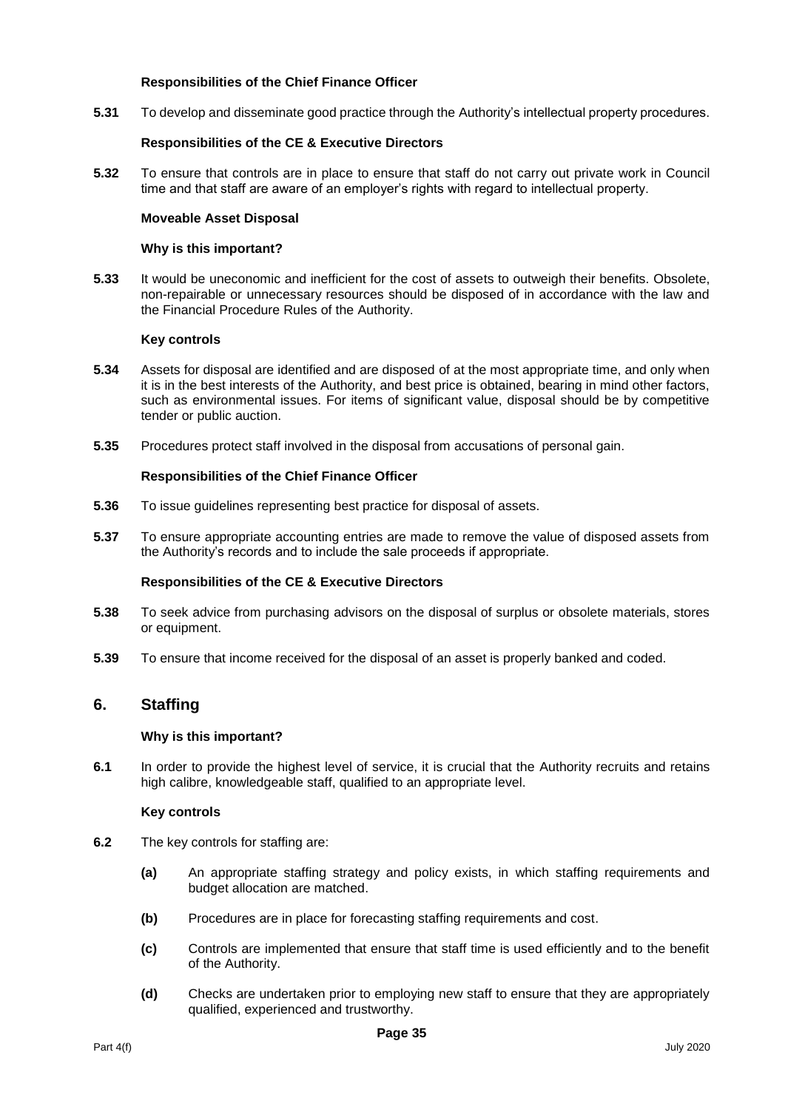#### **Responsibilities of the Chief Finance Officer**

**5.31** To develop and disseminate good practice through the Authority's intellectual property procedures.

#### **Responsibilities of the CE & Executive Directors**

**5.32** To ensure that controls are in place to ensure that staff do not carry out private work in Council time and that staff are aware of an employer's rights with regard to intellectual property.

#### **Moveable Asset Disposal**

#### **Why is this important?**

**5.33** It would be uneconomic and inefficient for the cost of assets to outweigh their benefits. Obsolete, non-repairable or unnecessary resources should be disposed of in accordance with the law and the Financial Procedure Rules of the Authority.

#### **Key controls**

- **5.34** Assets for disposal are identified and are disposed of at the most appropriate time, and only when it is in the best interests of the Authority, and best price is obtained, bearing in mind other factors, such as environmental issues. For items of significant value, disposal should be by competitive tender or public auction.
- **5.35** Procedures protect staff involved in the disposal from accusations of personal gain.

#### **Responsibilities of the Chief Finance Officer**

- **5.36** To issue guidelines representing best practice for disposal of assets.
- **5.37** To ensure appropriate accounting entries are made to remove the value of disposed assets from the Authority's records and to include the sale proceeds if appropriate.

# **Responsibilities of the CE & Executive Directors**

- **5.38** To seek advice from purchasing advisors on the disposal of surplus or obsolete materials, stores or equipment.
- **5.39** To ensure that income received for the disposal of an asset is properly banked and coded.

# **6. Staffing**

#### **Why is this important?**

**6.1** In order to provide the highest level of service, it is crucial that the Authority recruits and retains high calibre, knowledgeable staff, qualified to an appropriate level.

#### **Key controls**

- **6.2** The key controls for staffing are:
	- **(a)** An appropriate staffing strategy and policy exists, in which staffing requirements and budget allocation are matched.
	- **(b)** Procedures are in place for forecasting staffing requirements and cost.
	- **(c)** Controls are implemented that ensure that staff time is used efficiently and to the benefit of the Authority.
	- **(d)** Checks are undertaken prior to employing new staff to ensure that they are appropriately qualified, experienced and trustworthy.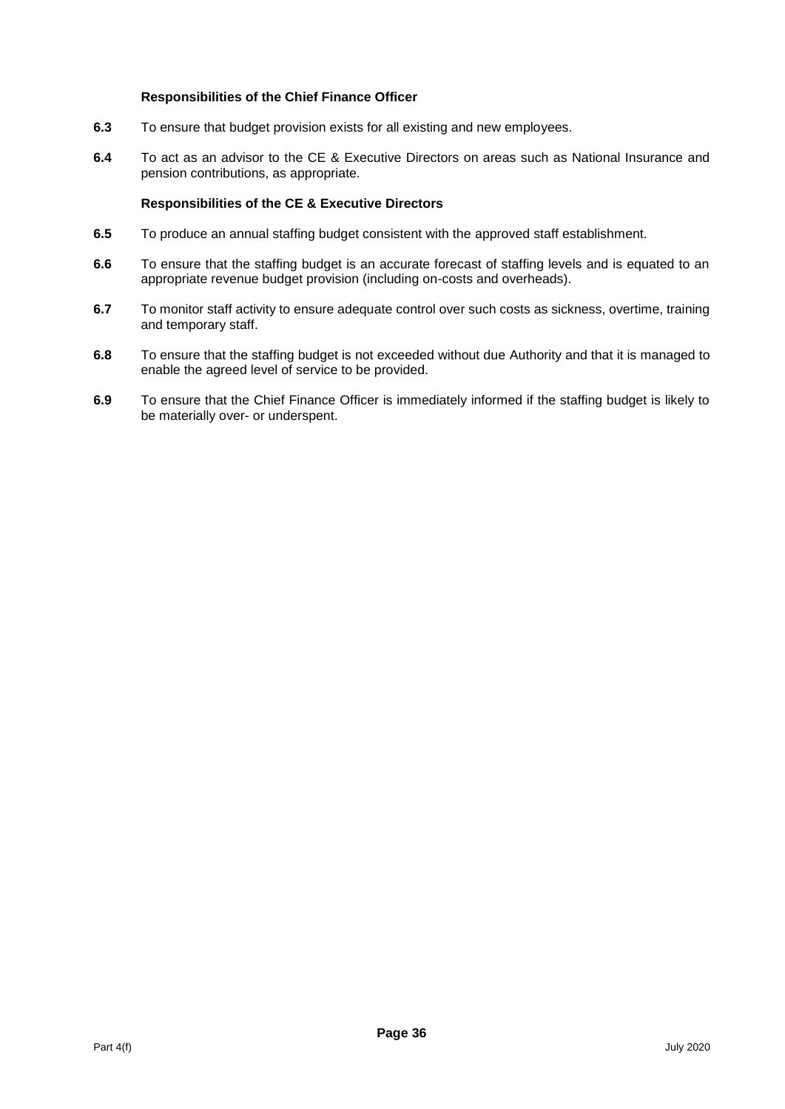# **Responsibilities of the Chief Finance Officer**

- **6.3** To ensure that budget provision exists for all existing and new employees.
- **6.4** To act as an advisor to the CE & Executive Directors on areas such as National Insurance and pension contributions, as appropriate.

- **6.5** To produce an annual staffing budget consistent with the approved staff establishment.
- **6.6** To ensure that the staffing budget is an accurate forecast of staffing levels and is equated to an appropriate revenue budget provision (including on-costs and overheads).
- **6.7** To monitor staff activity to ensure adequate control over such costs as sickness, overtime, training and temporary staff.
- **6.8** To ensure that the staffing budget is not exceeded without due Authority and that it is managed to enable the agreed level of service to be provided.
- **6.9** To ensure that the Chief Finance Officer is immediately informed if the staffing budget is likely to be materially over- or underspent.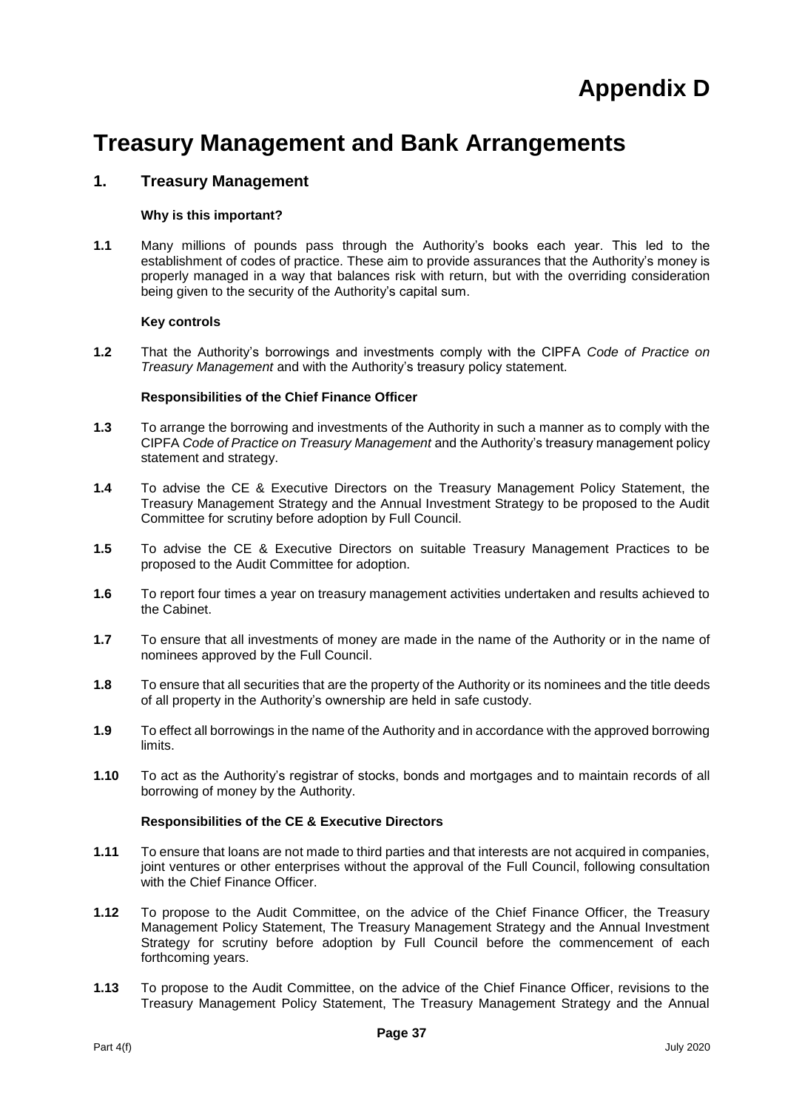# **Treasury Management and Bank Arrangements**

# **1. Treasury Management**

# **Why is this important?**

**1.1** Many millions of pounds pass through the Authority's books each year. This led to the establishment of codes of practice. These aim to provide assurances that the Authority's money is properly managed in a way that balances risk with return, but with the overriding consideration being given to the security of the Authority's capital sum.

# **Key controls**

**1.2** That the Authority's borrowings and investments comply with the CIPFA *Code of Practice on Treasury Management* and with the Authority's treasury policy statement.

# **Responsibilities of the Chief Finance Officer**

- **1.3** To arrange the borrowing and investments of the Authority in such a manner as to comply with the CIPFA *Code of Practice on Treasury Management* and the Authority's treasury management policy statement and strategy.
- **1.4** To advise the CE & Executive Directors on the Treasury Management Policy Statement, the Treasury Management Strategy and the Annual Investment Strategy to be proposed to the Audit Committee for scrutiny before adoption by Full Council.
- **1.5** To advise the CE & Executive Directors on suitable Treasury Management Practices to be proposed to the Audit Committee for adoption.
- **1.6** To report four times a year on treasury management activities undertaken and results achieved to the Cabinet.
- **1.7** To ensure that all investments of money are made in the name of the Authority or in the name of nominees approved by the Full Council.
- **1.8** To ensure that all securities that are the property of the Authority or its nominees and the title deeds of all property in the Authority's ownership are held in safe custody.
- **1.9** To effect all borrowings in the name of the Authority and in accordance with the approved borrowing limits.
- **1.10** To act as the Authority's registrar of stocks, bonds and mortgages and to maintain records of all borrowing of money by the Authority.

- **1.11** To ensure that loans are not made to third parties and that interests are not acquired in companies, joint ventures or other enterprises without the approval of the Full Council, following consultation with the Chief Finance Officer.
- **1.12** To propose to the Audit Committee, on the advice of the Chief Finance Officer, the Treasury Management Policy Statement, The Treasury Management Strategy and the Annual Investment Strategy for scrutiny before adoption by Full Council before the commencement of each forthcoming years.
- **1.13** To propose to the Audit Committee, on the advice of the Chief Finance Officer, revisions to the Treasury Management Policy Statement, The Treasury Management Strategy and the Annual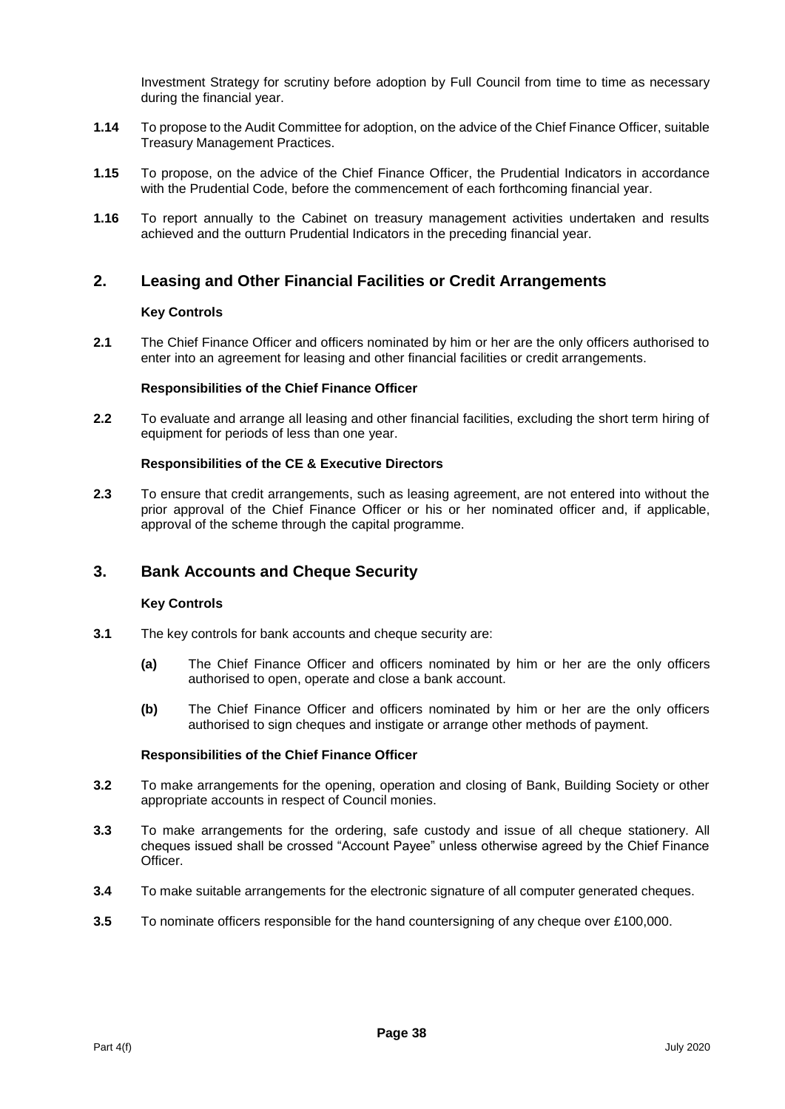Investment Strategy for scrutiny before adoption by Full Council from time to time as necessary during the financial year.

- **1.14** To propose to the Audit Committee for adoption, on the advice of the Chief Finance Officer, suitable Treasury Management Practices.
- **1.15** To propose, on the advice of the Chief Finance Officer, the Prudential Indicators in accordance with the Prudential Code, before the commencement of each forthcoming financial year.
- **1.16** To report annually to the Cabinet on treasury management activities undertaken and results achieved and the outturn Prudential Indicators in the preceding financial year.

# **2. Leasing and Other Financial Facilities or Credit Arrangements**

#### **Key Controls**

**2.1** The Chief Finance Officer and officers nominated by him or her are the only officers authorised to enter into an agreement for leasing and other financial facilities or credit arrangements.

#### **Responsibilities of the Chief Finance Officer**

**2.2** To evaluate and arrange all leasing and other financial facilities, excluding the short term hiring of equipment for periods of less than one year.

#### **Responsibilities of the CE & Executive Directors**

**2.3** To ensure that credit arrangements, such as leasing agreement, are not entered into without the prior approval of the Chief Finance Officer or his or her nominated officer and, if applicable, approval of the scheme through the capital programme.

# **3. Bank Accounts and Cheque Security**

#### **Key Controls**

- **3.1** The key controls for bank accounts and cheque security are:
	- **(a)** The Chief Finance Officer and officers nominated by him or her are the only officers authorised to open, operate and close a bank account.
	- **(b)** The Chief Finance Officer and officers nominated by him or her are the only officers authorised to sign cheques and instigate or arrange other methods of payment.

- **3.2** To make arrangements for the opening, operation and closing of Bank, Building Society or other appropriate accounts in respect of Council monies.
- **3.3** To make arrangements for the ordering, safe custody and issue of all cheque stationery. All cheques issued shall be crossed "Account Payee" unless otherwise agreed by the Chief Finance Officer.
- **3.4** To make suitable arrangements for the electronic signature of all computer generated cheques.
- **3.5** To nominate officers responsible for the hand countersigning of any cheque over £100,000.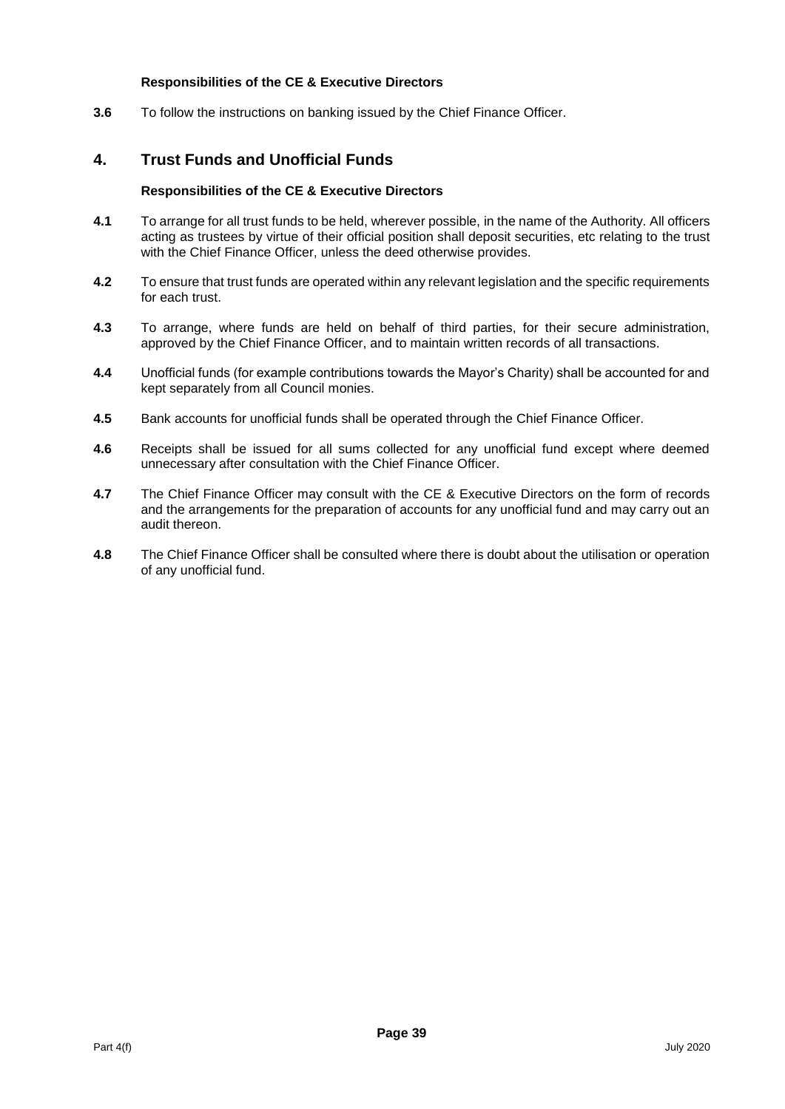# **Responsibilities of the CE & Executive Directors**

**3.6** To follow the instructions on banking issued by the Chief Finance Officer.

# **4. Trust Funds and Unofficial Funds**

- **4.1** To arrange for all trust funds to be held, wherever possible, in the name of the Authority. All officers acting as trustees by virtue of their official position shall deposit securities, etc relating to the trust with the Chief Finance Officer, unless the deed otherwise provides.
- **4.2** To ensure that trust funds are operated within any relevant legislation and the specific requirements for each trust.
- **4.3** To arrange, where funds are held on behalf of third parties, for their secure administration, approved by the Chief Finance Officer, and to maintain written records of all transactions.
- **4.4** Unofficial funds (for example contributions towards the Mayor's Charity) shall be accounted for and kept separately from all Council monies.
- **4.5** Bank accounts for unofficial funds shall be operated through the Chief Finance Officer.
- **4.6** Receipts shall be issued for all sums collected for any unofficial fund except where deemed unnecessary after consultation with the Chief Finance Officer.
- **4.7** The Chief Finance Officer may consult with the CE & Executive Directors on the form of records and the arrangements for the preparation of accounts for any unofficial fund and may carry out an audit thereon.
- **4.8** The Chief Finance Officer shall be consulted where there is doubt about the utilisation or operation of any unofficial fund.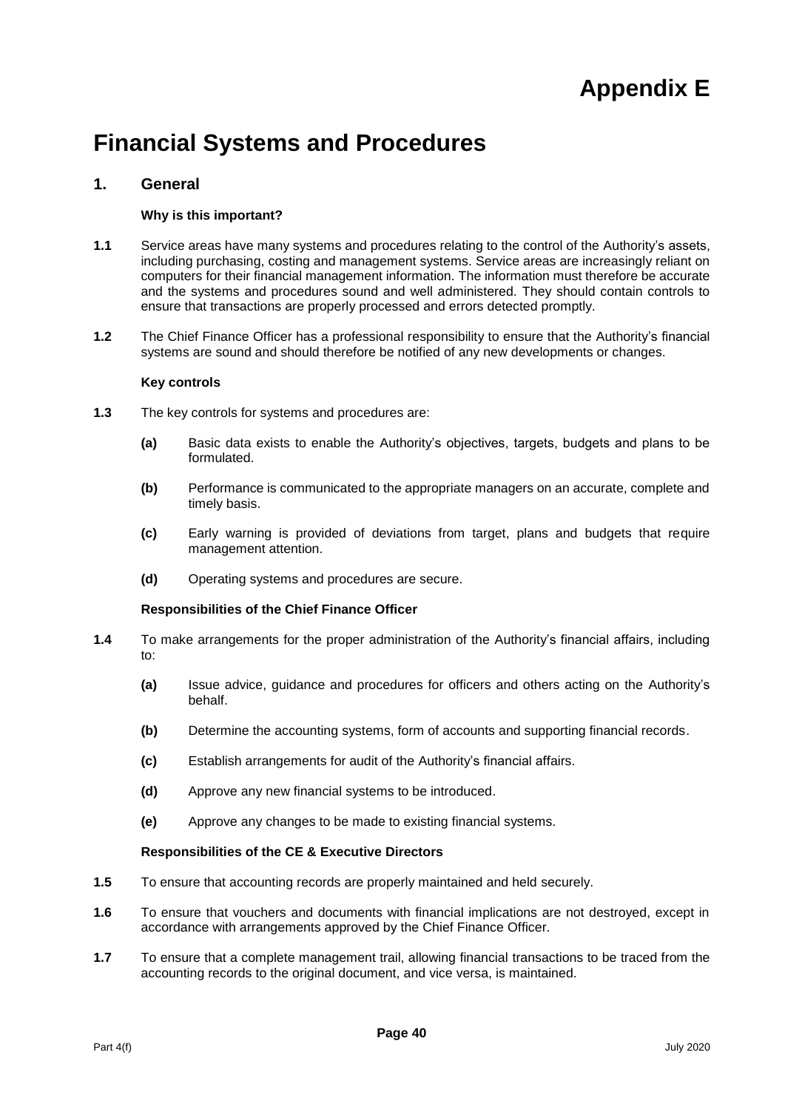# **Appendix E**

# **Financial Systems and Procedures**

# **1. General**

#### **Why is this important?**

- **1.1** Service areas have many systems and procedures relating to the control of the Authority's assets, including purchasing, costing and management systems. Service areas are increasingly reliant on computers for their financial management information. The information must therefore be accurate and the systems and procedures sound and well administered. They should contain controls to ensure that transactions are properly processed and errors detected promptly.
- **1.2** The Chief Finance Officer has a professional responsibility to ensure that the Authority's financial systems are sound and should therefore be notified of any new developments or changes.

#### **Key controls**

- **1.3** The key controls for systems and procedures are:
	- **(a)** Basic data exists to enable the Authority's objectives, targets, budgets and plans to be formulated.
	- **(b)** Performance is communicated to the appropriate managers on an accurate, complete and timely basis.
	- **(c)** Early warning is provided of deviations from target, plans and budgets that require management attention.
	- **(d)** Operating systems and procedures are secure.

#### **Responsibilities of the Chief Finance Officer**

- **1.4** To make arrangements for the proper administration of the Authority's financial affairs, including to:
	- **(a)** Issue advice, guidance and procedures for officers and others acting on the Authority's behalf.
	- **(b)** Determine the accounting systems, form of accounts and supporting financial records.
	- **(c)** Establish arrangements for audit of the Authority's financial affairs.
	- **(d)** Approve any new financial systems to be introduced.
	- **(e)** Approve any changes to be made to existing financial systems.

- **1.5** To ensure that accounting records are properly maintained and held securely.
- **1.6** To ensure that vouchers and documents with financial implications are not destroyed, except in accordance with arrangements approved by the Chief Finance Officer.
- **1.7** To ensure that a complete management trail, allowing financial transactions to be traced from the accounting records to the original document, and vice versa, is maintained.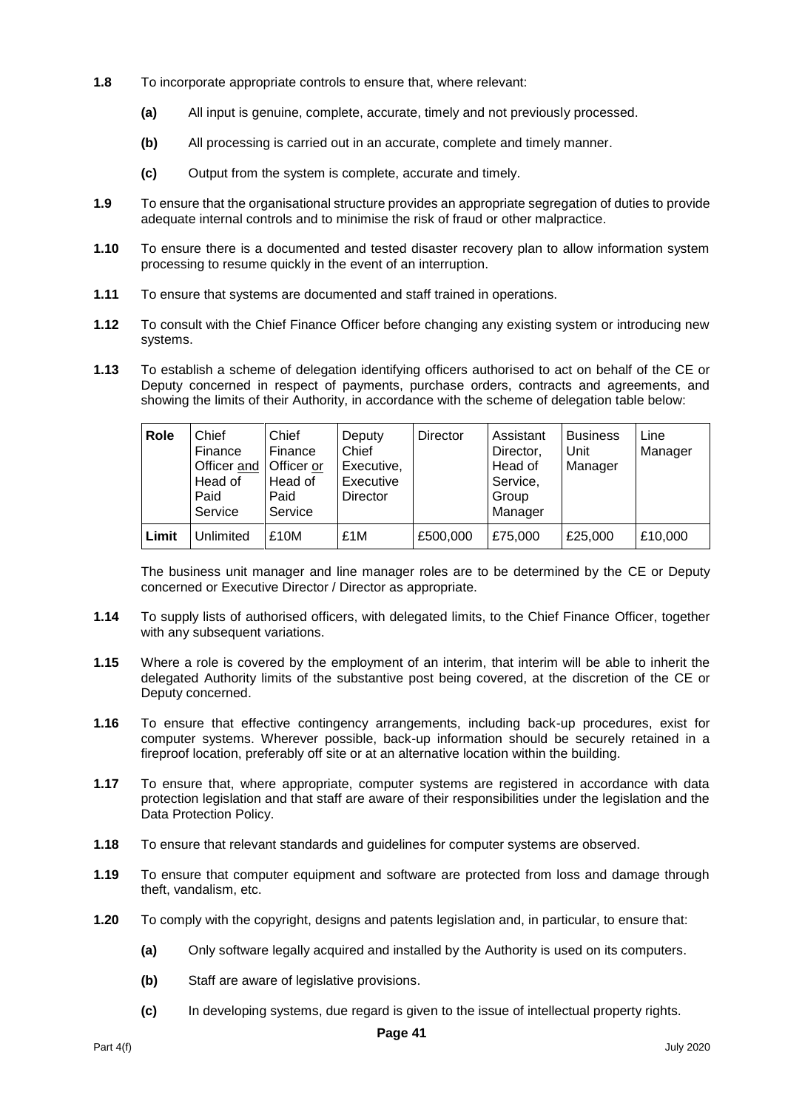- **1.8** To incorporate appropriate controls to ensure that, where relevant:
	- **(a)** All input is genuine, complete, accurate, timely and not previously processed.
	- **(b)** All processing is carried out in an accurate, complete and timely manner.
	- **(c)** Output from the system is complete, accurate and timely.
- **1.9** To ensure that the organisational structure provides an appropriate segregation of duties to provide adequate internal controls and to minimise the risk of fraud or other malpractice.
- **1.10** To ensure there is a documented and tested disaster recovery plan to allow information system processing to resume quickly in the event of an interruption.
- **1.11** To ensure that systems are documented and staff trained in operations.
- **1.12** To consult with the Chief Finance Officer before changing any existing system or introducing new systems.
- **1.13** To establish a scheme of delegation identifying officers authorised to act on behalf of the CE or Deputy concerned in respect of payments, purchase orders, contracts and agreements, and showing the limits of their Authority, in accordance with the scheme of delegation table below:

| Role  | Chief<br>Finance<br>Officer and<br>Head of<br>Paid<br>Service | Chief<br>Finance<br>Officer or<br>Head of<br>Paid<br>Service | Deputy<br>Chief<br>Executive,<br>Executive<br><b>Director</b> | <b>Director</b> | Assistant<br>Director,<br>Head of<br>Service,<br>Group<br>Manager | <b>Business</b><br>Unit<br>Manager | Line<br>Manager |
|-------|---------------------------------------------------------------|--------------------------------------------------------------|---------------------------------------------------------------|-----------------|-------------------------------------------------------------------|------------------------------------|-----------------|
| Limit | Unlimited                                                     | £10M                                                         | £1M                                                           | £500,000        | £75,000                                                           | £25,000                            | £10,000         |

The business unit manager and line manager roles are to be determined by the CE or Deputy concerned or Executive Director / Director as appropriate.

- **1.14** To supply lists of authorised officers, with delegated limits, to the Chief Finance Officer, together with any subsequent variations.
- **1.15** Where a role is covered by the employment of an interim, that interim will be able to inherit the delegated Authority limits of the substantive post being covered, at the discretion of the CE or Deputy concerned.
- **1.16** To ensure that effective contingency arrangements, including back-up procedures, exist for computer systems. Wherever possible, back-up information should be securely retained in a fireproof location, preferably off site or at an alternative location within the building.
- **1.17** To ensure that, where appropriate, computer systems are registered in accordance with data protection legislation and that staff are aware of their responsibilities under the legislation and the Data Protection Policy.
- **1.18** To ensure that relevant standards and guidelines for computer systems are observed.
- **1.19** To ensure that computer equipment and software are protected from loss and damage through theft, vandalism, etc.
- **1.20** To comply with the copyright, designs and patents legislation and, in particular, to ensure that:
	- **(a)** Only software legally acquired and installed by the Authority is used on its computers.
	- **(b)** Staff are aware of legislative provisions.
	- **(c)** In developing systems, due regard is given to the issue of intellectual property rights.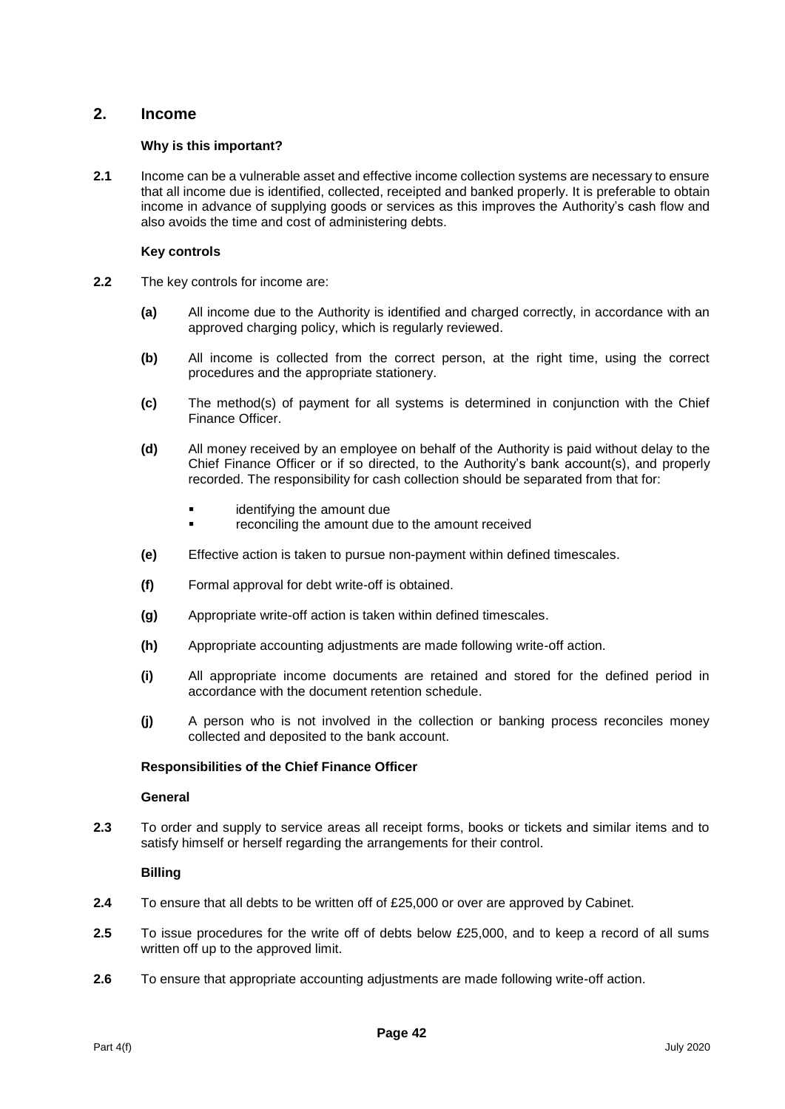# **2. Income**

# **Why is this important?**

**2.1** Income can be a vulnerable asset and effective income collection systems are necessary to ensure that all income due is identified, collected, receipted and banked properly. It is preferable to obtain income in advance of supplying goods or services as this improves the Authority's cash flow and also avoids the time and cost of administering debts.

# **Key controls**

- **2.2** The key controls for income are:
	- **(a)** All income due to the Authority is identified and charged correctly, in accordance with an approved charging policy, which is regularly reviewed.
	- **(b)** All income is collected from the correct person, at the right time, using the correct procedures and the appropriate stationery.
	- **(c)** The method(s) of payment for all systems is determined in conjunction with the Chief Finance Officer.
	- **(d)** All money received by an employee on behalf of the Authority is paid without delay to the Chief Finance Officer or if so directed, to the Authority's bank account(s), and properly recorded. The responsibility for cash collection should be separated from that for:
		- identifying the amount due
		- reconciling the amount due to the amount received
	- **(e)** Effective action is taken to pursue non-payment within defined timescales.
	- **(f)** Formal approval for debt write-off is obtained.
	- **(g)** Appropriate write-off action is taken within defined timescales.
	- **(h)** Appropriate accounting adjustments are made following write-off action.
	- **(i)** All appropriate income documents are retained and stored for the defined period in accordance with the document retention schedule.
	- **(j)** A person who is not involved in the collection or banking process reconciles money collected and deposited to the bank account.

#### **Responsibilities of the Chief Finance Officer**

#### **General**

**2.3** To order and supply to service areas all receipt forms, books or tickets and similar items and to satisfy himself or herself regarding the arrangements for their control.

#### **Billing**

- **2.4** To ensure that all debts to be written off of £25,000 or over are approved by Cabinet.
- **2.5** To issue procedures for the write off of debts below £25,000, and to keep a record of all sums written off up to the approved limit.
- **2.6** To ensure that appropriate accounting adjustments are made following write-off action.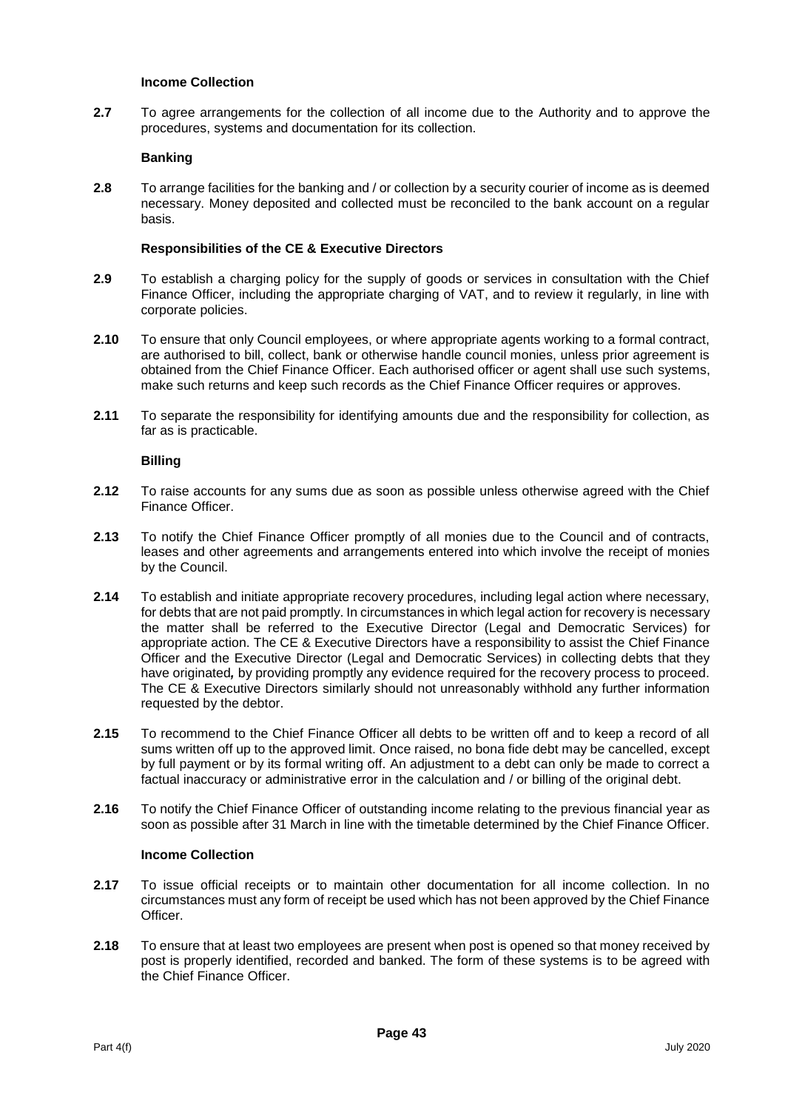#### **Income Collection**

**2.7** To agree arrangements for the collection of all income due to the Authority and to approve the procedures, systems and documentation for its collection.

#### **Banking**

**2.8** To arrange facilities for the banking and / or collection by a security courier of income as is deemed necessary. Money deposited and collected must be reconciled to the bank account on a regular basis.

#### **Responsibilities of the CE & Executive Directors**

- **2.9** To establish a charging policy for the supply of goods or services in consultation with the Chief Finance Officer, including the appropriate charging of VAT, and to review it regularly, in line with corporate policies.
- **2.10** To ensure that only Council employees, or where appropriate agents working to a formal contract, are authorised to bill, collect, bank or otherwise handle council monies, unless prior agreement is obtained from the Chief Finance Officer. Each authorised officer or agent shall use such systems, make such returns and keep such records as the Chief Finance Officer requires or approves.
- **2.11** To separate the responsibility for identifying amounts due and the responsibility for collection, as far as is practicable.

#### **Billing**

- **2.12** To raise accounts for any sums due as soon as possible unless otherwise agreed with the Chief Finance Officer.
- **2.13** To notify the Chief Finance Officer promptly of all monies due to the Council and of contracts, leases and other agreements and arrangements entered into which involve the receipt of monies by the Council.
- **2.14** To establish and initiate appropriate recovery procedures, including legal action where necessary, for debts that are not paid promptly. In circumstances in which legal action for recovery is necessary the matter shall be referred to the Executive Director (Legal and Democratic Services) for appropriate action. The CE & Executive Directors have a responsibility to assist the Chief Finance Officer and the Executive Director (Legal and Democratic Services) in collecting debts that they have originated*,* by providing promptly any evidence required for the recovery process to proceed. The CE & Executive Directors similarly should not unreasonably withhold any further information requested by the debtor.
- **2.15** To recommend to the Chief Finance Officer all debts to be written off and to keep a record of all sums written off up to the approved limit. Once raised, no bona fide debt may be cancelled, except by full payment or by its formal writing off. An adjustment to a debt can only be made to correct a factual inaccuracy or administrative error in the calculation and / or billing of the original debt.
- **2.16** To notify the Chief Finance Officer of outstanding income relating to the previous financial year as soon as possible after 31 March in line with the timetable determined by the Chief Finance Officer.

#### **Income Collection**

- **2.17** To issue official receipts or to maintain other documentation for all income collection. In no circumstances must any form of receipt be used which has not been approved by the Chief Finance Officer.
- **2.18** To ensure that at least two employees are present when post is opened so that money received by post is properly identified, recorded and banked. The form of these systems is to be agreed with the Chief Finance Officer.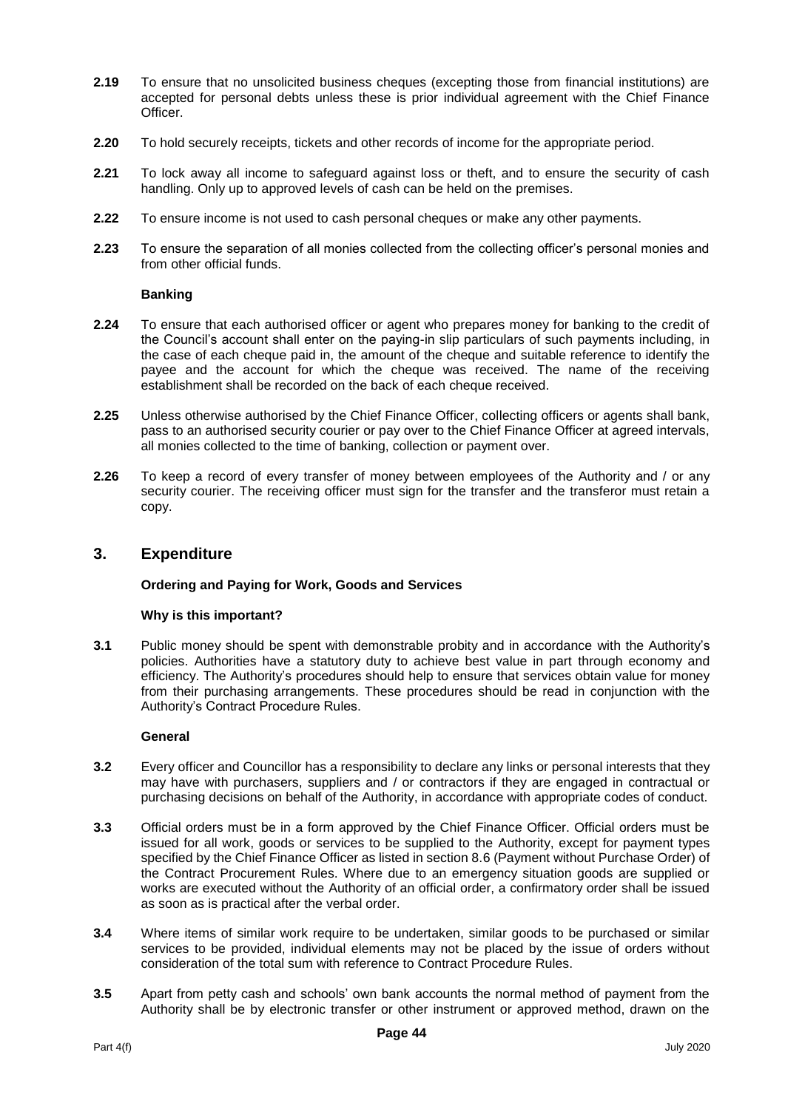- **2.19** To ensure that no unsolicited business cheques (excepting those from financial institutions) are accepted for personal debts unless these is prior individual agreement with the Chief Finance Officer.
- **2.20** To hold securely receipts, tickets and other records of income for the appropriate period.
- **2.21** To lock away all income to safeguard against loss or theft, and to ensure the security of cash handling. Only up to approved levels of cash can be held on the premises.
- **2.22** To ensure income is not used to cash personal cheques or make any other payments.
- **2.23** To ensure the separation of all monies collected from the collecting officer's personal monies and from other official funds.

#### **Banking**

- **2.24** To ensure that each authorised officer or agent who prepares money for banking to the credit of the Council's account shall enter on the paying-in slip particulars of such payments including, in the case of each cheque paid in, the amount of the cheque and suitable reference to identify the payee and the account for which the cheque was received. The name of the receiving establishment shall be recorded on the back of each cheque received.
- **2.25** Unless otherwise authorised by the Chief Finance Officer, collecting officers or agents shall bank, pass to an authorised security courier or pay over to the Chief Finance Officer at agreed intervals, all monies collected to the time of banking, collection or payment over.
- **2.26** To keep a record of every transfer of money between employees of the Authority and / or any security courier. The receiving officer must sign for the transfer and the transferor must retain a copy.

# **3. Expenditure**

#### **Ordering and Paying for Work, Goods and Services**

#### **Why is this important?**

**3.1** Public money should be spent with demonstrable probity and in accordance with the Authority's policies. Authorities have a statutory duty to achieve best value in part through economy and efficiency. The Authority's procedures should help to ensure that services obtain value for money from their purchasing arrangements. These procedures should be read in conjunction with the Authority's Contract Procedure Rules.

#### **General**

- **3.2** Every officer and Councillor has a responsibility to declare any links or personal interests that they may have with purchasers, suppliers and / or contractors if they are engaged in contractual or purchasing decisions on behalf of the Authority, in accordance with appropriate codes of conduct.
- **3.3** Official orders must be in a form approved by the Chief Finance Officer. Official orders must be issued for all work, goods or services to be supplied to the Authority, except for payment types specified by the Chief Finance Officer as listed in section 8.6 (Payment without Purchase Order) of the Contract Procurement Rules. Where due to an emergency situation goods are supplied or works are executed without the Authority of an official order, a confirmatory order shall be issued as soon as is practical after the verbal order.
- **3.4** Where items of similar work require to be undertaken, similar goods to be purchased or similar services to be provided, individual elements may not be placed by the issue of orders without consideration of the total sum with reference to Contract Procedure Rules.
- **3.5** Apart from petty cash and schools' own bank accounts the normal method of payment from the Authority shall be by electronic transfer or other instrument or approved method, drawn on the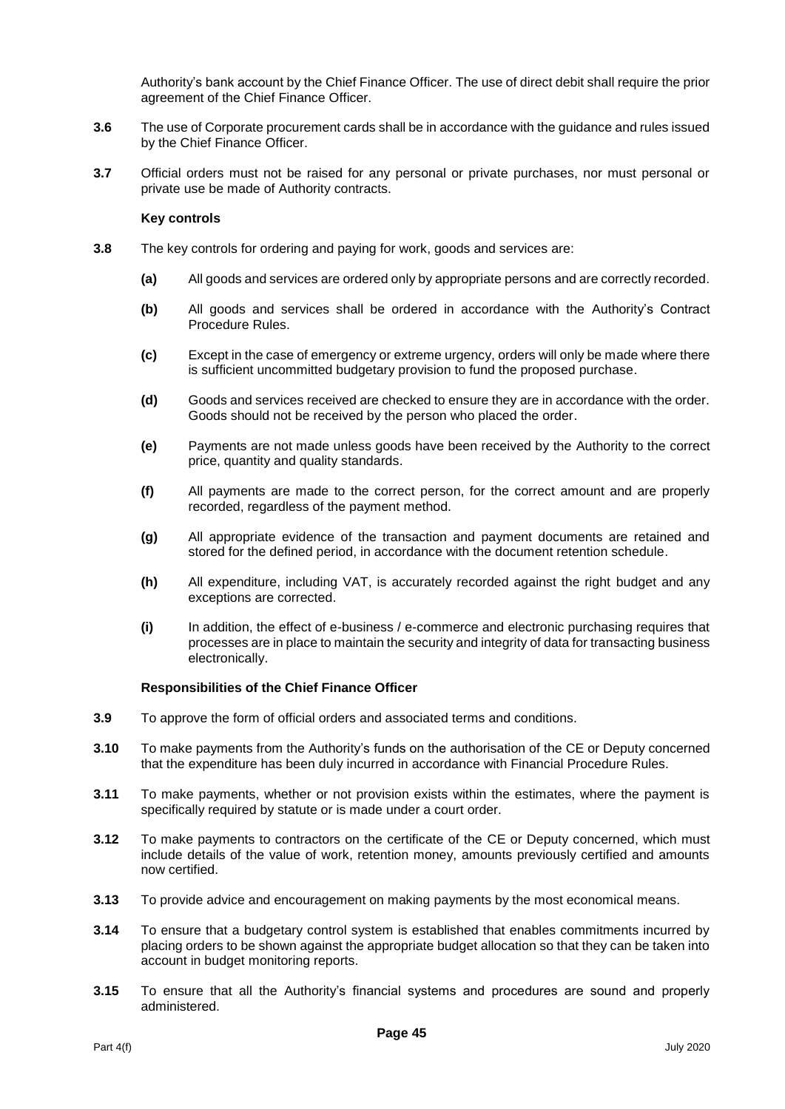Authority's bank account by the Chief Finance Officer. The use of direct debit shall require the prior agreement of the Chief Finance Officer.

- **3.6** The use of Corporate procurement cards shall be in accordance with the guidance and rules issued by the Chief Finance Officer.
- **3.7** Official orders must not be raised for any personal or private purchases, nor must personal or private use be made of Authority contracts.

#### **Key controls**

- **3.8** The key controls for ordering and paying for work, goods and services are:
	- **(a)** All goods and services are ordered only by appropriate persons and are correctly recorded.
	- **(b)** All goods and services shall be ordered in accordance with the Authority's Contract Procedure Rules.
	- **(c)** Except in the case of emergency or extreme urgency, orders will only be made where there is sufficient uncommitted budgetary provision to fund the proposed purchase.
	- **(d)** Goods and services received are checked to ensure they are in accordance with the order. Goods should not be received by the person who placed the order.
	- **(e)** Payments are not made unless goods have been received by the Authority to the correct price, quantity and quality standards.
	- **(f)** All payments are made to the correct person, for the correct amount and are properly recorded, regardless of the payment method.
	- **(g)** All appropriate evidence of the transaction and payment documents are retained and stored for the defined period, in accordance with the document retention schedule.
	- **(h)** All expenditure, including VAT, is accurately recorded against the right budget and any exceptions are corrected.
	- **(i)** In addition, the effect of e-business / e-commerce and electronic purchasing requires that processes are in place to maintain the security and integrity of data for transacting business electronically.

- **3.9** To approve the form of official orders and associated terms and conditions.
- **3.10** To make payments from the Authority's funds on the authorisation of the CE or Deputy concerned that the expenditure has been duly incurred in accordance with Financial Procedure Rules.
- **3.11** To make payments, whether or not provision exists within the estimates, where the payment is specifically required by statute or is made under a court order.
- **3.12** To make payments to contractors on the certificate of the CE or Deputy concerned, which must include details of the value of work, retention money, amounts previously certified and amounts now certified.
- **3.13** To provide advice and encouragement on making payments by the most economical means.
- **3.14** To ensure that a budgetary control system is established that enables commitments incurred by placing orders to be shown against the appropriate budget allocation so that they can be taken into account in budget monitoring reports.
- **3.15** To ensure that all the Authority's financial systems and procedures are sound and properly administered.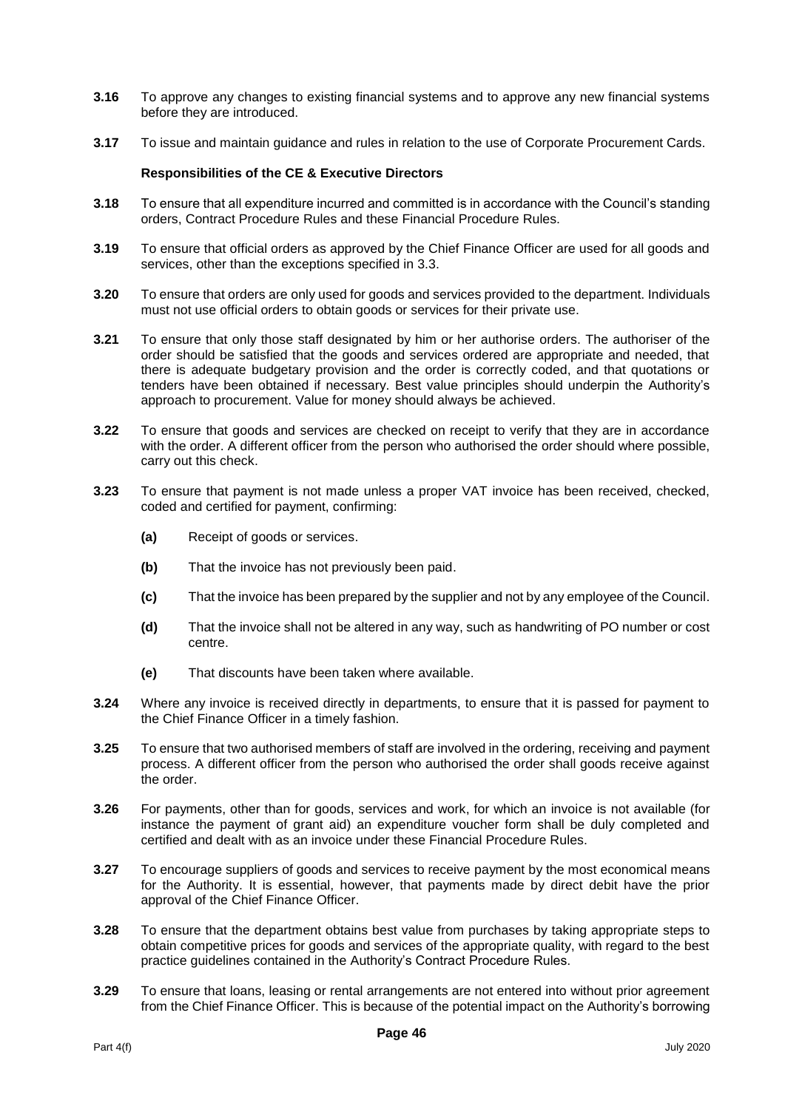- **3.16** To approve any changes to existing financial systems and to approve any new financial systems before they are introduced.
- **3.17** To issue and maintain guidance and rules in relation to the use of Corporate Procurement Cards.

- **3.18** To ensure that all expenditure incurred and committed is in accordance with the Council's standing orders, Contract Procedure Rules and these Financial Procedure Rules.
- **3.19** To ensure that official orders as approved by the Chief Finance Officer are used for all goods and services, other than the exceptions specified in 3.3.
- **3.20** To ensure that orders are only used for goods and services provided to the department. Individuals must not use official orders to obtain goods or services for their private use.
- **3.21** To ensure that only those staff designated by him or her authorise orders. The authoriser of the order should be satisfied that the goods and services ordered are appropriate and needed, that there is adequate budgetary provision and the order is correctly coded, and that quotations or tenders have been obtained if necessary. Best value principles should underpin the Authority's approach to procurement. Value for money should always be achieved.
- **3.22** To ensure that goods and services are checked on receipt to verify that they are in accordance with the order. A different officer from the person who authorised the order should where possible, carry out this check.
- **3.23** To ensure that payment is not made unless a proper VAT invoice has been received, checked, coded and certified for payment, confirming:
	- **(a)** Receipt of goods or services.
	- **(b)** That the invoice has not previously been paid.
	- **(c)** That the invoice has been prepared by the supplier and not by any employee of the Council.
	- **(d)** That the invoice shall not be altered in any way, such as handwriting of PO number or cost centre.
	- **(e)** That discounts have been taken where available.
- **3.24** Where any invoice is received directly in departments, to ensure that it is passed for payment to the Chief Finance Officer in a timely fashion.
- **3.25** To ensure that two authorised members of staff are involved in the ordering, receiving and payment process. A different officer from the person who authorised the order shall goods receive against the order.
- **3.26** For payments, other than for goods, services and work, for which an invoice is not available (for instance the payment of grant aid) an expenditure voucher form shall be duly completed and certified and dealt with as an invoice under these Financial Procedure Rules.
- **3.27** To encourage suppliers of goods and services to receive payment by the most economical means for the Authority. It is essential, however, that payments made by direct debit have the prior approval of the Chief Finance Officer.
- **3.28** To ensure that the department obtains best value from purchases by taking appropriate steps to obtain competitive prices for goods and services of the appropriate quality, with regard to the best practice guidelines contained in the Authority's Contract Procedure Rules.
- **3.29** To ensure that loans, leasing or rental arrangements are not entered into without prior agreement from the Chief Finance Officer. This is because of the potential impact on the Authority's borrowing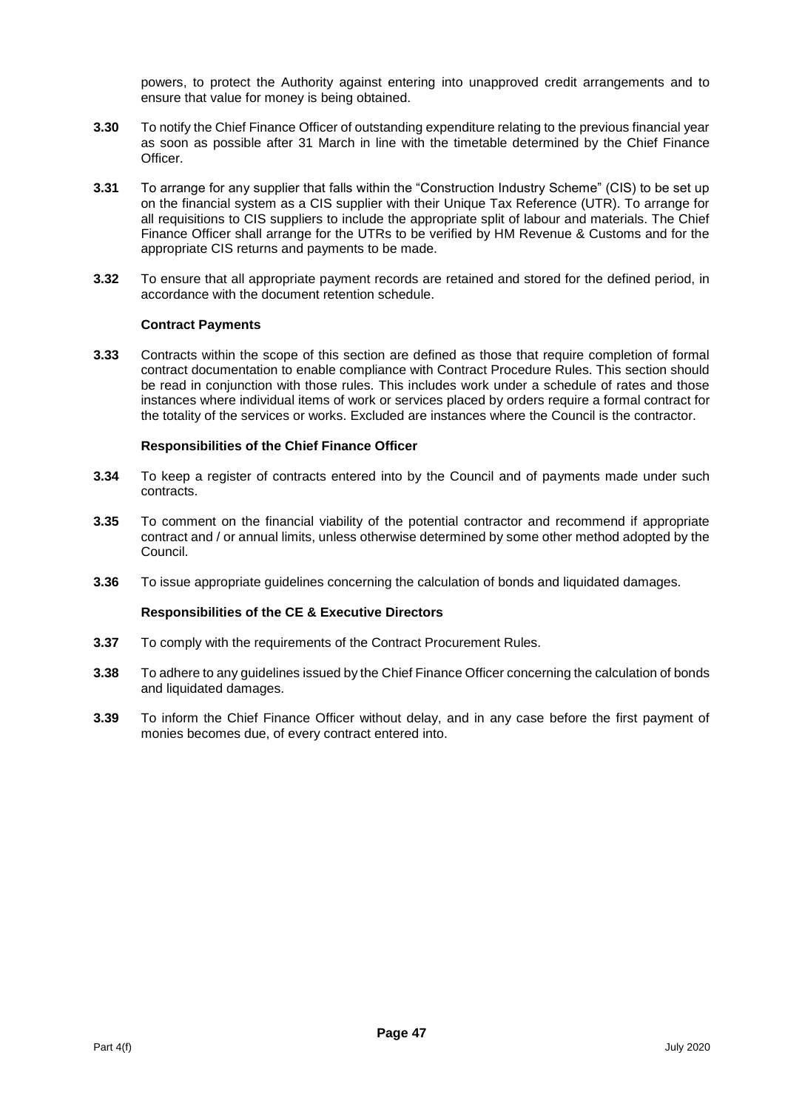powers, to protect the Authority against entering into unapproved credit arrangements and to ensure that value for money is being obtained.

- **3.30** To notify the Chief Finance Officer of outstanding expenditure relating to the previous financial year as soon as possible after 31 March in line with the timetable determined by the Chief Finance Officer.
- **3.31** To arrange for any supplier that falls within the "Construction Industry Scheme" (CIS) to be set up on the financial system as a CIS supplier with their Unique Tax Reference (UTR). To arrange for all requisitions to CIS suppliers to include the appropriate split of labour and materials. The Chief Finance Officer shall arrange for the UTRs to be verified by HM Revenue & Customs and for the appropriate CIS returns and payments to be made.
- **3.32** To ensure that all appropriate payment records are retained and stored for the defined period, in accordance with the document retention schedule.

#### **Contract Payments**

**3.33** Contracts within the scope of this section are defined as those that require completion of formal contract documentation to enable compliance with Contract Procedure Rules. This section should be read in conjunction with those rules. This includes work under a schedule of rates and those instances where individual items of work or services placed by orders require a formal contract for the totality of the services or works. Excluded are instances where the Council is the contractor.

# **Responsibilities of the Chief Finance Officer**

- **3.34** To keep a register of contracts entered into by the Council and of payments made under such contracts.
- **3.35** To comment on the financial viability of the potential contractor and recommend if appropriate contract and / or annual limits, unless otherwise determined by some other method adopted by the Council.
- **3.36** To issue appropriate guidelines concerning the calculation of bonds and liquidated damages.

- **3.37** To comply with the requirements of the Contract Procurement Rules.
- **3.38** To adhere to any guidelines issued by the Chief Finance Officer concerning the calculation of bonds and liquidated damages.
- **3.39** To inform the Chief Finance Officer without delay, and in any case before the first payment of monies becomes due, of every contract entered into.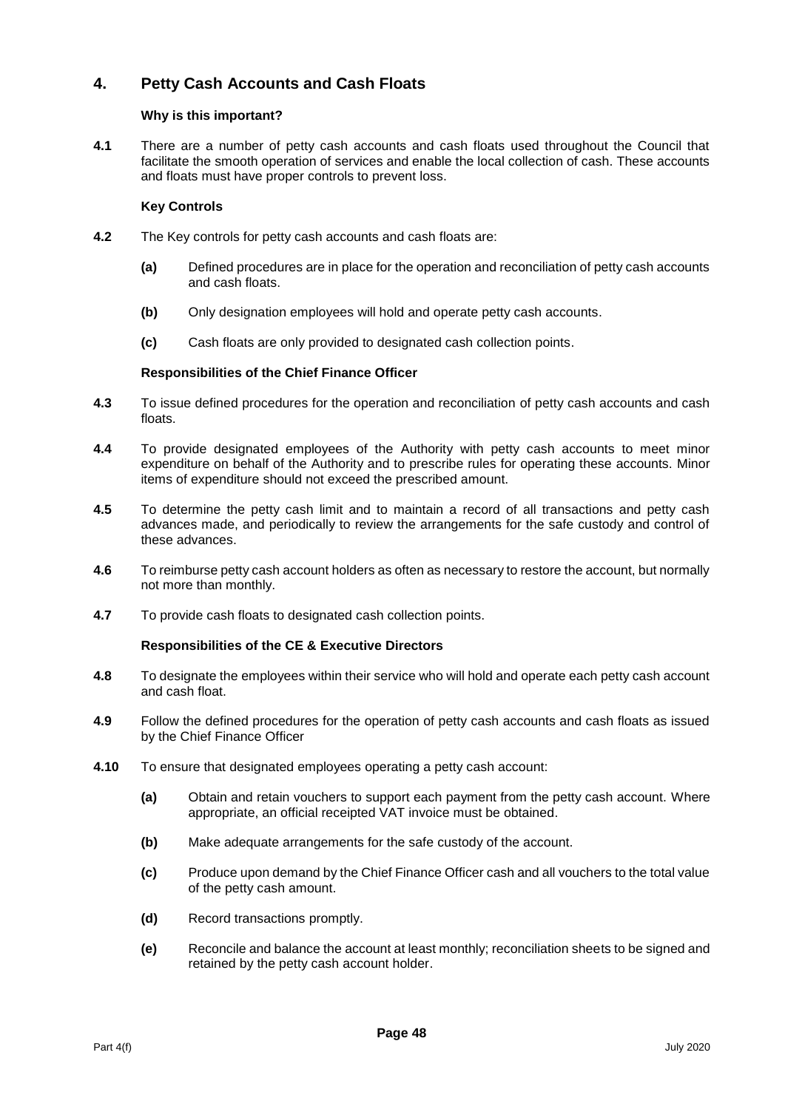# **4. Petty Cash Accounts and Cash Floats**

# **Why is this important?**

**4.1** There are a number of petty cash accounts and cash floats used throughout the Council that facilitate the smooth operation of services and enable the local collection of cash. These accounts and floats must have proper controls to prevent loss.

# **Key Controls**

- **4.2** The Key controls for petty cash accounts and cash floats are:
	- **(a)** Defined procedures are in place for the operation and reconciliation of petty cash accounts and cash floats.
	- **(b)** Only designation employees will hold and operate petty cash accounts.
	- **(c)** Cash floats are only provided to designated cash collection points.

# **Responsibilities of the Chief Finance Officer**

- **4.3** To issue defined procedures for the operation and reconciliation of petty cash accounts and cash floats.
- **4.4** To provide designated employees of the Authority with petty cash accounts to meet minor expenditure on behalf of the Authority and to prescribe rules for operating these accounts. Minor items of expenditure should not exceed the prescribed amount.
- **4.5** To determine the petty cash limit and to maintain a record of all transactions and petty cash advances made, and periodically to review the arrangements for the safe custody and control of these advances.
- **4.6** To reimburse petty cash account holders as often as necessary to restore the account, but normally not more than monthly.
- **4.7** To provide cash floats to designated cash collection points.

- **4.8** To designate the employees within their service who will hold and operate each petty cash account and cash float.
- **4.9** Follow the defined procedures for the operation of petty cash accounts and cash floats as issued by the Chief Finance Officer
- **4.10** To ensure that designated employees operating a petty cash account:
	- **(a)** Obtain and retain vouchers to support each payment from the petty cash account. Where appropriate, an official receipted VAT invoice must be obtained.
	- **(b)** Make adequate arrangements for the safe custody of the account.
	- **(c)** Produce upon demand by the Chief Finance Officer cash and all vouchers to the total value of the petty cash amount.
	- **(d)** Record transactions promptly.
	- **(e)** Reconcile and balance the account at least monthly; reconciliation sheets to be signed and retained by the petty cash account holder.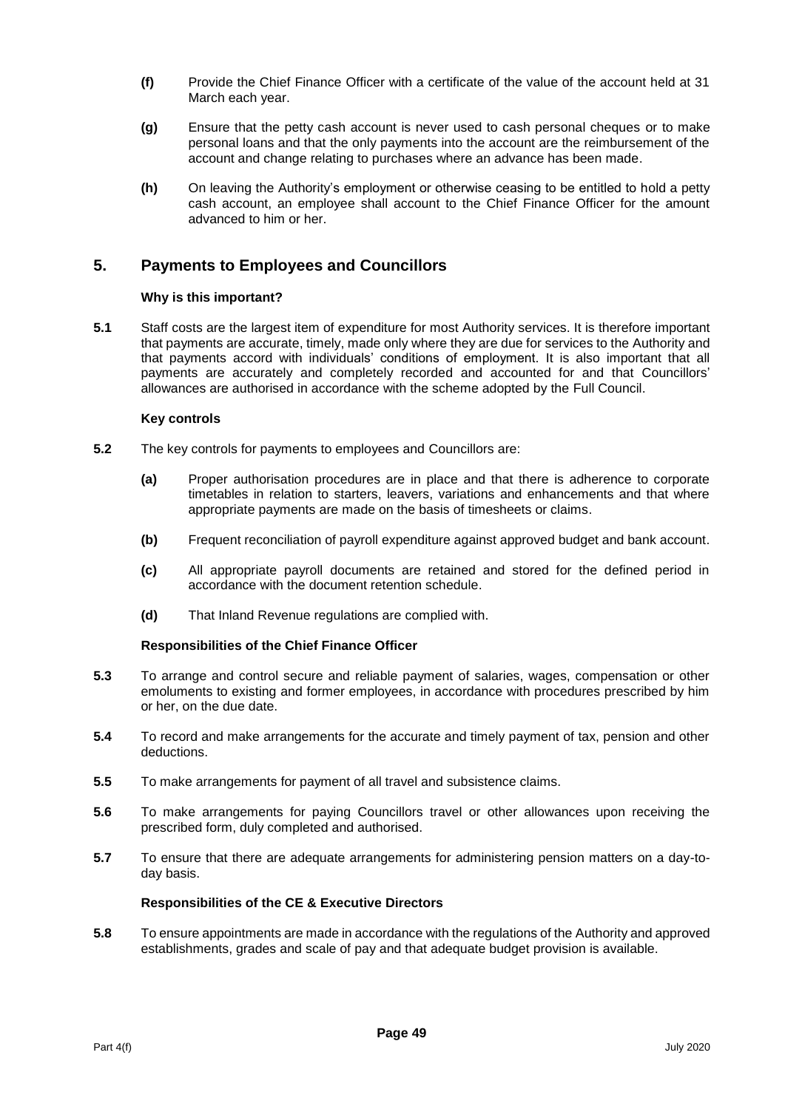- **(f)** Provide the Chief Finance Officer with a certificate of the value of the account held at 31 March each year.
- **(g)** Ensure that the petty cash account is never used to cash personal cheques or to make personal loans and that the only payments into the account are the reimbursement of the account and change relating to purchases where an advance has been made.
- **(h)** On leaving the Authority's employment or otherwise ceasing to be entitled to hold a petty cash account, an employee shall account to the Chief Finance Officer for the amount advanced to him or her.

# **5. Payments to Employees and Councillors**

# **Why is this important?**

**5.1** Staff costs are the largest item of expenditure for most Authority services. It is therefore important that payments are accurate, timely, made only where they are due for services to the Authority and that payments accord with individuals' conditions of employment. It is also important that all payments are accurately and completely recorded and accounted for and that Councillors' allowances are authorised in accordance with the scheme adopted by the Full Council.

#### **Key controls**

- **5.2** The key controls for payments to employees and Councillors are:
	- **(a)** Proper authorisation procedures are in place and that there is adherence to corporate timetables in relation to starters, leavers, variations and enhancements and that where appropriate payments are made on the basis of timesheets or claims.
	- **(b)** Frequent reconciliation of payroll expenditure against approved budget and bank account.
	- **(c)** All appropriate payroll documents are retained and stored for the defined period in accordance with the document retention schedule.
	- **(d)** That Inland Revenue regulations are complied with.

#### **Responsibilities of the Chief Finance Officer**

- **5.3** To arrange and control secure and reliable payment of salaries, wages, compensation or other emoluments to existing and former employees, in accordance with procedures prescribed by him or her, on the due date.
- **5.4** To record and make arrangements for the accurate and timely payment of tax, pension and other deductions.
- **5.5** To make arrangements for payment of all travel and subsistence claims.
- **5.6** To make arrangements for paying Councillors travel or other allowances upon receiving the prescribed form, duly completed and authorised.
- **5.7** To ensure that there are adequate arrangements for administering pension matters on a day-today basis.

# **Responsibilities of the CE & Executive Directors**

**5.8** To ensure appointments are made in accordance with the regulations of the Authority and approved establishments, grades and scale of pay and that adequate budget provision is available.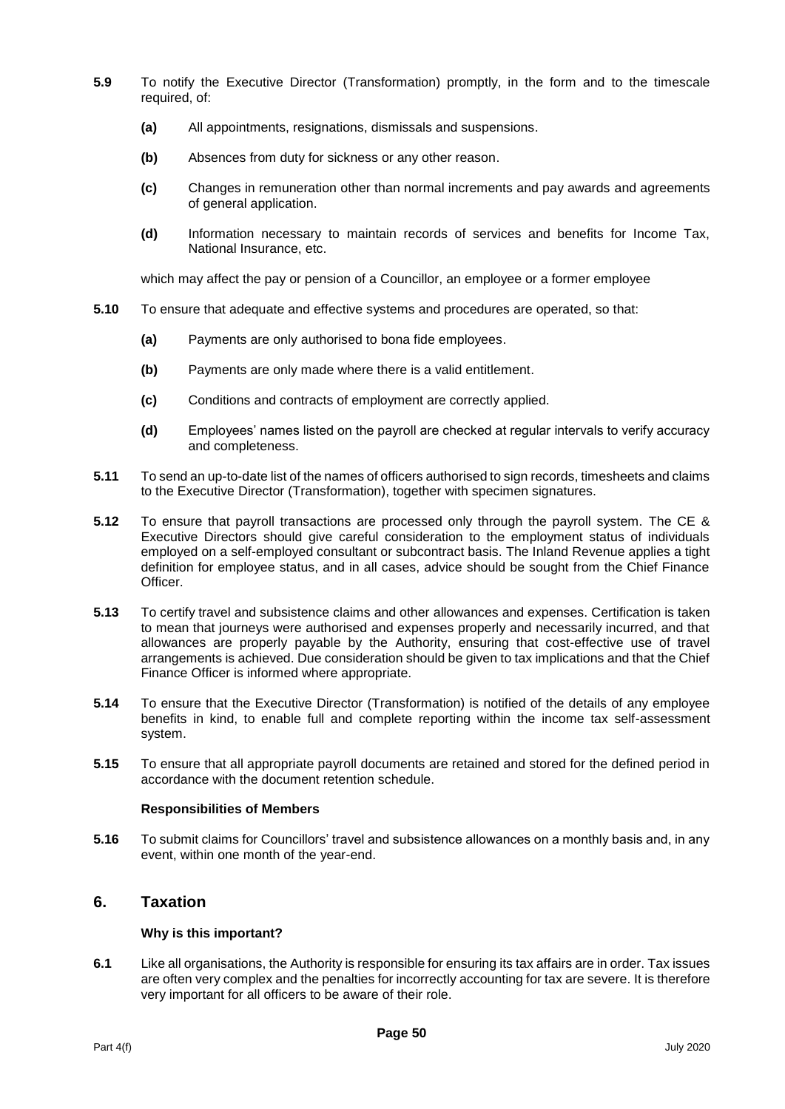- **5.9** To notify the Executive Director (Transformation) promptly, in the form and to the timescale required, of:
	- **(a)** All appointments, resignations, dismissals and suspensions.
	- **(b)** Absences from duty for sickness or any other reason.
	- **(c)** Changes in remuneration other than normal increments and pay awards and agreements of general application.
	- **(d)** Information necessary to maintain records of services and benefits for Income Tax, National Insurance, etc.

which may affect the pay or pension of a Councillor, an employee or a former employee

- **5.10** To ensure that adequate and effective systems and procedures are operated, so that:
	- **(a)** Payments are only authorised to bona fide employees.
	- **(b)** Payments are only made where there is a valid entitlement.
	- **(c)** Conditions and contracts of employment are correctly applied.
	- **(d)** Employees' names listed on the payroll are checked at regular intervals to verify accuracy and completeness.
- **5.11** To send an up-to-date list of the names of officers authorised to sign records, timesheets and claims to the Executive Director (Transformation), together with specimen signatures.
- **5.12** To ensure that payroll transactions are processed only through the payroll system. The CE & Executive Directors should give careful consideration to the employment status of individuals employed on a self-employed consultant or subcontract basis. The Inland Revenue applies a tight definition for employee status, and in all cases, advice should be sought from the Chief Finance Officer.
- **5.13** To certify travel and subsistence claims and other allowances and expenses. Certification is taken to mean that journeys were authorised and expenses properly and necessarily incurred, and that allowances are properly payable by the Authority, ensuring that cost-effective use of travel arrangements is achieved. Due consideration should be given to tax implications and that the Chief Finance Officer is informed where appropriate.
- **5.14** To ensure that the Executive Director (Transformation) is notified of the details of any employee benefits in kind, to enable full and complete reporting within the income tax self-assessment system.
- **5.15** To ensure that all appropriate payroll documents are retained and stored for the defined period in accordance with the document retention schedule.

#### **Responsibilities of Members**

**5.16** To submit claims for Councillors' travel and subsistence allowances on a monthly basis and, in any event, within one month of the year-end.

# **6. Taxation**

# **Why is this important?**

**6.1** Like all organisations, the Authority is responsible for ensuring its tax affairs are in order. Tax issues are often very complex and the penalties for incorrectly accounting for tax are severe. It is therefore very important for all officers to be aware of their role.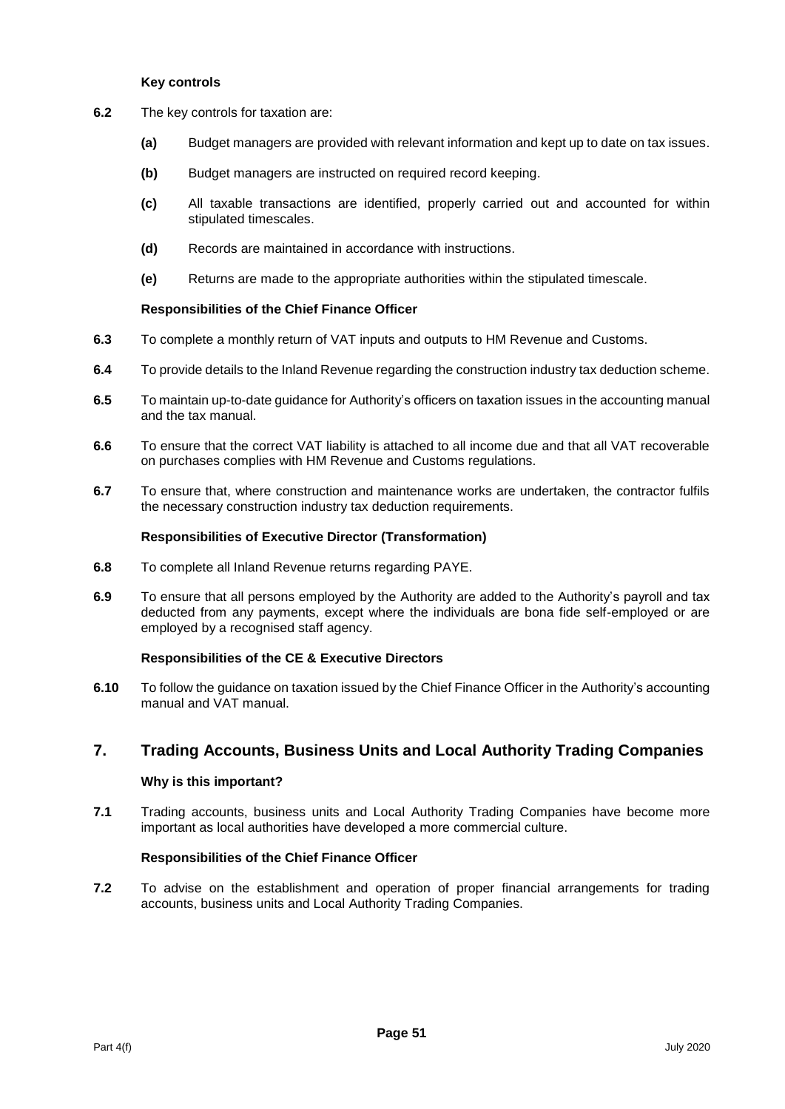#### **Key controls**

- **6.2** The key controls for taxation are:
	- **(a)** Budget managers are provided with relevant information and kept up to date on tax issues.
	- **(b)** Budget managers are instructed on required record keeping.
	- **(c)** All taxable transactions are identified, properly carried out and accounted for within stipulated timescales.
	- **(d)** Records are maintained in accordance with instructions.
	- **(e)** Returns are made to the appropriate authorities within the stipulated timescale.

#### **Responsibilities of the Chief Finance Officer**

- **6.3** To complete a monthly return of VAT inputs and outputs to HM Revenue and Customs.
- **6.4** To provide details to the Inland Revenue regarding the construction industry tax deduction scheme.
- **6.5** To maintain up-to-date guidance for Authority's officers on taxation issues in the accounting manual and the tax manual.
- **6.6** To ensure that the correct VAT liability is attached to all income due and that all VAT recoverable on purchases complies with HM Revenue and Customs regulations.
- **6.7** To ensure that, where construction and maintenance works are undertaken, the contractor fulfils the necessary construction industry tax deduction requirements.

#### **Responsibilities of Executive Director (Transformation)**

- **6.8** To complete all Inland Revenue returns regarding PAYE.
- **6.9** To ensure that all persons employed by the Authority are added to the Authority's payroll and tax deducted from any payments, except where the individuals are bona fide self-employed or are employed by a recognised staff agency.

# **Responsibilities of the CE & Executive Directors**

**6.10** To follow the guidance on taxation issued by the Chief Finance Officer in the Authority's accounting manual and VAT manual.

# **7. Trading Accounts, Business Units and Local Authority Trading Companies**

# **Why is this important?**

**7.1** Trading accounts, business units and Local Authority Trading Companies have become more important as local authorities have developed a more commercial culture.

# **Responsibilities of the Chief Finance Officer**

**7.2** To advise on the establishment and operation of proper financial arrangements for trading accounts, business units and Local Authority Trading Companies.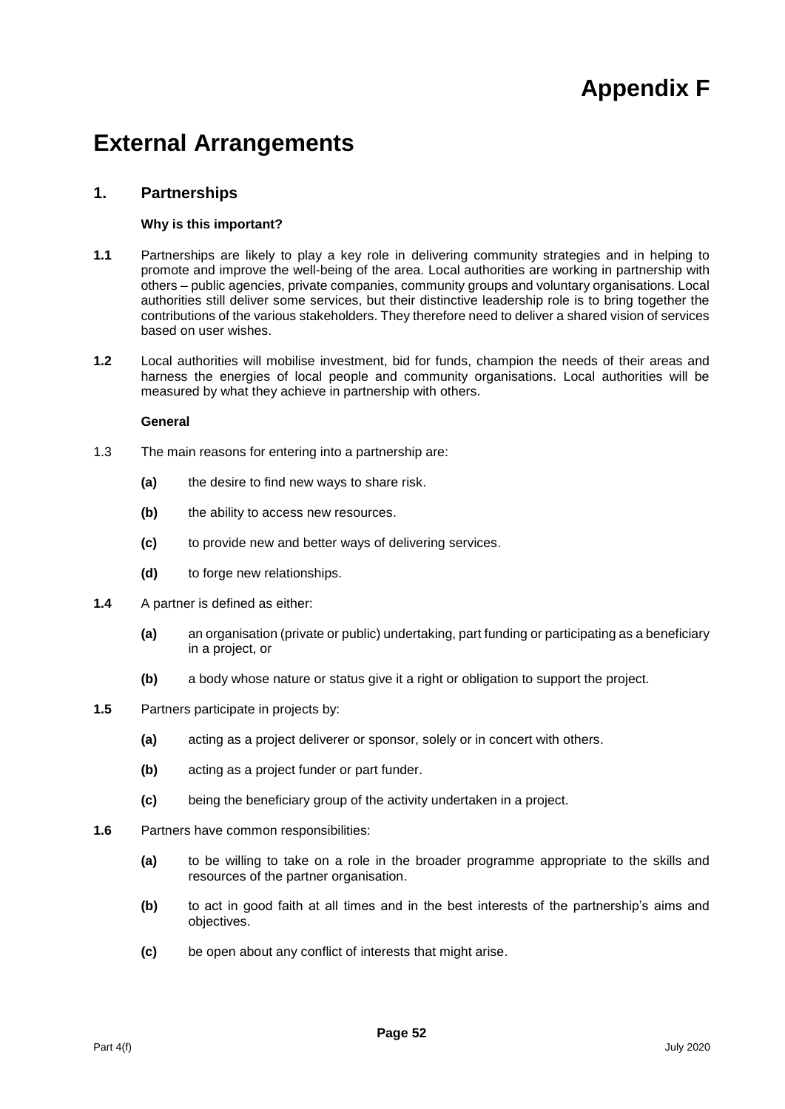# **Appendix F**

# **External Arrangements**

# **1. Partnerships**

# **Why is this important?**

- **1.1** Partnerships are likely to play a key role in delivering community strategies and in helping to promote and improve the well-being of the area. Local authorities are working in partnership with others – public agencies, private companies, community groups and voluntary organisations. Local authorities still deliver some services, but their distinctive leadership role is to bring together the contributions of the various stakeholders. They therefore need to deliver a shared vision of services based on user wishes.
- **1.2** Local authorities will mobilise investment, bid for funds, champion the needs of their areas and harness the energies of local people and community organisations. Local authorities will be measured by what they achieve in partnership with others.

#### **General**

- 1.3 The main reasons for entering into a partnership are:
	- **(a)** the desire to find new ways to share risk.
	- **(b)** the ability to access new resources.
	- **(c)** to provide new and better ways of delivering services.
	- **(d)** to forge new relationships.
- **1.4** A partner is defined as either:
	- **(a)** an organisation (private or public) undertaking, part funding or participating as a beneficiary in a project, or
	- **(b)** a body whose nature or status give it a right or obligation to support the project.
- **1.5** Partners participate in projects by:
	- **(a)** acting as a project deliverer or sponsor, solely or in concert with others.
	- **(b)** acting as a project funder or part funder.
	- **(c)** being the beneficiary group of the activity undertaken in a project.
- **1.6** Partners have common responsibilities:
	- **(a)** to be willing to take on a role in the broader programme appropriate to the skills and resources of the partner organisation.
	- **(b)** to act in good faith at all times and in the best interests of the partnership's aims and objectives.
	- **(c)** be open about any conflict of interests that might arise.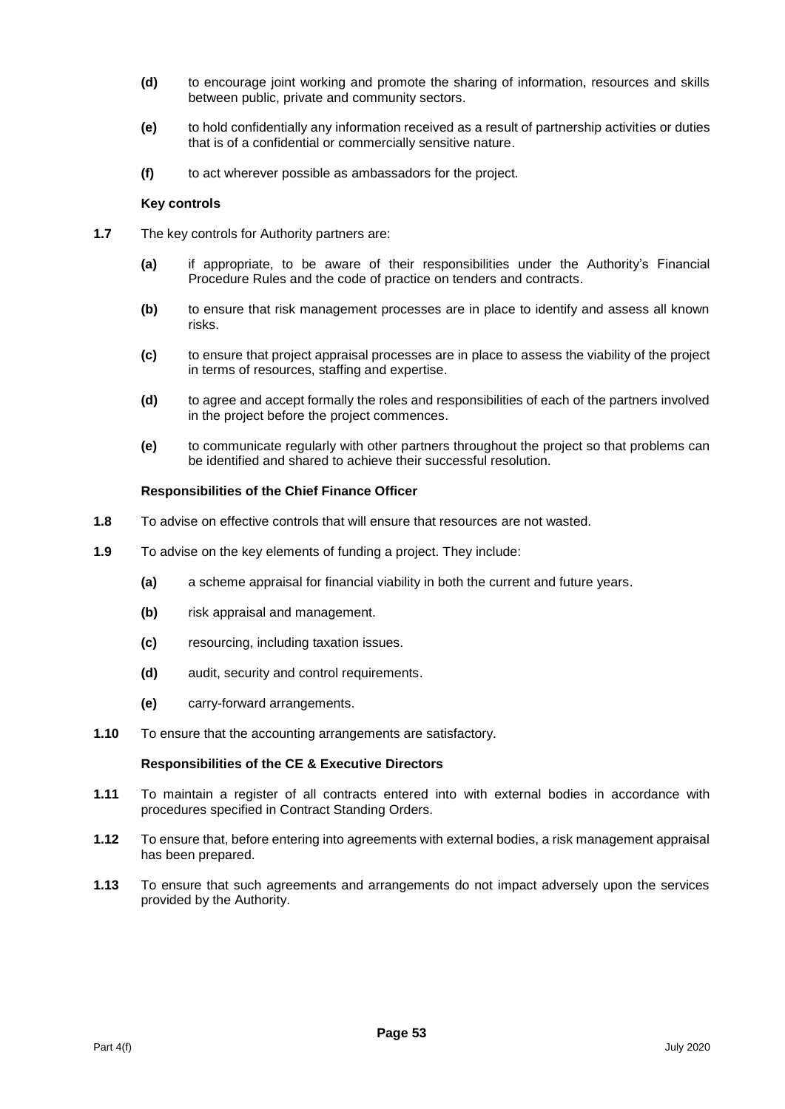- **(d)** to encourage joint working and promote the sharing of information, resources and skills between public, private and community sectors.
- **(e)** to hold confidentially any information received as a result of partnership activities or duties that is of a confidential or commercially sensitive nature.
- **(f)** to act wherever possible as ambassadors for the project.

#### **Key controls**

- **1.7** The key controls for Authority partners are:
	- **(a)** if appropriate, to be aware of their responsibilities under the Authority's Financial Procedure Rules and the code of practice on tenders and contracts.
	- **(b)** to ensure that risk management processes are in place to identify and assess all known risks.
	- **(c)** to ensure that project appraisal processes are in place to assess the viability of the project in terms of resources, staffing and expertise.
	- **(d)** to agree and accept formally the roles and responsibilities of each of the partners involved in the project before the project commences.
	- **(e)** to communicate regularly with other partners throughout the project so that problems can be identified and shared to achieve their successful resolution.

#### **Responsibilities of the Chief Finance Officer**

- **1.8** To advise on effective controls that will ensure that resources are not wasted.
- **1.9** To advise on the key elements of funding a project. They include:
	- **(a)** a scheme appraisal for financial viability in both the current and future years.
	- **(b)** risk appraisal and management.
	- **(c)** resourcing, including taxation issues.
	- **(d)** audit, security and control requirements.
	- **(e)** carry-forward arrangements.
- **1.10** To ensure that the accounting arrangements are satisfactory.

- **1.11** To maintain a register of all contracts entered into with external bodies in accordance with procedures specified in Contract Standing Orders.
- **1.12** To ensure that, before entering into agreements with external bodies, a risk management appraisal has been prepared.
- **1.13** To ensure that such agreements and arrangements do not impact adversely upon the services provided by the Authority.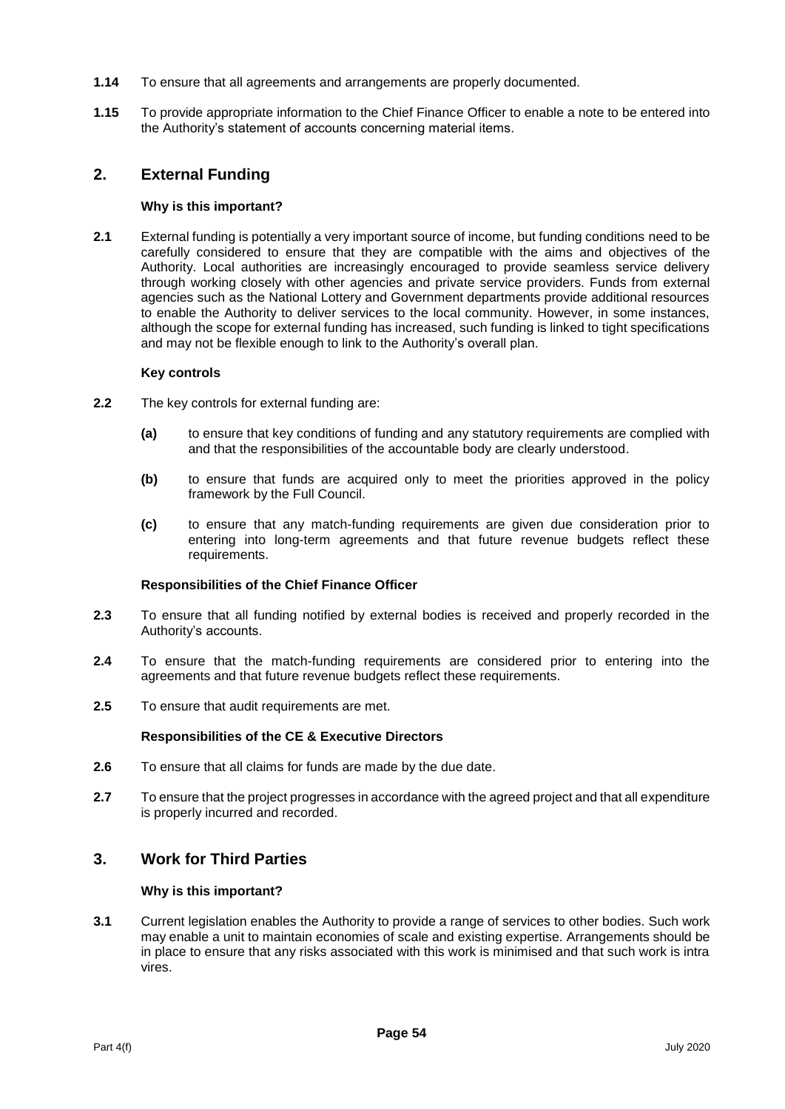- **1.14** To ensure that all agreements and arrangements are properly documented.
- **1.15** To provide appropriate information to the Chief Finance Officer to enable a note to be entered into the Authority's statement of accounts concerning material items.

# **2. External Funding**

#### **Why is this important?**

**2.1** External funding is potentially a very important source of income, but funding conditions need to be carefully considered to ensure that they are compatible with the aims and objectives of the Authority. Local authorities are increasingly encouraged to provide seamless service delivery through working closely with other agencies and private service providers. Funds from external agencies such as the National Lottery and Government departments provide additional resources to enable the Authority to deliver services to the local community. However, in some instances, although the scope for external funding has increased, such funding is linked to tight specifications and may not be flexible enough to link to the Authority's overall plan.

#### **Key controls**

- **2.2** The key controls for external funding are:
	- **(a)** to ensure that key conditions of funding and any statutory requirements are complied with and that the responsibilities of the accountable body are clearly understood.
	- **(b)** to ensure that funds are acquired only to meet the priorities approved in the policy framework by the Full Council.
	- **(c)** to ensure that any match-funding requirements are given due consideration prior to entering into long-term agreements and that future revenue budgets reflect these requirements.

#### **Responsibilities of the Chief Finance Officer**

- **2.3** To ensure that all funding notified by external bodies is received and properly recorded in the Authority's accounts.
- **2.4** To ensure that the match-funding requirements are considered prior to entering into the agreements and that future revenue budgets reflect these requirements.
- **2.5** To ensure that audit requirements are met.

#### **Responsibilities of the CE & Executive Directors**

- **2.6** To ensure that all claims for funds are made by the due date.
- **2.7** To ensure that the project progresses in accordance with the agreed project and that all expenditure is properly incurred and recorded.

# **3. Work for Third Parties**

#### **Why is this important?**

**3.1** Current legislation enables the Authority to provide a range of services to other bodies. Such work may enable a unit to maintain economies of scale and existing expertise. Arrangements should be in place to ensure that any risks associated with this work is minimised and that such work is intra vires.